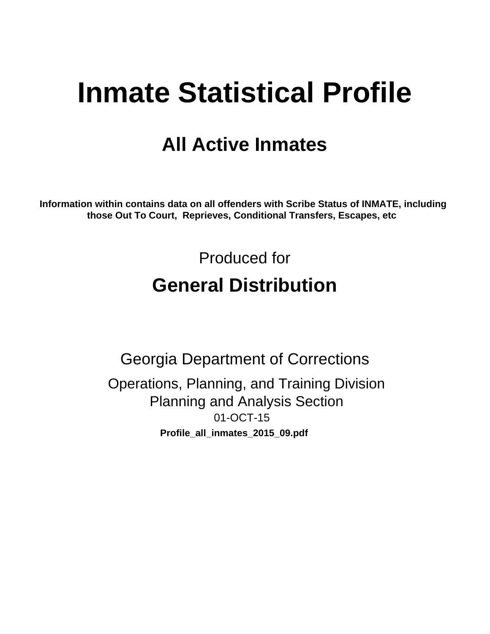# **Inmate Statistical Profile**

# **All Active Inmates**

Information within contains data on all offenders with Scribe Status of INMATE, including those Out To Court, Reprieves, Conditional Transfers, Escapes, etc

> Produced for **General Distribution**

**Georgia Department of Corrections** Operations, Planning, and Training Division **Planning and Analysis Section** 01-OCT-15 Profile\_all\_inmates\_2015\_09.pdf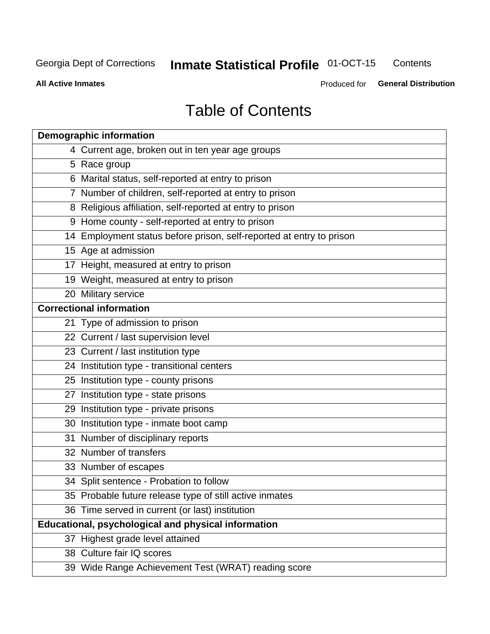#### **Inmate Statistical Profile 01-OCT-15** Contents

**All Active Inmates** 

Produced for General Distribution

# **Table of Contents**

| <b>Demographic information</b>                                       |
|----------------------------------------------------------------------|
| 4 Current age, broken out in ten year age groups                     |
| 5 Race group                                                         |
| 6 Marital status, self-reported at entry to prison                   |
| 7 Number of children, self-reported at entry to prison               |
| 8 Religious affiliation, self-reported at entry to prison            |
| 9 Home county - self-reported at entry to prison                     |
| 14 Employment status before prison, self-reported at entry to prison |
| 15 Age at admission                                                  |
| 17 Height, measured at entry to prison                               |
| 19 Weight, measured at entry to prison                               |
| 20 Military service                                                  |
| <b>Correctional information</b>                                      |
| 21 Type of admission to prison                                       |
| 22 Current / last supervision level                                  |
| 23 Current / last institution type                                   |
| 24 Institution type - transitional centers                           |
| 25 Institution type - county prisons                                 |
| 27 Institution type - state prisons                                  |
| 29 Institution type - private prisons                                |
| 30 Institution type - inmate boot camp                               |
| 31 Number of disciplinary reports                                    |
| 32 Number of transfers                                               |
| 33 Number of escapes                                                 |
| 34 Split sentence - Probation to follow                              |
| 35 Probable future release type of still active inmates              |
| 36 Time served in current (or last) institution                      |
| <b>Educational, psychological and physical information</b>           |
| 37 Highest grade level attained                                      |
| 38 Culture fair IQ scores                                            |
| 39 Wide Range Achievement Test (WRAT) reading score                  |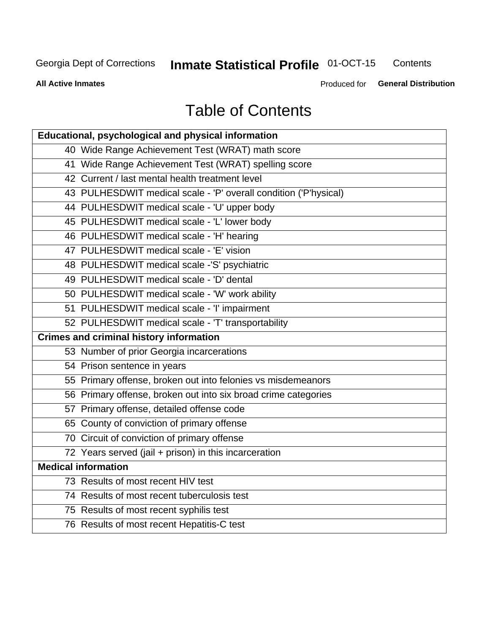#### **Inmate Statistical Profile 01-OCT-15** Contents

**All Active Inmates** 

Produced for General Distribution

# **Table of Contents**

| Educational, psychological and physical information              |
|------------------------------------------------------------------|
| 40 Wide Range Achievement Test (WRAT) math score                 |
| 41 Wide Range Achievement Test (WRAT) spelling score             |
| 42 Current / last mental health treatment level                  |
| 43 PULHESDWIT medical scale - 'P' overall condition ('P'hysical) |
| 44 PULHESDWIT medical scale - 'U' upper body                     |
| 45 PULHESDWIT medical scale - 'L' lower body                     |
| 46 PULHESDWIT medical scale - 'H' hearing                        |
| 47 PULHESDWIT medical scale - 'E' vision                         |
| 48 PULHESDWIT medical scale -'S' psychiatric                     |
| 49 PULHESDWIT medical scale - 'D' dental                         |
| 50 PULHESDWIT medical scale - 'W' work ability                   |
| 51 PULHESDWIT medical scale - 'I' impairment                     |
| 52 PULHESDWIT medical scale - 'T' transportability               |
|                                                                  |
| <b>Crimes and criminal history information</b>                   |
| 53 Number of prior Georgia incarcerations                        |
| 54 Prison sentence in years                                      |
| 55 Primary offense, broken out into felonies vs misdemeanors     |
| 56 Primary offense, broken out into six broad crime categories   |
| 57 Primary offense, detailed offense code                        |
| 65 County of conviction of primary offense                       |
| 70 Circuit of conviction of primary offense                      |
| 72 Years served (jail + prison) in this incarceration            |
| <b>Medical information</b>                                       |
| 73 Results of most recent HIV test                               |
| 74 Results of most recent tuberculosis test                      |
| 75 Results of most recent syphilis test                          |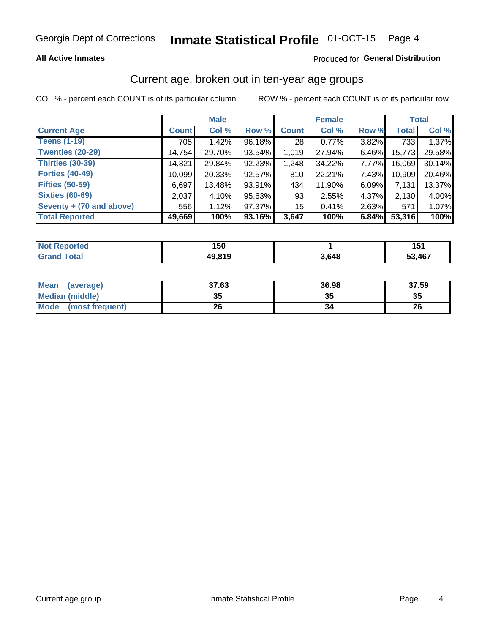#### Inmate Statistical Profile 01-OCT-15 Page 4

### **All Active Inmates**

### Produced for General Distribution

### Current age, broken out in ten-year age groups

COL % - percent each COUNT is of its particular column

|                          |              | <b>Male</b> |        | <b>Female</b>   |        |          | <b>Total</b> |        |
|--------------------------|--------------|-------------|--------|-----------------|--------|----------|--------------|--------|
| <b>Current Age</b>       | <b>Count</b> | Col %       | Row %  | <b>Count</b>    | Col %  | Row %    | <b>Total</b> | Col %  |
| <b>Teens (1-19)</b>      | 705          | 1.42%       | 96.18% | 28 <sub>1</sub> | 0.77%  | 3.82%    | 733          | 1.37%  |
| <b>Twenties (20-29)</b>  | 14,754       | 29.70%      | 93.54% | 1,019           | 27.94% | $6.46\%$ | 15,773       | 29.58% |
| Thirties (30-39)         | 14,821       | 29.84%      | 92.23% | 1,248           | 34.22% | 7.77%    | 16,069       | 30.14% |
| <b>Forties (40-49)</b>   | 10,099       | 20.33%      | 92.57% | 810             | 22.21% | 7.43%    | 10,909       | 20.46% |
| <b>Fifties (50-59)</b>   | 6,697        | 13.48%      | 93.91% | 434             | 11.90% | 6.09%    | 7,131        | 13.37% |
| <b>Sixties (60-69)</b>   | 2,037        | 4.10%       | 95.63% | 93              | 2.55%  | 4.37%    | 2,130        | 4.00%  |
| Seventy + (70 and above) | 556          | 1.12%       | 97.37% | 15              | 0.41%  | $2.63\%$ | 571          | 1.07%  |
| <b>Total Reported</b>    | 49,669       | 100%        | 93.16% | 3,647           | 100%   | 6.84%    | 53,316       | 100%   |

| <b>Not Repo</b><br><b>Exampled</b> | 150          |       | 151    |
|------------------------------------|--------------|-------|--------|
| Total                              | <b>49819</b> | 3,648 | 53,467 |

| <b>Mean</b><br>(average) | 37.63    | 36.98 | 37.59 |
|--------------------------|----------|-------|-------|
| Median (middle)          | つん<br>vu | JJ    | 35    |
| Mode<br>(most frequent)  | 26       |       | 26    |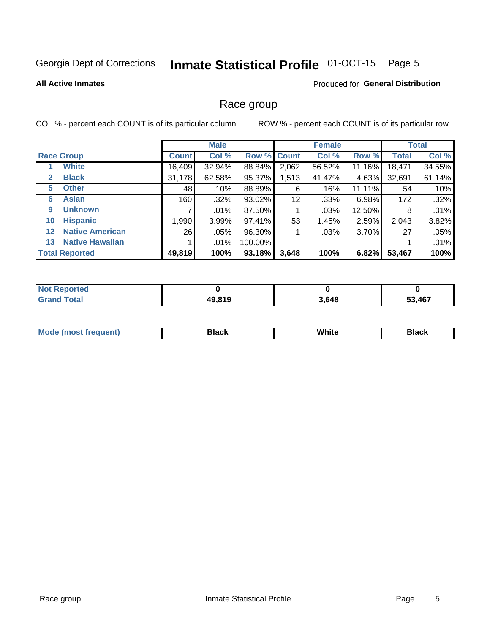#### **Inmate Statistical Profile 01-OCT-15** Page 5

### **All Active Inmates**

### Produced for General Distribution

### Race group

COL % - percent each COUNT is of its particular column

|              |                        |              | <b>Male</b> |         |             | <b>Female</b> |        |              | <b>Total</b> |  |
|--------------|------------------------|--------------|-------------|---------|-------------|---------------|--------|--------------|--------------|--|
|              | <b>Race Group</b>      | <b>Count</b> | Col %       |         | Row % Count | Col %         | Row %  | <b>Total</b> | Col %        |  |
|              | <b>White</b>           | 16,409       | 32.94%      | 88.84%  | 2,062       | 56.52%        | 11.16% | 18,471       | 34.55%       |  |
| $\mathbf{2}$ | <b>Black</b>           | 31,178       | 62.58%      | 95.37%  | 1,513       | 41.47%        | 4.63%  | 32,691       | 61.14%       |  |
| 5.           | <b>Other</b>           | 48           | .10%        | 88.89%  | 6           | .16%          | 11.11% | 54           | .10%         |  |
| 6            | <b>Asian</b>           | 160          | .32%        | 93.02%  | 12          | .33%          | 6.98%  | 172          | .32%         |  |
| 9            | <b>Unknown</b>         |              | $.01\%$     | 87.50%  |             | .03%          | 12.50% | 8            | .01%         |  |
| 10           | <b>Hispanic</b>        | .990         | 3.99%       | 97.41%  | 53          | 1.45%         | 2.59%  | 2,043        | 3.82%        |  |
| $12 \,$      | <b>Native American</b> | 26           | $.05\%$     | 96.30%  |             | $.03\%$       | 3.70%  | 27           | .05%         |  |
| 13           | <b>Native Hawaiian</b> |              | $.01\%$     | 100.00% |             |               |        |              | .01%         |  |
|              | <b>Total Reported</b>  | 49,819       | 100%        | 93.18%  | 3,648       | 100%          | 6.82%  | 53,467       | 100%         |  |

| <b>Not Reported</b>           |        |       |        |
|-------------------------------|--------|-------|--------|
| Total<br>$\cdot$ Gran $\cdot$ | 49,819 | 3,648 | 53,467 |

| <b>Mode</b><br>---<br>most frequent) | Black | White | <b>Black</b> |
|--------------------------------------|-------|-------|--------------|
|                                      |       |       |              |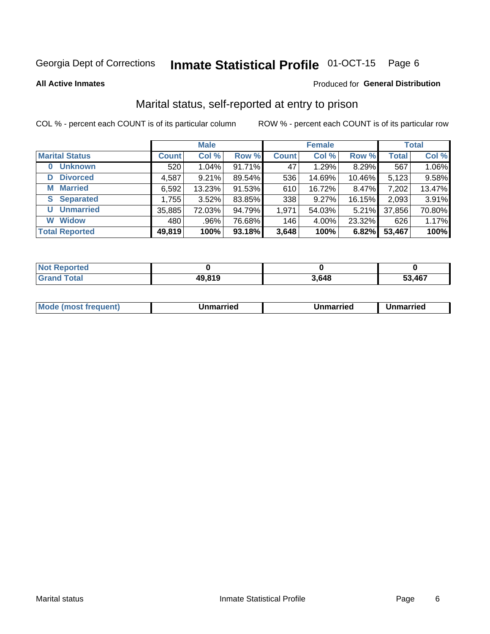#### Inmate Statistical Profile 01-OCT-15 Page 6

**All Active Inmates** 

### Produced for General Distribution

### Marital status, self-reported at entry to prison

COL % - percent each COUNT is of its particular column

|                            | <b>Male</b>  |          |           |              | <b>Female</b> | <b>Total</b> |              |        |
|----------------------------|--------------|----------|-----------|--------------|---------------|--------------|--------------|--------|
| <b>Marital Status</b>      | <b>Count</b> | Col %    | Row %     | <b>Count</b> | Col %         | Row %        | <b>Total</b> | Col %  |
| <b>Unknown</b><br>$\bf{0}$ | 520          | $1.04\%$ | $91.71\%$ | 47           | 1.29%         | 8.29%        | 567          | 1.06%  |
| <b>Divorced</b><br>D       | 4,587        | 9.21%    | 89.54%    | 536          | 14.69%        | 10.46%       | 5,123        | 9.58%  |
| <b>Married</b><br>М        | 6,592        | 13.23%   | 91.53%    | 610          | 16.72%        | 8.47%        | 7,202        | 13.47% |
| <b>Separated</b><br>S.     | 1,755        | 3.52%    | 83.85%    | 338          | 9.27%         | 16.15%       | 2,093        | 3.91%  |
| <b>Unmarried</b><br>U      | 35,885       | 72.03%   | 94.79%    | 1,971        | 54.03%        | 5.21%        | 37,856       | 70.80% |
| <b>Widow</b><br>W          | 480          | .96%     | 76.68%    | 146          | 4.00%         | 23.32%       | 626          | 1.17%  |
| <b>Total Reported</b>      | 49,819       | 100%     | 93.18%    | 3,648        | 100%          | 6.82%        | 53,467       | 100%   |

| <b>Not Reported</b> |       |       |        |
|---------------------|-------|-------|--------|
| Total<br>. Grar     | 49819 | 3,648 | 53,467 |

|--|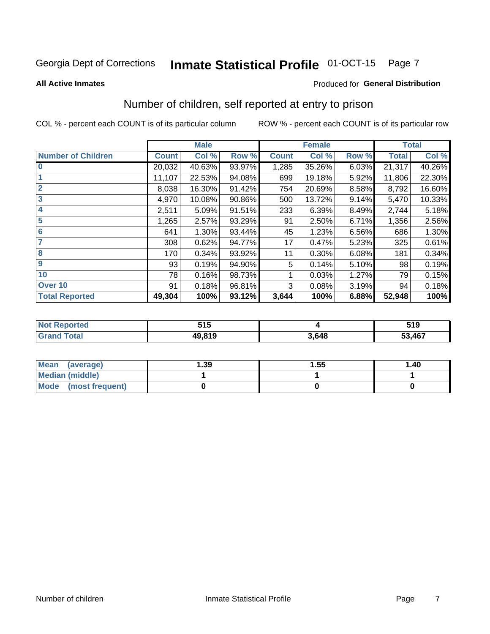#### Inmate Statistical Profile 01-OCT-15 Page 7

### **All Active Inmates**

### Produced for General Distribution

### Number of children, self reported at entry to prison

COL % - percent each COUNT is of its particular column

|                           |              | <b>Male</b> |        |              | <b>Female</b> |       |              | <b>Total</b> |
|---------------------------|--------------|-------------|--------|--------------|---------------|-------|--------------|--------------|
| <b>Number of Children</b> | <b>Count</b> | Col %       | Row %  | <b>Count</b> | Col %         | Row % | <b>Total</b> | Col %        |
| $\overline{\mathbf{0}}$   | 20,032       | 40.63%      | 93.97% | 1,285        | 35.26%        | 6.03% | 21,317       | 40.26%       |
|                           | 11,107       | 22.53%      | 94.08% | 699          | 19.18%        | 5.92% | 11,806       | 22.30%       |
| $\overline{2}$            | 8,038        | 16.30%      | 91.42% | 754          | 20.69%        | 8.58% | 8,792        | 16.60%       |
| $\overline{3}$            | 4,970        | 10.08%      | 90.86% | 500          | 13.72%        | 9.14% | 5,470        | 10.33%       |
| $\overline{\mathbf{4}}$   | 2,511        | 5.09%       | 91.51% | 233          | 6.39%         | 8.49% | 2,744        | 5.18%        |
| 5                         | 1,265        | 2.57%       | 93.29% | 91           | 2.50%         | 6.71% | 1,356        | 2.56%        |
| 6                         | 641          | 1.30%       | 93.44% | 45           | 1.23%         | 6.56% | 686          | 1.30%        |
| 7                         | 308          | 0.62%       | 94.77% | 17           | 0.47%         | 5.23% | 325          | 0.61%        |
| 8                         | 170          | 0.34%       | 93.92% | 11           | 0.30%         | 6.08% | 181          | 0.34%        |
| 9                         | 93           | 0.19%       | 94.90% | 5            | 0.14%         | 5.10% | 98           | 0.19%        |
| 10                        | 78           | 0.16%       | 98.73% |              | 0.03%         | 1.27% | 79           | 0.15%        |
| Over 10                   | 91           | 0.18%       | 96.81% | 3            | 0.08%         | 3.19% | 94           | 0.18%        |
| <b>Total Reported</b>     | 49,304       | 100%        | 93.12% | 3,644        | 100%          | 6.88% | 52,948       | 100%         |

| rteo<br>NO | 54 E<br>JIJ |      | 519    |
|------------|-------------|------|--------|
|            | 49.819      | .648 | 53,467 |

| Mean<br>(average)       | 1.39 | 1.55 | 1.40 |
|-------------------------|------|------|------|
| <b>Median (middle)</b>  |      |      |      |
| Mode<br>(most frequent) |      |      |      |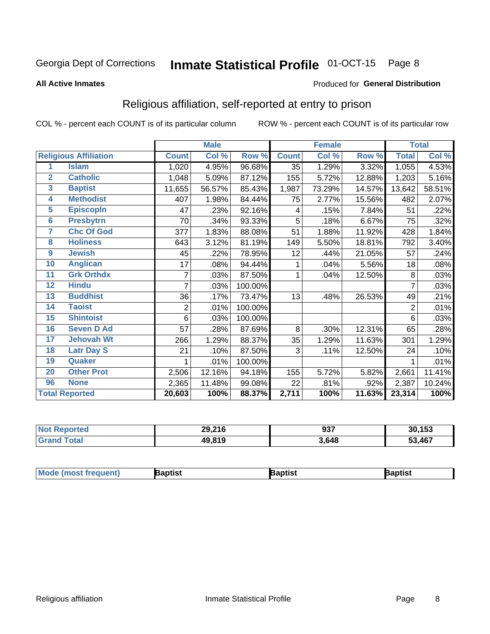#### Inmate Statistical Profile 01-OCT-15 Page 8

#### **All Active Inmates**

### Produced for General Distribution

### Religious affiliation, self-reported at entry to prison

COL % - percent each COUNT is of its particular column

|                |                              |              | <b>Male</b> |         |              | <b>Female</b> |        |                | <b>Total</b> |
|----------------|------------------------------|--------------|-------------|---------|--------------|---------------|--------|----------------|--------------|
|                | <b>Religious Affiliation</b> | <b>Count</b> | Col %       | Row %   | <b>Count</b> | Col %         | Row %  | <b>Total</b>   | Col %        |
| 1              | <b>Islam</b>                 | 1,020        | 4.95%       | 96.68%  | 35           | 1.29%         | 3.32%  | 1,055          | 4.53%        |
| $\overline{2}$ | <b>Catholic</b>              | 1,048        | 5.09%       | 87.12%  | 155          | 5.72%         | 12.88% | 1,203          | 5.16%        |
| 3              | <b>Baptist</b>               | 11,655       | 56.57%      | 85.43%  | 1,987        | 73.29%        | 14.57% | 13,642         | 58.51%       |
| 4              | <b>Methodist</b>             | 407          | 1.98%       | 84.44%  | 75           | 2.77%         | 15.56% | 482            | 2.07%        |
| 5              | <b>EpiscopIn</b>             | 47           | .23%        | 92.16%  | 4            | .15%          | 7.84%  | 51             | .22%         |
| $6\phantom{a}$ | <b>Presbytrn</b>             | 70           | .34%        | 93.33%  | 5            | .18%          | 6.67%  | 75             | .32%         |
| 7              | <b>Chc Of God</b>            | 377          | 1.83%       | 88.08%  | 51           | 1.88%         | 11.92% | 428            | 1.84%        |
| 8              | <b>Holiness</b>              | 643          | 3.12%       | 81.19%  | 149          | 5.50%         | 18.81% | 792            | 3.40%        |
| 9              | <b>Jewish</b>                | 45           | .22%        | 78.95%  | 12           | .44%          | 21.05% | 57             | .24%         |
| 10             | <b>Anglican</b>              | 17           | .08%        | 94.44%  | 1            | .04%          | 5.56%  | 18             | .08%         |
| 11             | <b>Grk Orthdx</b>            | 7            | .03%        | 87.50%  | 1            | .04%          | 12.50% | 8              | .03%         |
| 12             | <b>Hindu</b>                 | 7            | .03%        | 100.00% |              |               |        | 7              | .03%         |
| 13             | <b>Buddhist</b>              | 36           | .17%        | 73.47%  | 13           | .48%          | 26.53% | 49             | .21%         |
| 14             | <b>Taoist</b>                | 2            | .01%        | 100.00% |              |               |        | $\overline{2}$ | .01%         |
| 15             | <b>Shintoist</b>             | 6            | .03%        | 100.00% |              |               |        | 6              | .03%         |
| 16             | <b>Seven D Ad</b>            | 57           | .28%        | 87.69%  | 8            | .30%          | 12.31% | 65             | .28%         |
| 17             | <b>Jehovah Wt</b>            | 266          | 1.29%       | 88.37%  | 35           | 1.29%         | 11.63% | 301            | 1.29%        |
| 18             | <b>Latr Day S</b>            | 21           | .10%        | 87.50%  | 3            | .11%          | 12.50% | 24             | .10%         |
| 19             | Quaker                       |              | .01%        | 100.00% |              |               |        |                | .01%         |
| 20             | <b>Other Prot</b>            | 2,506        | 12.16%      | 94.18%  | 155          | 5.72%         | 5.82%  | 2,661          | 11.41%       |
| 96             | <b>None</b>                  | 2,365        | 11.48%      | 99.08%  | 22           | .81%          | .92%   | 2,387          | 10.24%       |
|                | <b>Total Reported</b>        | 20,603       | 100%        | 88.37%  | 2,711        | 100%          | 11.63% | 23,314         | 100%         |

| <b>nteo</b><br>N6 | 29,216 | 937   | 30,153 |
|-------------------|--------|-------|--------|
|                   | 49,819 | 3,648 | 53,467 |

|  | <b>Mode (most frequent)</b> | ıntist<br>ິ | <b>'a</b> ptist | aptist |
|--|-----------------------------|-------------|-----------------|--------|
|--|-----------------------------|-------------|-----------------|--------|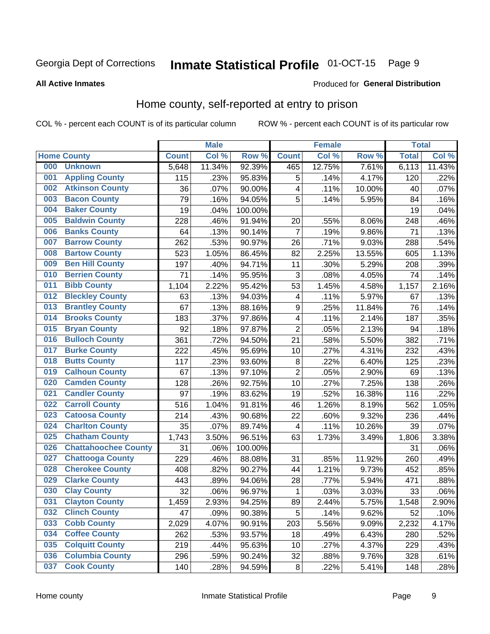#### Inmate Statistical Profile 01-OCT-15 Page 9

#### **All Active Inmates**

### Produced for General Distribution

### Home county, self-reported at entry to prison

COL % - percent each COUNT is of its particular column

|     |                             |              | <b>Male</b> |         |                  | <b>Female</b> |        | <b>Total</b> |        |
|-----|-----------------------------|--------------|-------------|---------|------------------|---------------|--------|--------------|--------|
|     | <b>Home County</b>          | <b>Count</b> | Col %       | Row %   | <b>Count</b>     | Col %         | Row %  | <b>Total</b> | Col %  |
| 000 | <b>Unknown</b>              | 5,648        | 11.34%      | 92.39%  | 465              | 12.75%        | 7.61%  | 6,113        | 11.43% |
| 001 | <b>Appling County</b>       | 115          | .23%        | 95.83%  | 5                | .14%          | 4.17%  | 120          | .22%   |
| 002 | <b>Atkinson County</b>      | 36           | .07%        | 90.00%  | 4                | .11%          | 10.00% | 40           | .07%   |
| 003 | <b>Bacon County</b>         | 79           | .16%        | 94.05%  | 5                | .14%          | 5.95%  | 84           | .16%   |
| 004 | <b>Baker County</b>         | 19           | .04%        | 100.00% |                  |               |        | 19           | .04%   |
| 005 | <b>Baldwin County</b>       | 228          | .46%        | 91.94%  | 20               | .55%          | 8.06%  | 248          | .46%   |
| 006 | <b>Banks County</b>         | 64           | .13%        | 90.14%  | $\overline{7}$   | .19%          | 9.86%  | 71           | .13%   |
| 007 | <b>Barrow County</b>        | 262          | .53%        | 90.97%  | 26               | .71%          | 9.03%  | 288          | .54%   |
| 008 | <b>Bartow County</b>        | 523          | 1.05%       | 86.45%  | 82               | 2.25%         | 13.55% | 605          | 1.13%  |
| 009 | <b>Ben Hill County</b>      | 197          | .40%        | 94.71%  | 11               | .30%          | 5.29%  | 208          | .39%   |
| 010 | <b>Berrien County</b>       | 71           | .14%        | 95.95%  | 3                | .08%          | 4.05%  | 74           | .14%   |
| 011 | <b>Bibb County</b>          | 1,104        | 2.22%       | 95.42%  | 53               | 1.45%         | 4.58%  | 1,157        | 2.16%  |
| 012 | <b>Bleckley County</b>      | 63           | .13%        | 94.03%  | 4                | .11%          | 5.97%  | 67           | .13%   |
| 013 | <b>Brantley County</b>      | 67           | .13%        | 88.16%  | $\boldsymbol{9}$ | .25%          | 11.84% | 76           | .14%   |
| 014 | <b>Brooks County</b>        | 183          | .37%        | 97.86%  | 4                | .11%          | 2.14%  | 187          | .35%   |
| 015 | <b>Bryan County</b>         | 92           | .18%        | 97.87%  | $\overline{2}$   | .05%          | 2.13%  | 94           | .18%   |
| 016 | <b>Bulloch County</b>       | 361          | .72%        | 94.50%  | 21               | .58%          | 5.50%  | 382          | .71%   |
| 017 | <b>Burke County</b>         | 222          | .45%        | 95.69%  | 10               | .27%          | 4.31%  | 232          | .43%   |
| 018 | <b>Butts County</b>         | 117          | .23%        | 93.60%  | $\bf 8$          | .22%          | 6.40%  | 125          | .23%   |
| 019 | <b>Calhoun County</b>       | 67           | .13%        | 97.10%  | $\overline{2}$   | .05%          | 2.90%  | 69           | .13%   |
| 020 | <b>Camden County</b>        | 128          | .26%        | 92.75%  | 10               | .27%          | 7.25%  | 138          | .26%   |
| 021 | <b>Candler County</b>       | 97           | .19%        | 83.62%  | 19               | .52%          | 16.38% | 116          | .22%   |
| 022 | <b>Carroll County</b>       | 516          | 1.04%       | 91.81%  | 46               | 1.26%         | 8.19%  | 562          | 1.05%  |
| 023 | <b>Catoosa County</b>       | 214          | .43%        | 90.68%  | 22               | .60%          | 9.32%  | 236          | .44%   |
| 024 | <b>Charlton County</b>      | 35           | .07%        | 89.74%  | 4                | .11%          | 10.26% | 39           | .07%   |
| 025 | <b>Chatham County</b>       | 1,743        | 3.50%       | 96.51%  | 63               | 1.73%         | 3.49%  | 1,806        | 3.38%  |
| 026 | <b>Chattahoochee County</b> | 31           | .06%        | 100.00% |                  |               |        | 31           | .06%   |
| 027 | <b>Chattooga County</b>     | 229          | .46%        | 88.08%  | 31               | .85%          | 11.92% | 260          | .49%   |
| 028 | <b>Cherokee County</b>      | 408          | .82%        | 90.27%  | 44               | 1.21%         | 9.73%  | 452          | .85%   |
| 029 | <b>Clarke County</b>        | 443          | .89%        | 94.06%  | 28               | .77%          | 5.94%  | 471          | .88%   |
| 030 | <b>Clay County</b>          | 32           | .06%        | 96.97%  | $\mathbf{1}$     | .03%          | 3.03%  | 33           | .06%   |
| 031 | <b>Clayton County</b>       | 1,459        | 2.93%       | 94.25%  | 89               | 2.44%         | 5.75%  | 1,548        | 2.90%  |
| 032 | <b>Clinch County</b>        | 47           | .09%        | 90.38%  | 5                | .14%          | 9.62%  | 52           | .10%   |
| 033 | <b>Cobb County</b>          | 2,029        | 4.07%       | 90.91%  | 203              | 5.56%         | 9.09%  | 2,232        | 4.17%  |
| 034 | <b>Coffee County</b>        | 262          | .53%        | 93.57%  | 18               | .49%          | 6.43%  | 280          | .52%   |
| 035 | <b>Colquitt County</b>      | 219          | .44%        | 95.63%  | 10               | .27%          | 4.37%  | 229          | .43%   |
| 036 | <b>Columbia County</b>      | 296          | .59%        | 90.24%  | 32               | .88%          | 9.76%  | 328          | .61%   |
| 037 | <b>Cook County</b>          | 140          | .28%        | 94.59%  | $\bf 8$          | .22%          | 5.41%  | 148          | .28%   |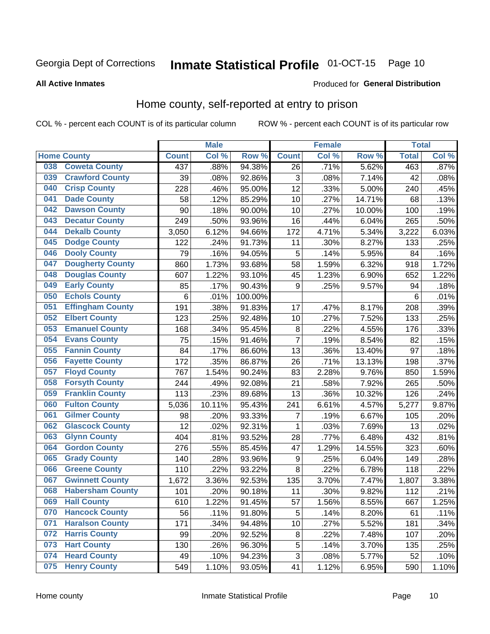#### Inmate Statistical Profile 01-OCT-15 Page 10

### **All Active Inmates**

#### Produced for General Distribution

### Home county, self-reported at entry to prison

COL % - percent each COUNT is of its particular column

|     |                         |              | <b>Male</b> |                  |                | <b>Female</b> |                  | <b>Total</b> |         |
|-----|-------------------------|--------------|-------------|------------------|----------------|---------------|------------------|--------------|---------|
|     | <b>Home County</b>      | <b>Count</b> | Col %       | Row <sup>%</sup> | <b>Count</b>   | Col %         | Row <sup>%</sup> | <b>Total</b> | Col %   |
| 038 | <b>Coweta County</b>    | 437          | .88%        | 94.38%           | 26             | .71%          | 5.62%            | 463          | $.87\%$ |
| 039 | <b>Crawford County</b>  | 39           | .08%        | 92.86%           | 3              | .08%          | 7.14%            | 42           | .08%    |
| 040 | <b>Crisp County</b>     | 228          | .46%        | 95.00%           | 12             | .33%          | 5.00%            | 240          | .45%    |
| 041 | <b>Dade County</b>      | 58           | .12%        | 85.29%           | 10             | .27%          | 14.71%           | 68           | .13%    |
| 042 | <b>Dawson County</b>    | 90           | .18%        | 90.00%           | 10             | .27%          | 10.00%           | 100          | .19%    |
| 043 | <b>Decatur County</b>   | 249          | .50%        | 93.96%           | 16             | .44%          | 6.04%            | 265          | .50%    |
| 044 | <b>Dekalb County</b>    | 3,050        | 6.12%       | 94.66%           | 172            | 4.71%         | 5.34%            | 3,222        | 6.03%   |
| 045 | <b>Dodge County</b>     | 122          | .24%        | 91.73%           | 11             | .30%          | 8.27%            | 133          | .25%    |
| 046 | <b>Dooly County</b>     | 79           | .16%        | 94.05%           | 5              | .14%          | 5.95%            | 84           | .16%    |
| 047 | <b>Dougherty County</b> | 860          | 1.73%       | 93.68%           | 58             | 1.59%         | 6.32%            | 918          | 1.72%   |
| 048 | <b>Douglas County</b>   | 607          | 1.22%       | 93.10%           | 45             | 1.23%         | 6.90%            | 652          | 1.22%   |
| 049 | <b>Early County</b>     | 85           | .17%        | 90.43%           | 9              | .25%          | 9.57%            | 94           | .18%    |
| 050 | <b>Echols County</b>    | 6            | .01%        | 100.00%          |                |               |                  | 6            | .01%    |
| 051 | <b>Effingham County</b> | 191          | .38%        | 91.83%           | 17             | .47%          | 8.17%            | 208          | .39%    |
| 052 | <b>Elbert County</b>    | 123          | .25%        | 92.48%           | 10             | .27%          | 7.52%            | 133          | .25%    |
| 053 | <b>Emanuel County</b>   | 168          | .34%        | 95.45%           | 8              | .22%          | 4.55%            | 176          | .33%    |
| 054 | <b>Evans County</b>     | 75           | .15%        | 91.46%           | $\overline{7}$ | .19%          | 8.54%            | 82           | .15%    |
| 055 | <b>Fannin County</b>    | 84           | .17%        | 86.60%           | 13             | .36%          | 13.40%           | 97           | .18%    |
| 056 | <b>Fayette County</b>   | 172          | .35%        | 86.87%           | 26             | .71%          | 13.13%           | 198          | .37%    |
| 057 | <b>Floyd County</b>     | 767          | 1.54%       | 90.24%           | 83             | 2.28%         | 9.76%            | 850          | 1.59%   |
| 058 | <b>Forsyth County</b>   | 244          | .49%        | 92.08%           | 21             | .58%          | 7.92%            | 265          | .50%    |
| 059 | <b>Franklin County</b>  | 113          | .23%        | 89.68%           | 13             | .36%          | 10.32%           | 126          | .24%    |
| 060 | <b>Fulton County</b>    | 5,036        | 10.11%      | 95.43%           | 241            | 6.61%         | 4.57%            | 5,277        | 9.87%   |
| 061 | <b>Gilmer County</b>    | 98           | .20%        | 93.33%           | 7              | .19%          | 6.67%            | 105          | .20%    |
| 062 | <b>Glascock County</b>  | 12           | .02%        | 92.31%           | $\mathbf{1}$   | .03%          | 7.69%            | 13           | .02%    |
| 063 | <b>Glynn County</b>     | 404          | .81%        | 93.52%           | 28             | .77%          | 6.48%            | 432          | .81%    |
| 064 | <b>Gordon County</b>    | 276          | .55%        | 85.45%           | 47             | 1.29%         | 14.55%           | 323          | .60%    |
| 065 | <b>Grady County</b>     | 140          | .28%        | 93.96%           | 9              | .25%          | 6.04%            | 149          | .28%    |
| 066 | <b>Greene County</b>    | 110          | .22%        | 93.22%           | 8              | .22%          | 6.78%            | 118          | .22%    |
| 067 | <b>Gwinnett County</b>  | 1,672        | 3.36%       | 92.53%           | 135            | 3.70%         | 7.47%            | 1,807        | 3.38%   |
| 068 | <b>Habersham County</b> | 101          | .20%        | 90.18%           | 11             | .30%          | 9.82%            | 112          | .21%    |
| 069 | <b>Hall County</b>      | 610          | 1.22%       | 91.45%           | 57             | 1.56%         | 8.55%            | 667          | 1.25%   |
| 070 | <b>Hancock County</b>   | 56           | .11%        | 91.80%           | 5              | .14%          | 8.20%            | 61           | .11%    |
| 071 | <b>Haralson County</b>  | 171          | .34%        | 94.48%           | 10             | .27%          | 5.52%            | 181          | .34%    |
| 072 | <b>Harris County</b>    | 99           | .20%        | 92.52%           | 8              | .22%          | 7.48%            | 107          | .20%    |
| 073 | <b>Hart County</b>      | 130          | .26%        | 96.30%           | 5              | .14%          | 3.70%            | 135          | .25%    |
| 074 | <b>Heard County</b>     | 49           | .10%        | 94.23%           | 3              | .08%          | 5.77%            | 52           | .10%    |
| 075 | <b>Henry County</b>     | 549          | 1.10%       | 93.05%           | 41             | 1.12%         | 6.95%            | 590          | 1.10%   |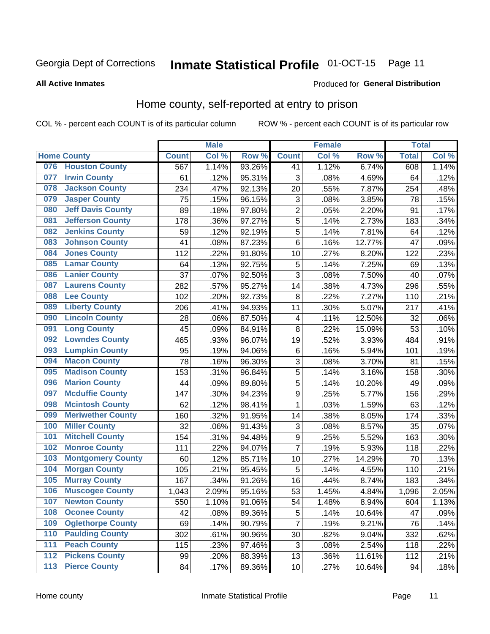#### Inmate Statistical Profile 01-OCT-15 Page 11

**All Active Inmates** 

### **Produced for General Distribution**

### Home county, self-reported at entry to prison

COL % - percent each COUNT is of its particular column

|                  |                          |              | <b>Male</b> |                  |                  | <b>Female</b>      |        | <b>Total</b> |       |
|------------------|--------------------------|--------------|-------------|------------------|------------------|--------------------|--------|--------------|-------|
|                  | <b>Home County</b>       | <b>Count</b> | Col %       | Row <sup>%</sup> | <b>Count</b>     | Col %              | Row %  | <b>Total</b> | Col % |
| 076              | <b>Houston County</b>    | 567          | 1.14%       | 93.26%           | 41               | 1.12%              | 6.74%  | 608          | 1.14% |
| 077              | <b>Irwin County</b>      | 61           | .12%        | 95.31%           | 3                | .08%               | 4.69%  | 64           | .12%  |
| 078              | <b>Jackson County</b>    | 234          | .47%        | 92.13%           | 20               | .55%               | 7.87%  | 254          | .48%  |
| 079              | <b>Jasper County</b>     | 75           | .15%        | 96.15%           | 3                | .08%               | 3.85%  | 78           | .15%  |
| 080              | <b>Jeff Davis County</b> | 89           | .18%        | 97.80%           | $\overline{c}$   | .05%               | 2.20%  | 91           | .17%  |
| 081              | <b>Jefferson County</b>  | 178          | .36%        | 97.27%           | 5                | .14%               | 2.73%  | 183          | .34%  |
| 082              | <b>Jenkins County</b>    | 59           | .12%        | 92.19%           | 5                | .14%               | 7.81%  | 64           | .12%  |
| 083              | <b>Johnson County</b>    | 41           | .08%        | 87.23%           | 6                | .16%               | 12.77% | 47           | .09%  |
| 084              | <b>Jones County</b>      | 112          | .22%        | 91.80%           | 10               | .27%               | 8.20%  | 122          | .23%  |
| 085              | <b>Lamar County</b>      | 64           | .13%        | 92.75%           | 5                | .14%               | 7.25%  | 69           | .13%  |
| 086              | <b>Lanier County</b>     | 37           | .07%        | 92.50%           | 3                | .08%               | 7.50%  | 40           | .07%  |
| 087              | <b>Laurens County</b>    | 282          | .57%        | 95.27%           | 14               | .38%               | 4.73%  | 296          | .55%  |
| 088              | <b>Lee County</b>        | 102          | .20%        | 92.73%           | 8                | $\overline{.}22\%$ | 7.27%  | 110          | .21%  |
| 089              | <b>Liberty County</b>    | 206          | .41%        | 94.93%           | 11               | .30%               | 5.07%  | 217          | .41%  |
| 090              | <b>Lincoln County</b>    | 28           | .06%        | 87.50%           | 4                | .11%               | 12.50% | 32           | .06%  |
| 091              | <b>Long County</b>       | 45           | .09%        | 84.91%           | 8                | .22%               | 15.09% | 53           | .10%  |
| 092              | <b>Lowndes County</b>    | 465          | .93%        | 96.07%           | 19               | .52%               | 3.93%  | 484          | .91%  |
| 093              | <b>Lumpkin County</b>    | 95           | .19%        | 94.06%           | $\,6$            | .16%               | 5.94%  | 101          | .19%  |
| 094              | <b>Macon County</b>      | 78           | .16%        | 96.30%           | 3                | .08%               | 3.70%  | 81           | .15%  |
| 095              | <b>Madison County</b>    | 153          | .31%        | 96.84%           | 5                | .14%               | 3.16%  | 158          | .30%  |
| 096              | <b>Marion County</b>     | 44           | .09%        | 89.80%           | 5                | .14%               | 10.20% | 49           | .09%  |
| 097              | <b>Mcduffie County</b>   | 147          | .30%        | 94.23%           | 9                | .25%               | 5.77%  | 156          | .29%  |
| 098              | <b>Mcintosh County</b>   | 62           | .12%        | 98.41%           | $\mathbf 1$      | .03%               | 1.59%  | 63           | .12%  |
| 099              | <b>Meriwether County</b> | 160          | .32%        | 91.95%           | 14               | .38%               | 8.05%  | 174          | .33%  |
| 100              | <b>Miller County</b>     | 32           | .06%        | 91.43%           | 3                | .08%               | 8.57%  | 35           | .07%  |
| 101              | <b>Mitchell County</b>   | 154          | .31%        | 94.48%           | $\boldsymbol{9}$ | .25%               | 5.52%  | 163          | .30%  |
| 102              | <b>Monroe County</b>     | 111          | .22%        | 94.07%           | $\overline{7}$   | .19%               | 5.93%  | 118          | .22%  |
| 103              | <b>Montgomery County</b> | 60           | .12%        | 85.71%           | 10               | .27%               | 14.29% | 70           | .13%  |
| 104              | <b>Morgan County</b>     | 105          | .21%        | 95.45%           | 5                | .14%               | 4.55%  | 110          | .21%  |
| 105              | <b>Murray County</b>     | 167          | .34%        | 91.26%           | 16               | .44%               | 8.74%  | 183          | .34%  |
| 106              | <b>Muscogee County</b>   | 1,043        | 2.09%       | 95.16%           | 53               | 1.45%              | 4.84%  | 1,096        | 2.05% |
| 107              | <b>Newton County</b>     | 550          | 1.10%       | 91.06%           | 54               | 1.48%              | 8.94%  | 604          | 1.13% |
| 108              | <b>Oconee County</b>     | 42           | .08%        | 89.36%           | 5                | .14%               | 10.64% | 47           | .09%  |
| 109              | <b>Oglethorpe County</b> | 69           | .14%        | 90.79%           | 7                | .19%               | 9.21%  | 76           | .14%  |
| 110              | <b>Paulding County</b>   | 302          | .61%        | 90.96%           | 30               | .82%               | 9.04%  | 332          | .62%  |
| 111              | <b>Peach County</b>      | 115          | .23%        | 97.46%           | 3                | .08%               | 2.54%  | 118          | .22%  |
| $\overline{112}$ | <b>Pickens County</b>    | 99           | .20%        | 88.39%           | 13               | .36%               | 11.61% | 112          | .21%  |
| 113              | <b>Pierce County</b>     | 84           | .17%        | 89.36%           | 10               | .27%               | 10.64% | 94           | .18%  |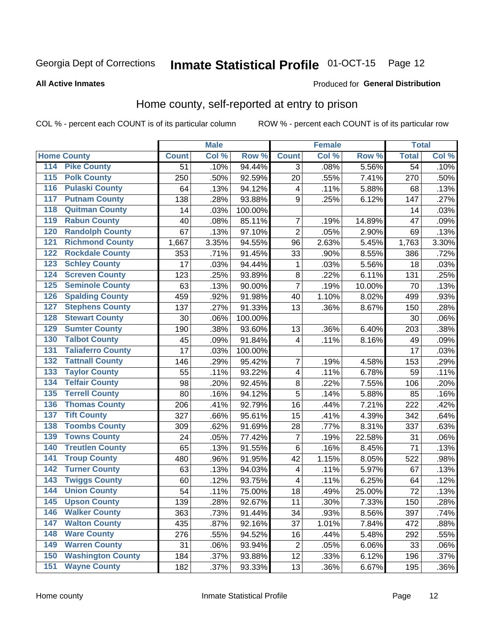# Inmate Statistical Profile 01-OCT-15 Page 12

### **All Active Inmates**

### Produced for General Distribution

### Home county, self-reported at entry to prison

COL % - percent each COUNT is of its particular column

|                                          |              | <b>Male</b> |                  |                | <b>Female</b> |        | <b>Total</b>    |         |
|------------------------------------------|--------------|-------------|------------------|----------------|---------------|--------|-----------------|---------|
| <b>Home County</b>                       | <b>Count</b> | Col %       | Row <sup>%</sup> | <b>Count</b>   | Col %         | Row %  | <b>Total</b>    | Col %   |
| 114<br><b>Pike County</b>                | 51           | .10%        | 94.44%           | 3              | .08%          | 5.56%  | $\overline{54}$ | .10%    |
| <b>Polk County</b><br>115                | 250          | .50%        | 92.59%           | 20             | .55%          | 7.41%  | 270             | .50%    |
| <b>Pulaski County</b><br>116             | 64           | .13%        | 94.12%           | $\overline{4}$ | .11%          | 5.88%  | 68              | .13%    |
| <b>Putnam County</b><br>117              | 138          | .28%        | 93.88%           | 9              | .25%          | 6.12%  | 147             | .27%    |
| 118<br><b>Quitman County</b>             | 14           | .03%        | 100.00%          |                |               |        | 14              | .03%    |
| <b>Rabun County</b><br>119               | 40           | .08%        | 85.11%           | $\overline{7}$ | .19%          | 14.89% | 47              | .09%    |
| <b>Randolph County</b><br>120            | 67           | .13%        | 97.10%           | $\overline{2}$ | .05%          | 2.90%  | 69              | .13%    |
| <b>Richmond County</b><br>121            | 1,667        | 3.35%       | 94.55%           | 96             | 2.63%         | 5.45%  | 1,763           | 3.30%   |
| <b>Rockdale County</b><br>122            | 353          | .71%        | 91.45%           | 33             | .90%          | 8.55%  | 386             | .72%    |
| <b>Schley County</b><br>123              | 17           | .03%        | 94.44%           | 1              | .03%          | 5.56%  | 18              | .03%    |
| <b>Screven County</b><br>124             | 123          | .25%        | 93.89%           | 8              | .22%          | 6.11%  | 131             | .25%    |
| <b>Seminole County</b><br>125            | 63           | .13%        | 90.00%           | $\overline{7}$ | .19%          | 10.00% | 70              | .13%    |
| <b>Spalding County</b><br>126            | 459          | .92%        | 91.98%           | 40             | 1.10%         | 8.02%  | 499             | .93%    |
| <b>Stephens County</b><br>127            | 137          | .27%        | 91.33%           | 13             | .36%          | 8.67%  | 150             | .28%    |
| <b>Stewart County</b><br>128             | 30           | .06%        | 100.00%          |                |               |        | 30              | .06%    |
| <b>Sumter County</b><br>129              | 190          | .38%        | 93.60%           | 13             | .36%          | 6.40%  | 203             | .38%    |
| <b>Talbot County</b><br>130              | 45           | .09%        | 91.84%           | 4              | .11%          | 8.16%  | 49              | .09%    |
| <b>Taliaferro County</b><br>131          | 17           | .03%        | 100.00%          |                |               |        | 17              | .03%    |
| <b>Tattnall County</b><br>132            | 146          | .29%        | 95.42%           | 7              | .19%          | 4.58%  | 153             | .29%    |
| <b>Taylor County</b><br>133              | 55           | .11%        | 93.22%           | 4              | .11%          | 6.78%  | 59              | .11%    |
| <b>Telfair County</b><br>134             | 98           | .20%        | 92.45%           | 8              | .22%          | 7.55%  | 106             | .20%    |
| <b>Terrell County</b><br>135             | 80           | .16%        | 94.12%           | 5              | .14%          | 5.88%  | 85              | .16%    |
| <b>Thomas County</b><br>136              | 206          | .41%        | 92.79%           | 16             | .44%          | 7.21%  | 222             | .42%    |
| <b>Tift County</b><br>137                | 327          | .66%        | 95.61%           | 15             | .41%          | 4.39%  | 342             | .64%    |
| <b>Toombs County</b><br>138              | 309          | .62%        | 91.69%           | 28             | .77%          | 8.31%  | 337             | .63%    |
| <b>Towns County</b><br>139               | 24           | .05%        | 77.42%           | 7              | .19%          | 22.58% | 31              | .06%    |
| <b>Treutlen County</b><br>140            | 65           | .13%        | 91.55%           | $\,6$          | .16%          | 8.45%  | 71              | .13%    |
| <b>Troup County</b><br>141               | 480          | .96%        | 91.95%           | 42             | 1.15%         | 8.05%  | 522             | .98%    |
| <b>Turner County</b><br>$\overline{142}$ | 63           | .13%        | 94.03%           | $\overline{4}$ | .11%          | 5.97%  | 67              | .13%    |
| <b>Twiggs County</b><br>143              | 60           | .12%        | 93.75%           | 4              | .11%          | 6.25%  | 64              | .12%    |
| <b>Union County</b><br>144               | 54           | .11%        | 75.00%           | 18             | .49%          | 25.00% | 72              | .13%    |
| 145<br><b>Upson County</b>               | 139          | .28%        | 92.67%           | 11             | .30%          | 7.33%  | 150             | .28%    |
| <b>Walker County</b><br>146              | 363          | .73%        | 91.44%           | 34             | .93%          | 8.56%  | 397             | .74%    |
| <b>Walton County</b><br>147              | 435          | .87%        | 92.16%           | 37             | 1.01%         | 7.84%  | 472             | .88%    |
| <b>Ware County</b><br>148                | 276          | .55%        | 94.52%           | 16             | .44%          | 5.48%  | 292             | .55%    |
| <b>Warren County</b><br>149              | 31           | .06%        | 93.94%           | $\overline{2}$ | .05%          | 6.06%  | 33              | .06%    |
| <b>Washington County</b><br>150          | 184          | .37%        | 93.88%           | 12             | .33%          | 6.12%  | 196             | .37%    |
| <b>Wayne County</b><br>151               | 182          | .37%        | 93.33%           | 13             | .36%          | 6.67%  | 195             | $.36\%$ |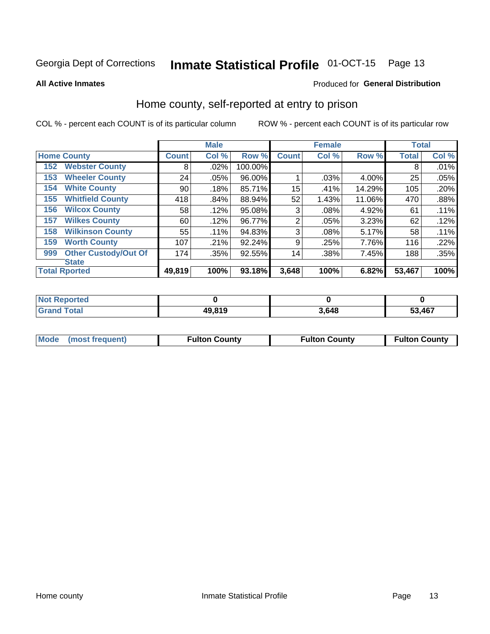#### Inmate Statistical Profile 01-OCT-15 Page 13

**All Active Inmates** 

### Produced for General Distribution

### Home county, self-reported at entry to prison

COL % - percent each COUNT is of its particular column

|     |                             |              | <b>Male</b> |         |                | <b>Female</b> |        | <b>Total</b> |       |
|-----|-----------------------------|--------------|-------------|---------|----------------|---------------|--------|--------------|-------|
|     | <b>Home County</b>          | <b>Count</b> | Col %       | Row %   | <b>Count</b>   | Col %         | Row %  | <b>Total</b> | Col % |
| 152 | <b>Webster County</b>       | 8            | .02%        | 100.00% |                |               |        | 8            | .01%  |
| 153 | <b>Wheeler County</b>       | 24           | .05%        | 96.00%  |                | .03%          | 4.00%  | 25           | .05%  |
| 154 | <b>White County</b>         | 90           | .18%        | 85.71%  | 15             | .41%          | 14.29% | 105          | .20%  |
| 155 | <b>Whitfield County</b>     | 418          | .84%        | 88.94%  | 52             | 1.43%         | 11.06% | 470          | .88%  |
| 156 | <b>Wilcox County</b>        | 58           | .12%        | 95.08%  | 3              | .08%          | 4.92%  | 61           | .11%  |
| 157 | <b>Wilkes County</b>        | 60           | .12%        | 96.77%  | $\overline{2}$ | .05%          | 3.23%  | 62           | .12%  |
| 158 | <b>Wilkinson County</b>     | 55           | .11%        | 94.83%  | 3              | .08%          | 5.17%  | 58           | .11%  |
| 159 | <b>Worth County</b>         | 107          | .21%        | 92.24%  | 9              | .25%          | 7.76%  | 116          | .22%  |
| 999 | <b>Other Custody/Out Of</b> | 174          | .35%        | 92.55%  | 14             | .38%          | 7.45%  | 188          | .35%  |
|     | <b>State</b>                |              |             |         |                |               |        |              |       |
|     | <b>Total Rported</b>        | 49,819       | 100%        | 93.18%  | 3,648          | 100%          | 6.82%  | 53,467       | 100%  |

| <b>Not</b><br>Reported |        |       |        |
|------------------------|--------|-------|--------|
| <sup>-</sup> otal      | 49,819 | 3,648 | 53,467 |

|  | Mode (most frequent) | <b>Fulton County</b> | <b>Fulton County</b> | <b>Fulton County</b> |
|--|----------------------|----------------------|----------------------|----------------------|
|--|----------------------|----------------------|----------------------|----------------------|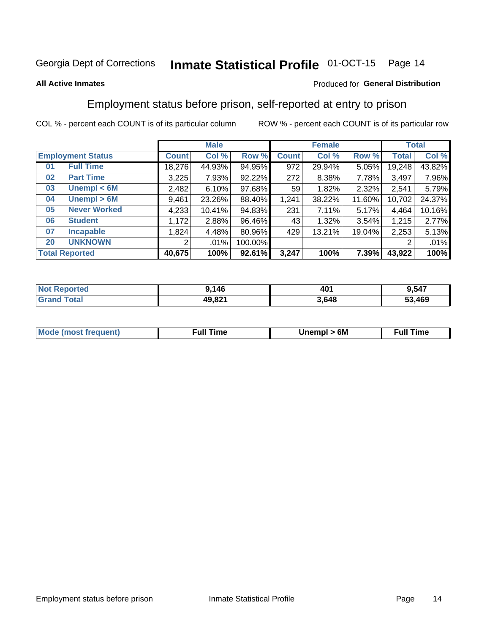#### Inmate Statistical Profile 01-OCT-15 Page 14

### **All Active Inmates**

### Produced for General Distribution

### Employment status before prison, self-reported at entry to prison

COL % - percent each COUNT is of its particular column

|                           |              | <b>Male</b> |         |              | <b>Female</b> |        |              | <b>Total</b> |
|---------------------------|--------------|-------------|---------|--------------|---------------|--------|--------------|--------------|
| <b>Employment Status</b>  | <b>Count</b> | Col %       | Row %   | <b>Count</b> | Col %         | Row %  | <b>Total</b> | Col %        |
| <b>Full Time</b><br>01    | 18,276       | 44.93%      | 94.95%  | 972          | 29.94%        | 5.05%  | 19,248       | 43.82%       |
| <b>Part Time</b><br>02    | 3,225        | 7.93%       | 92.22%  | 272          | 8.38%         | 7.78%  | 3,497        | 7.96%        |
| Unempl $<$ 6M<br>03       | 2,482        | 6.10%       | 97.68%  | 59           | 1.82%         | 2.32%  | 2,541        | 5.79%        |
| Unempl > 6M<br>04         | 9,461        | 23.26%      | 88.40%  | 1,241        | 38.22%        | 11.60% | 10,702       | 24.37%       |
| <b>Never Worked</b><br>05 | 4,233        | 10.41%      | 94.83%  | 231          | 7.11%         | 5.17%  | 4,464        | 10.16%       |
| <b>Student</b><br>06      | 1,172        | 2.88%       | 96.46%  | 43           | 1.32%         | 3.54%  | 1,215        | 2.77%        |
| 07<br><b>Incapable</b>    | 1,824        | 4.48%       | 80.96%  | 429          | 13.21%        | 19.04% | 2,253        | 5.13%        |
| <b>UNKNOWN</b><br>20      | 2            | $.01\%$     | 100.00% |              |               |        | 2            | .01%         |
| <b>Total Reported</b>     | 40,675       | 100%        | 92.61%  | 3,247        | 100%          | 7.39%  | 43,922       | 100%         |

| <b>Not Reported</b> | 9,146  | 401   | 9,547  |
|---------------------|--------|-------|--------|
| <b>Grand Total</b>  | 49,821 | 3,648 | 53,469 |

| <b>Mode (most frequent)</b> | 6M<br><b>Jnempl</b> | <b>Full Time</b> |
|-----------------------------|---------------------|------------------|
|                             |                     |                  |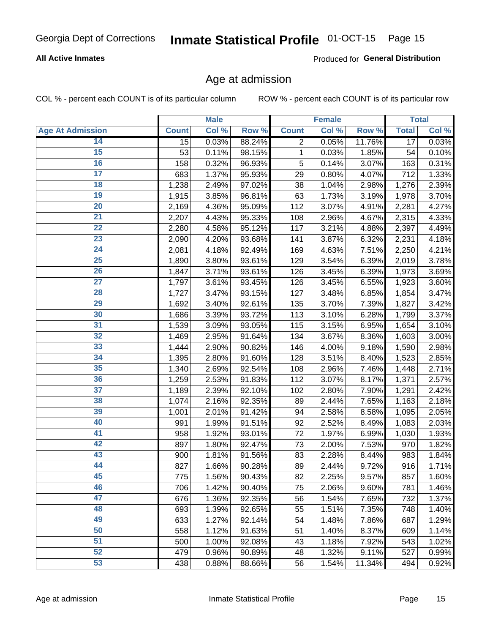# Inmate Statistical Profile 01-OCT-15 Page 15

### **All Active Inmates**

Produced for General Distribution

### Age at admission

COL % - percent each COUNT is of its particular column

|                         |              | <b>Male</b> |        |                | <b>Female</b> |        |                 | <b>Total</b> |
|-------------------------|--------------|-------------|--------|----------------|---------------|--------|-----------------|--------------|
| <b>Age At Admission</b> | <b>Count</b> | Col %       | Row %  | <b>Count</b>   | Col %         | Row %  | <b>Total</b>    | Col %        |
| 14                      | 15           | 0.03%       | 88.24% | $\overline{2}$ | 0.05%         | 11.76% | $\overline{17}$ | 0.03%        |
| 15                      | 53           | 0.11%       | 98.15% | 1              | 0.03%         | 1.85%  | 54              | 0.10%        |
| 16                      | 158          | 0.32%       | 96.93% | 5              | 0.14%         | 3.07%  | 163             | 0.31%        |
| $\overline{17}$         | 683          | 1.37%       | 95.93% | 29             | 0.80%         | 4.07%  | 712             | 1.33%        |
| $\overline{18}$         | 1,238        | 2.49%       | 97.02% | 38             | 1.04%         | 2.98%  | 1,276           | 2.39%        |
| 19                      | 1,915        | 3.85%       | 96.81% | 63             | 1.73%         | 3.19%  | 1,978           | 3.70%        |
| 20                      | 2,169        | 4.36%       | 95.09% | 112            | 3.07%         | 4.91%  | 2,281           | 4.27%        |
| $\overline{21}$         | 2,207        | 4.43%       | 95.33% | 108            | 2.96%         | 4.67%  | 2,315           | 4.33%        |
| $\overline{22}$         | 2,280        | 4.58%       | 95.12% | 117            | 3.21%         | 4.88%  | 2,397           | 4.49%        |
| $\overline{23}$         | 2,090        | 4.20%       | 93.68% | 141            | 3.87%         | 6.32%  | 2,231           | 4.18%        |
| 24                      | 2,081        | 4.18%       | 92.49% | 169            | 4.63%         | 7.51%  | 2,250           | 4.21%        |
| $\overline{25}$         | 1,890        | 3.80%       | 93.61% | 129            | 3.54%         | 6.39%  | 2,019           | 3.78%        |
| $\overline{26}$         | 1,847        | 3.71%       | 93.61% | 126            | 3.45%         | 6.39%  | 1,973           | 3.69%        |
| $\overline{27}$         | 1,797        | 3.61%       | 93.45% | 126            | 3.45%         | 6.55%  | 1,923           | 3.60%        |
| 28                      | 1,727        | 3.47%       | 93.15% | 127            | 3.48%         | 6.85%  | 1,854           | 3.47%        |
| 29                      | 1,692        | 3.40%       | 92.61% | 135            | 3.70%         | 7.39%  | 1,827           | 3.42%        |
| 30                      | 1,686        | 3.39%       | 93.72% | 113            | 3.10%         | 6.28%  | 1,799           | 3.37%        |
| 31                      | 1,539        | 3.09%       | 93.05% | 115            | 3.15%         | 6.95%  | 1,654           | 3.10%        |
| 32                      | 1,469        | 2.95%       | 91.64% | 134            | 3.67%         | 8.36%  | 1,603           | 3.00%        |
| 33                      | 1,444        | 2.90%       | 90.82% | 146            | 4.00%         | 9.18%  | 1,590           | 2.98%        |
| 34                      | 1,395        | 2.80%       | 91.60% | 128            | 3.51%         | 8.40%  | 1,523           | 2.85%        |
| 35                      | 1,340        | 2.69%       | 92.54% | 108            | 2.96%         | 7.46%  | 1,448           | 2.71%        |
| 36                      | 1,259        | 2.53%       | 91.83% | 112            | 3.07%         | 8.17%  | 1,371           | 2.57%        |
| $\overline{37}$         | 1,189        | 2.39%       | 92.10% | 102            | 2.80%         | 7.90%  | 1,291           | 2.42%        |
| 38                      | 1,074        | 2.16%       | 92.35% | 89             | 2.44%         | 7.65%  | 1,163           | 2.18%        |
| 39                      | 1,001        | 2.01%       | 91.42% | 94             | 2.58%         | 8.58%  | 1,095           | 2.05%        |
| 40                      | 991          | 1.99%       | 91.51% | 92             | 2.52%         | 8.49%  | 1,083           | 2.03%        |
| 41                      | 958          | 1.92%       | 93.01% | 72             | 1.97%         | 6.99%  | 1,030           | 1.93%        |
| 42                      | 897          | 1.80%       | 92.47% | 73             | 2.00%         | 7.53%  | 970             | 1.82%        |
| 43                      | 900          | 1.81%       | 91.56% | 83             | 2.28%         | 8.44%  | 983             | 1.84%        |
| 44                      | 827          | 1.66%       | 90.28% | 89             | 2.44%         | 9.72%  | 916             | 1.71%        |
| 45                      | 775          | 1.56%       | 90.43% | 82             | 2.25%         | 9.57%  | 857             | 1.60%        |
| 46                      | 706          | 1.42%       | 90.40% | 75             | 2.06%         | 9.60%  | 781             | 1.46%        |
| 47                      | 676          | 1.36%       | 92.35% | 56             | 1.54%         | 7.65%  | 732             | 1.37%        |
| 48                      | 693          | 1.39%       | 92.65% | 55             | 1.51%         | 7.35%  | 748             | 1.40%        |
| 49                      | 633          | 1.27%       | 92.14% | 54             | 1.48%         | 7.86%  | 687             | 1.29%        |
| 50                      | 558          | 1.12%       | 91.63% | 51             | 1.40%         | 8.37%  | 609             | 1.14%        |
| 51                      | 500          | 1.00%       | 92.08% | 43             | 1.18%         | 7.92%  | 543             | 1.02%        |
| 52                      | 479          | 0.96%       | 90.89% | 48             | 1.32%         | 9.11%  | 527             | 0.99%        |
| 53                      | 438          | 0.88%       | 88.66% | 56             | 1.54%         | 11.34% | 494             | 0.92%        |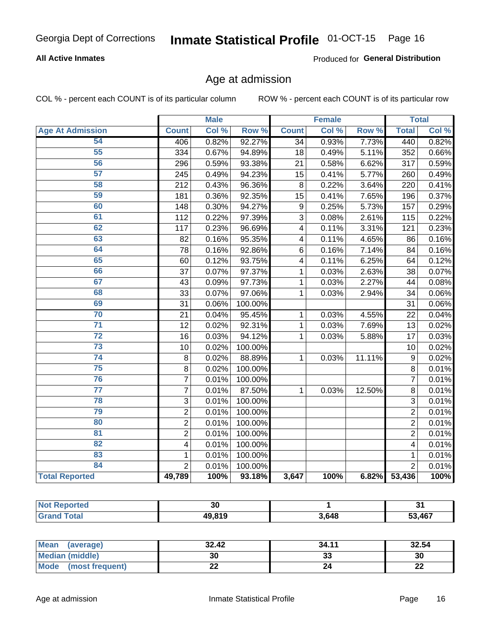#### Inmate Statistical Profile 01-OCT-15 Page 16

### **All Active Inmates**

Produced for General Distribution

### Age at admission

COL % - percent each COUNT is of its particular column

|                         |                         | <b>Male</b> |         |                         | <b>Female</b> |                  |                         | <b>Total</b> |
|-------------------------|-------------------------|-------------|---------|-------------------------|---------------|------------------|-------------------------|--------------|
| <b>Age At Admission</b> | <b>Count</b>            | Col %       | Row %   | <b>Count</b>            | Col %         | Row <sup>%</sup> | <b>Total</b>            | Col %        |
| 54                      | 406                     | 0.82%       | 92.27%  | $\overline{34}$         | 0.93%         | 7.73%            | 440                     | 0.82%        |
| 55                      | 334                     | 0.67%       | 94.89%  | 18                      | 0.49%         | 5.11%            | 352                     | 0.66%        |
| 56                      | 296                     | 0.59%       | 93.38%  | $\overline{21}$         | 0.58%         | 6.62%            | 317                     | 0.59%        |
| $\overline{57}$         | 245                     | 0.49%       | 94.23%  | 15                      | 0.41%         | 5.77%            | 260                     | 0.49%        |
| 58                      | 212                     | 0.43%       | 96.36%  | 8                       | 0.22%         | 3.64%            | 220                     | 0.41%        |
| 59                      | 181                     | 0.36%       | 92.35%  | 15                      | 0.41%         | 7.65%            | 196                     | 0.37%        |
| 60                      | 148                     | 0.30%       | 94.27%  | $\boldsymbol{9}$        | 0.25%         | 5.73%            | 157                     | 0.29%        |
| 61                      | 112                     | 0.22%       | 97.39%  | 3                       | 0.08%         | 2.61%            | 115                     | 0.22%        |
| 62                      | 117                     | 0.23%       | 96.69%  | $\overline{\mathbf{4}}$ | 0.11%         | 3.31%            | 121                     | 0.23%        |
| 63                      | 82                      | 0.16%       | 95.35%  | 4                       | 0.11%         | 4.65%            | 86                      | 0.16%        |
| 64                      | 78                      | 0.16%       | 92.86%  | 6                       | 0.16%         | 7.14%            | 84                      | 0.16%        |
| 65                      | 60                      | 0.12%       | 93.75%  | $\overline{\mathbf{4}}$ | 0.11%         | 6.25%            | 64                      | 0.12%        |
| 66                      | 37                      | 0.07%       | 97.37%  | 1                       | 0.03%         | 2.63%            | 38                      | 0.07%        |
| 67                      | 43                      | 0.09%       | 97.73%  | 1                       | 0.03%         | 2.27%            | 44                      | 0.08%        |
| 68                      | 33                      | 0.07%       | 97.06%  | 1                       | 0.03%         | 2.94%            | 34                      | 0.06%        |
| 69                      | 31                      | 0.06%       | 100.00% |                         |               |                  | 31                      | 0.06%        |
| 70                      | 21                      | 0.04%       | 95.45%  | 1                       | 0.03%         | 4.55%            | 22                      | 0.04%        |
| $\overline{71}$         | 12                      | 0.02%       | 92.31%  | 1                       | 0.03%         | 7.69%            | 13                      | 0.02%        |
| $\overline{72}$         | 16                      | 0.03%       | 94.12%  | 1                       | 0.03%         | 5.88%            | 17                      | 0.03%        |
| $\overline{73}$         | 10                      | 0.02%       | 100.00% |                         |               |                  | 10                      | 0.02%        |
| $\overline{74}$         | 8                       | 0.02%       | 88.89%  | 1                       | 0.03%         | 11.11%           | 9                       | 0.02%        |
| 75                      | 8                       | 0.02%       | 100.00% |                         |               |                  | 8                       | 0.01%        |
| 76                      | $\overline{7}$          | 0.01%       | 100.00% |                         |               |                  | $\overline{7}$          | 0.01%        |
| $\overline{77}$         | $\overline{7}$          | 0.01%       | 87.50%  | 1                       | 0.03%         | 12.50%           | 8                       | 0.01%        |
| 78                      | $\overline{3}$          | 0.01%       | 100.00% |                         |               |                  | $\overline{3}$          | 0.01%        |
| 79                      | $\overline{2}$          | 0.01%       | 100.00% |                         |               |                  | $\overline{2}$          | 0.01%        |
| 80                      | $\overline{2}$          | 0.01%       | 100.00% |                         |               |                  | $\overline{2}$          | 0.01%        |
| $\overline{81}$         | $\overline{2}$          | 0.01%       | 100.00% |                         |               |                  | $\overline{2}$          | 0.01%        |
| $\overline{82}$         | $\overline{\mathbf{4}}$ | 0.01%       | 100.00% |                         |               |                  | $\overline{\mathbf{4}}$ | 0.01%        |
| 83                      | $\mathbf{1}$            | 0.01%       | 100.00% |                         |               |                  | $\mathbf{1}$            | 0.01%        |
| 84                      | $\overline{2}$          | 0.01%       | 100.00% |                         |               |                  | $\overline{2}$          | 0.01%        |
| <b>Total Reported</b>   | 49,789                  | 100%        | 93.18%  | 3,647                   | 100%          | 6.82%            | 53,436                  | 100%         |

| <b>Not</b><br><b>oorted</b> | ას            |       | -<br>ີ |
|-----------------------------|---------------|-------|--------|
| <b>Total</b><br>Gra         | <b>49 810</b> | 3,648 | 53.467 |

| Mean (average)         | 32.42 | 34.11   | 32.54    |
|------------------------|-------|---------|----------|
| <b>Median (middle)</b> | 30    | ົ<br>33 | 30       |
| Mode (most frequent)   | ∸∸    | 24      | ጣጣ<br>LL |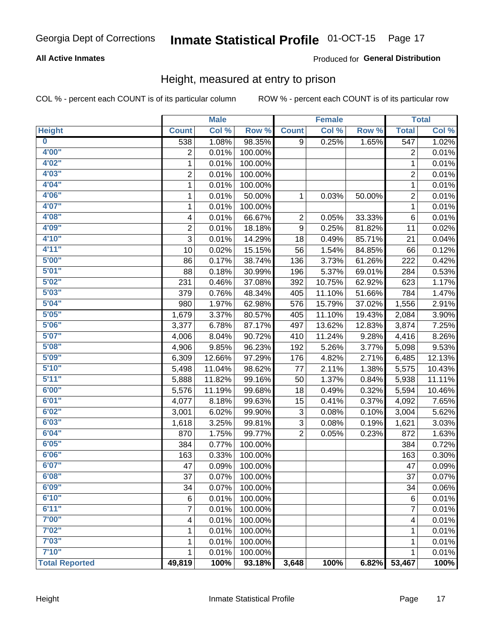#### Inmate Statistical Profile 01-OCT-15 Page 17

### **All Active Inmates**

### Produced for General Distribution

### Height, measured at entry to prison

COL % - percent each COUNT is of its particular column

|                         |                | <b>Male</b> |         |                | <b>Female</b> |        |                     | <b>Total</b> |
|-------------------------|----------------|-------------|---------|----------------|---------------|--------|---------------------|--------------|
| <b>Height</b>           | <b>Count</b>   | Col %       | Row %   | <b>Count</b>   | Col %         | Row %  | <b>Total</b>        | Col %        |
| $\overline{\mathbf{0}}$ | 538            | 1.08%       | 98.35%  | 9              | 0.25%         | 1.65%  | $\overline{547}$    | 1.02%        |
| 4'00"                   | $\overline{2}$ | 0.01%       | 100.00% |                |               |        | 2                   | 0.01%        |
| 4'02''                  | $\mathbf 1$    | 0.01%       | 100.00% |                |               |        | $\mathbf{1}$        | 0.01%        |
| 4'03"                   | $\overline{2}$ | 0.01%       | 100.00% |                |               |        | 2                   | 0.01%        |
| 4'04"                   | 1              | 0.01%       | 100.00% |                |               |        | 1                   | 0.01%        |
| 4'06"                   | $\mathbf{1}$   | 0.01%       | 50.00%  | 1              | 0.03%         | 50.00% | $\overline{2}$      | 0.01%        |
| 4'07"                   | 1              | 0.01%       | 100.00% |                |               |        | 1                   | 0.01%        |
| 4'08"                   | 4              | 0.01%       | 66.67%  | $\overline{c}$ | 0.05%         | 33.33% | $\,6$               | 0.01%        |
| 4'09"                   | $\overline{2}$ | 0.01%       | 18.18%  | 9              | 0.25%         | 81.82% | 11                  | 0.02%        |
| 4'10"                   | $\overline{3}$ | 0.01%       | 14.29%  | 18             | 0.49%         | 85.71% | 21                  | 0.04%        |
| 4'11''                  | 10             | 0.02%       | 15.15%  | 56             | 1.54%         | 84.85% | 66                  | 0.12%        |
| 5'00''                  | 86             | 0.17%       | 38.74%  | 136            | 3.73%         | 61.26% | 222                 | 0.42%        |
| 5'01''                  | 88             | 0.18%       | 30.99%  | 196            | 5.37%         | 69.01% | 284                 | 0.53%        |
| 5'02"                   | 231            | 0.46%       | 37.08%  | 392            | 10.75%        | 62.92% | 623                 | 1.17%        |
| 5'03''                  | 379            | 0.76%       | 48.34%  | 405            | 11.10%        | 51.66% | 784                 | 1.47%        |
| 5'04"                   | 980            | 1.97%       | 62.98%  | 576            | 15.79%        | 37.02% | 1,556               | 2.91%        |
| 5'05"                   | 1,679          | 3.37%       | 80.57%  | 405            | 11.10%        | 19.43% | 2,084               | 3.90%        |
| 5'06''                  | 3,377          | 6.78%       | 87.17%  | 497            | 13.62%        | 12.83% | 3,874               | 7.25%        |
| 5'07''                  | 4,006          | 8.04%       | 90.72%  | 410            | 11.24%        | 9.28%  | 4,416               | 8.26%        |
| 5'08''                  | 4,906          | 9.85%       | 96.23%  | 192            | 5.26%         | 3.77%  | 5,098               | 9.53%        |
| 5'09''                  | 6,309          | 12.66%      | 97.29%  | 176            | 4.82%         | 2.71%  | 6,485               | 12.13%       |
| 5'10''                  | 5,498          | 11.04%      | 98.62%  | 77             | 2.11%         | 1.38%  | 5,575               | 10.43%       |
| 5'11"                   | 5,888          | 11.82%      | 99.16%  | 50             | 1.37%         | 0.84%  | 5,938               | 11.11%       |
| 6'00''                  | 5,576          | 11.19%      | 99.68%  | 18             | 0.49%         | 0.32%  | 5,594               | 10.46%       |
| 6'01''                  | 4,077          | 8.18%       | 99.63%  | 15             | 0.41%         | 0.37%  | 4,092               | 7.65%        |
| 6'02"                   | 3,001          | 6.02%       | 99.90%  | 3              | 0.08%         | 0.10%  | 3,004               | 5.62%        |
| 6'03''                  | 1,618          | 3.25%       | 99.81%  | 3              | 0.08%         | 0.19%  | 1,621               | 3.03%        |
| 6'04"                   | 870            | 1.75%       | 99.77%  | $\overline{2}$ | 0.05%         | 0.23%  | 872                 | 1.63%        |
| 6'05"                   | 384            | 0.77%       | 100.00% |                |               |        | 384                 | 0.72%        |
| 6'06''                  | 163            | 0.33%       | 100.00% |                |               |        | 163                 | 0.30%        |
| 6'07''                  | 47             | 0.09%       | 100.00% |                |               |        | 47                  | 0.09%        |
| 6'08"                   | 37             | 0.07%       | 100.00% |                |               |        | 37                  | 0.07%        |
| 6'09''                  | 34             | 0.07%       | 100.00% |                |               |        | 34                  | 0.06%        |
| 6'10''                  | 6              | 0.01%       | 100.00% |                |               |        | 6                   | 0.01%        |
| 6'11''                  | $\overline{7}$ | 0.01%       | 100.00% |                |               |        | $\overline{7}$      | 0.01%        |
| 7'00"                   | 4              | 0.01%       | 100.00% |                |               |        | 4                   | 0.01%        |
| 7'02"                   | 1              | 0.01%       | 100.00% |                |               |        | 1                   | 0.01%        |
| 7'03''                  | 1              | 0.01%       | 100.00% |                |               |        | 1                   | 0.01%        |
| 7'10''                  | 1              | 0.01%       | 100.00% |                |               |        | 1                   | 0.01%        |
| <b>Total Reported</b>   | 49,819         | 100%        | 93.18%  | 3,648          | 100%          | 6.82%  | $\overline{53,467}$ | 100%         |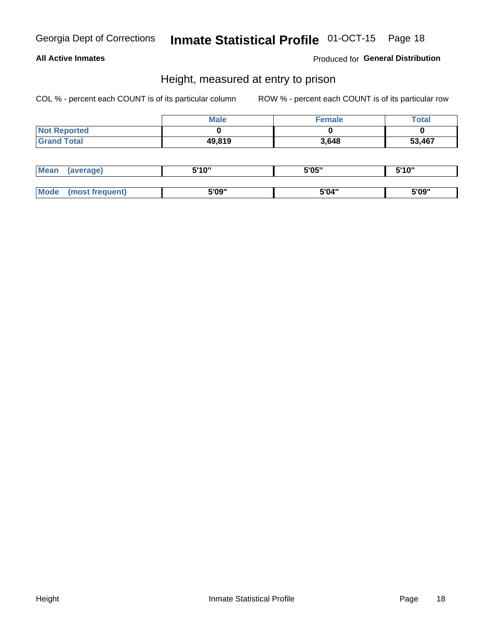# Inmate Statistical Profile 01-OCT-15 Page 18

### **All Active Inmates**

Produced for General Distribution

### Height, measured at entry to prison

COL % - percent each COUNT is of its particular column

|                     | <b>Male</b> | Female | Total  |
|---------------------|-------------|--------|--------|
| <b>Not Reported</b> |             |        |        |
| <b>Grand Total</b>  | 49,819      | 3,648  | 53,467 |

| <b>Mean</b> | erage) | 5'10" | 5'05" | <b>CIA AIL</b><br>. . |
|-------------|--------|-------|-------|-----------------------|
|             |        |       |       |                       |
| <b>Mode</b> |        | 5'09" | 5'04" | 5'09"                 |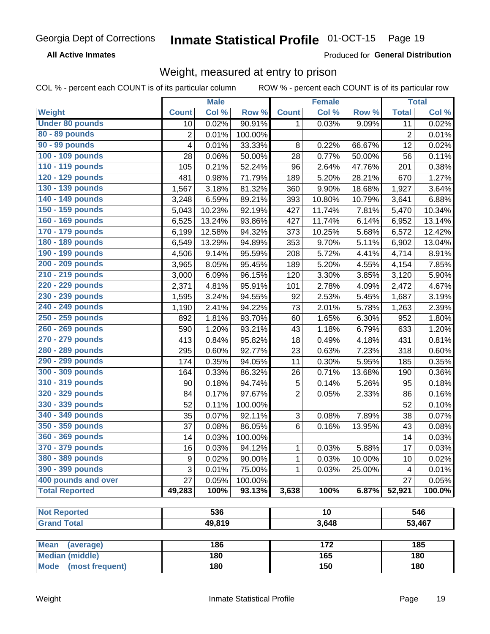#### **Inmate Statistical Profile 01-OCT-15** Page 19

**All Active Inmates** 

Produced for General Distribution

### Weight, measured at entry to prison

COL % - percent each COUNT is of its particular column ROW % - percent each COUNT is of its particular row

|                                                    |              | <b>Male</b> |         |                | <b>Female</b> |                  |              | <b>Total</b> |
|----------------------------------------------------|--------------|-------------|---------|----------------|---------------|------------------|--------------|--------------|
| Weight                                             | <b>Count</b> | Col %       | Row %   | <b>Count</b>   | Col %         | Row <sup>%</sup> | <b>Total</b> | Col %        |
| <b>Under 80 pounds</b>                             | 10           | 0.02%       | 90.91%  | 1              | 0.03%         | 9.09%            | 11           | 0.02%        |
| 80 - 89 pounds                                     | 2            | 0.01%       | 100.00% |                |               |                  | 2            | 0.01%        |
| 90 - 99 pounds                                     | 4            | 0.01%       | 33.33%  | 8              | 0.22%         | 66.67%           | 12           | 0.02%        |
| 100 - 109 pounds                                   | 28           | 0.06%       | 50.00%  | 28             | 0.77%         | 50.00%           | 56           | 0.11%        |
| 110 - 119 pounds                                   | 105          | 0.21%       | 52.24%  | 96             | 2.64%         | 47.76%           | 201          | 0.38%        |
| 120 - 129 pounds                                   | 481          | 0.98%       | 71.79%  | 189            | 5.20%         | 28.21%           | 670          | 1.27%        |
| 130 - 139 pounds                                   | 1,567        | 3.18%       | 81.32%  | 360            | 9.90%         | 18.68%           | 1,927        | 3.64%        |
| 140 - 149 pounds                                   | 3,248        | 6.59%       | 89.21%  | 393            | 10.80%        | 10.79%           | 3,641        | 6.88%        |
| 150 - 159 pounds                                   | 5,043        | 10.23%      | 92.19%  | 427            | 11.74%        | 7.81%            | 5,470        | 10.34%       |
| 160 - 169 pounds                                   | 6,525        | 13.24%      | 93.86%  | 427            | 11.74%        | 6.14%            | 6,952        | 13.14%       |
| 170 - 179 pounds                                   | 6,199        | 12.58%      | 94.32%  | 373            | 10.25%        | 5.68%            | 6,572        | 12.42%       |
| 180 - 189 pounds                                   | 6,549        | 13.29%      | 94.89%  | 353            | 9.70%         | 5.11%            | 6,902        | 13.04%       |
| 190 - 199 pounds                                   | 4,506        | 9.14%       | 95.59%  | 208            | 5.72%         | 4.41%            | 4,714        | 8.91%        |
| 200 - 209 pounds                                   | 3,965        | 8.05%       | 95.45%  | 189            | 5.20%         | 4.55%            | 4,154        | 7.85%        |
| 210 - 219 pounds                                   | 3,000        | 6.09%       | 96.15%  | 120            | 3.30%         | 3.85%            | 3,120        | 5.90%        |
| 220 - 229 pounds                                   | 2,371        | 4.81%       | 95.91%  | 101            | 2.78%         | 4.09%            | 2,472        | 4.67%        |
| 230 - 239 pounds                                   | 1,595        | 3.24%       | 94.55%  | 92             | 2.53%         | 5.45%            | 1,687        | 3.19%        |
| 240 - 249 pounds                                   | 1,190        | 2.41%       | 94.22%  | 73             | 2.01%         | 5.78%            | 1,263        | 2.39%        |
| 250 - 259 pounds                                   | 892          | 1.81%       | 93.70%  | 60             | 1.65%         | 6.30%            | 952          | 1.80%        |
| 260 - 269 pounds                                   | 590          | 1.20%       | 93.21%  | 43             | 1.18%         | 6.79%            | 633          | 1.20%        |
| 270 - 279 pounds                                   | 413          | 0.84%       | 95.82%  | 18             | 0.49%         | 4.18%            | 431          | 0.81%        |
| 280 - 289 pounds                                   | 295          | 0.60%       | 92.77%  | 23             | 0.63%         | 7.23%            | 318          | 0.60%        |
| 290 - 299 pounds                                   | 174          | 0.35%       | 94.05%  | 11             | 0.30%         | 5.95%            | 185          | 0.35%        |
| 300 - 309 pounds                                   | 164          | 0.33%       | 86.32%  | 26             | 0.71%         | 13.68%           | 190          | 0.36%        |
| 310 - 319 pounds                                   | 90           | 0.18%       | 94.74%  | 5              | 0.14%         | 5.26%            | 95           | 0.18%        |
| 320 - 329 pounds                                   | 84           | 0.17%       | 97.67%  | $\overline{2}$ | 0.05%         | 2.33%            | 86           | 0.16%        |
| 330 - 339 pounds                                   | 52           | 0.11%       | 100.00% |                |               |                  | 52           | 0.10%        |
| 340 - 349 pounds                                   | 35           | 0.07%       | 92.11%  | 3              | 0.08%         | 7.89%            | 38           | 0.07%        |
| 350 - 359 pounds                                   | 37           | 0.08%       | 86.05%  | 6              | 0.16%         | 13.95%           | 43           | 0.08%        |
| 360 - 369 pounds                                   | 14           | 0.03%       | 100.00% |                |               |                  | 14           | 0.03%        |
| 370 - 379 pounds                                   | 16           | 0.03%       | 94.12%  | 1              | 0.03%         | 5.88%            | 17           | 0.03%        |
| 380 - 389 pounds                                   | 9            | 0.02%       | 90.00%  | 1              | 0.03%         | 10.00%           | 10           | 0.02%        |
| 390 - 399 pounds                                   | 3            | 0.01%       | 75.00%  | 1              | 0.03%         | 25.00%           | 4            | 0.01%        |
| 400 pounds and over                                | 27           | 0.05%       | 100.00% |                |               |                  | 27           | 0.05%        |
| <b>Total Reported</b>                              | 49,283       | 100%        | 93.13%  | 3,638          | 100%          | 6.87%            | 52,921       | 100.0%       |
|                                                    |              |             |         |                |               |                  |              |              |
| <b>Not Reported</b>                                |              | 536         |         |                | 10            |                  |              | 546          |
| <b>Grand Total</b>                                 |              | 49,819      |         |                | 3,648         |                  |              | 53,467       |
|                                                    |              |             |         |                |               |                  |              |              |
| <b>Mean</b><br>(average)<br><b>Median (middle)</b> |              | 186<br>180  |         |                | 172<br>165    |                  |              | 185<br>180   |
|                                                    |              |             |         |                |               |                  |              |              |
| <b>Mode</b><br>(most frequent)                     |              | 180         |         |                | 150           |                  |              | 180          |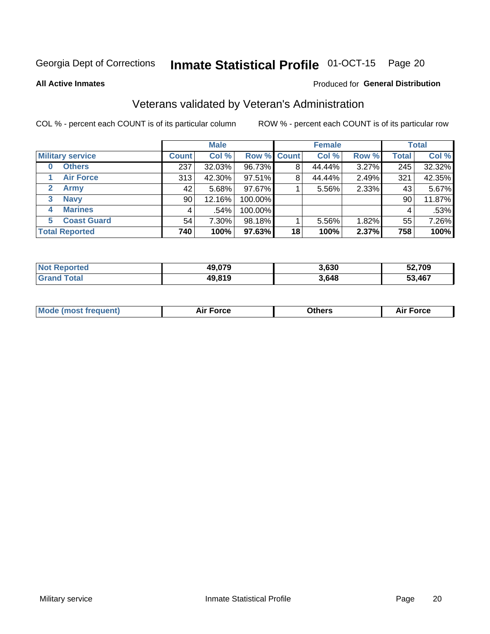#### Inmate Statistical Profile 01-OCT-15 Page 20

**All Active Inmates** 

### Produced for General Distribution

### Veterans validated by Veteran's Administration

COL % - percent each COUNT is of its particular column

|                          |              | <b>Male</b> |             |    | <b>Female</b> |       |              | <b>Total</b> |  |
|--------------------------|--------------|-------------|-------------|----|---------------|-------|--------------|--------------|--|
| <b>Military service</b>  | <b>Count</b> | Col %       | Row % Count |    | Col %         | Row % | <b>Total</b> | Col %        |  |
| <b>Others</b><br>0       | 237          | 32.03%      | 96.73%      | 8  | 44.44%        | 3.27% | 245          | 32.32%       |  |
| <b>Air Force</b>         | 313          | 42.30%      | 97.51%      | 8  | 44.44%        | 2.49% | 321          | 42.35%       |  |
| 2<br>Army                | 42           | 5.68%       | 97.67%      |    | 5.56%         | 2.33% | 43           | 5.67%        |  |
| <b>Navy</b><br>3         | 90           | 12.16%      | 100.00%     |    |               |       | 90           | 11.87%       |  |
| <b>Marines</b><br>4      | 4            | .54%        | 100.00%     |    |               |       | 4            | .53%         |  |
| <b>Coast Guard</b><br>5. | 54           | 7.30%       | 98.18%      |    | 5.56%         | 1.82% | 55           | 7.26%        |  |
| <b>Total Reported</b>    | 740          | 100%        | 97.63%      | 18 | 100%          | 2.37% | 758          | 100%         |  |

| <b>ported</b><br><b>Not</b> | 49,079 | 3,630 | 52,709 |
|-----------------------------|--------|-------|--------|
| <b>otal</b>                 | 49,819 | 3,648 | 53,467 |

|  |  | <b>Mode (most frequent)</b> | <b>Force</b><br>Aır | วthers | orce |
|--|--|-----------------------------|---------------------|--------|------|
|--|--|-----------------------------|---------------------|--------|------|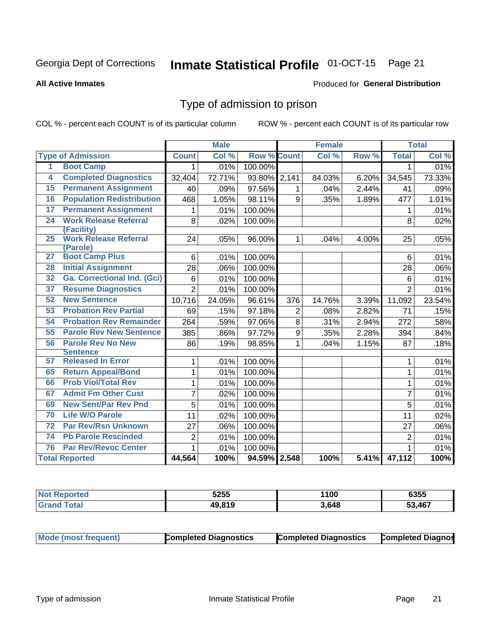#### Inmate Statistical Profile 01-OCT-15 Page 21

#### **All Active Inmates**

### Produced for General Distribution

### Type of admission to prison

COL % - percent each COUNT is of its particular column

|                 |                                          |                | <b>Male</b> |                    |                | <b>Female</b> |       |                | <b>Total</b> |
|-----------------|------------------------------------------|----------------|-------------|--------------------|----------------|---------------|-------|----------------|--------------|
|                 | <b>Type of Admission</b>                 | <b>Count</b>   | Col %       | <b>Row % Count</b> |                | Col %         | Row % | <b>Total</b>   | Col %        |
| 1               | <b>Boot Camp</b>                         | 1.             | .01%        | 100.00%            |                |               |       | 1              | .01%         |
| $\overline{4}$  | <b>Completed Diagnostics</b>             | 32,404         | 72.71%      | 93.80%             | 2,141          | 84.03%        | 6.20% | 34,545         | 73.33%       |
| 15              | <b>Permanent Assignment</b>              | 40             | .09%        | 97.56%             | 1              | .04%          | 2.44% | 41             | .09%         |
| 16              | <b>Population Redistribution</b>         | 468            | 1.05%       | 98.11%             | 9              | .35%          | 1.89% | 477            | 1.01%        |
| $\overline{17}$ | <b>Permanent Assignment</b>              | 1              | .01%        | 100.00%            |                |               |       | 1              | .01%         |
| $\overline{24}$ | <b>Work Release Referral</b>             | 8              | .02%        | 100.00%            |                |               |       | 8              | .02%         |
|                 | (Facility)                               |                |             |                    |                |               |       |                |              |
| $\overline{25}$ | <b>Work Release Referral</b><br>(Parole) | 24             | .05%        | 96.00%             | $\mathbf 1$    | .04%          | 4.00% | 25             | .05%         |
| $\overline{27}$ | <b>Boot Camp Plus</b>                    | 6              | .01%        | 100.00%            |                |               |       | 6              | .01%         |
| 28              | <b>Initial Assignment</b>                | 28             | .06%        | 100.00%            |                |               |       | 28             | .06%         |
| 32              | <b>Ga. Correctional Ind. (Gci)</b>       |                |             |                    |                |               |       |                |              |
|                 |                                          | 6              | .01%        | 100.00%            |                |               |       | 6              | .01%         |
| 37              | <b>Resume Diagnostics</b>                | $\overline{2}$ | .01%        | 100.00%            |                |               |       | $\overline{2}$ | .01%         |
| 52              | <b>New Sentence</b>                      | 10,716         | 24.05%      | 96.61%             | 376            | 14.76%        | 3.39% | 11,092         | 23.54%       |
| 53              | <b>Probation Rev Partial</b>             | 69             | .15%        | 97.18%             | $\overline{2}$ | .08%          | 2.82% | 71             | .15%         |
| 54              | <b>Probation Rev Remainder</b>           | 264            | .59%        | 97.06%             | 8              | .31%          | 2.94% | 272            | .58%         |
| 55              | <b>Parole Rev New Sentence</b>           | 385            | .86%        | 97.72%             | $\mathsf g$    | .35%          | 2.28% | 394            | .84%         |
| 56              | <b>Parole Rev No New</b>                 | 86             | .19%        | 98.85%             | $\mathbf{1}$   | .04%          | 1.15% | 87             | .18%         |
|                 | <b>Sentence</b>                          |                |             |                    |                |               |       |                |              |
| 57              | <b>Released In Error</b>                 | 1              | .01%        | 100.00%            |                |               |       | 1              | .01%         |
| 65              | <b>Return Appeal/Bond</b>                | 1              | .01%        | 100.00%            |                |               |       | 1              | .01%         |
| 66              | <b>Prob Viol/Total Rev</b>               | $\mathbf{1}$   | .01%        | 100.00%            |                |               |       | $\mathbf{1}$   | .01%         |
| 67              | <b>Admit Fm Other Cust</b>               | $\overline{7}$ | .02%        | 100.00%            |                |               |       | $\overline{7}$ | .01%         |
| 69              | <b>New Sent/Par Rev Pnd</b>              | $\overline{5}$ | .01%        | 100.00%            |                |               |       | 5              | .01%         |
| 70              | <b>Life W/O Parole</b>                   | 11             | .02%        | 100.00%            |                |               |       | 11             | .02%         |
| $\overline{72}$ | <b>Par Rev/Rsn Unknown</b>               | 27             | .06%        | 100.00%            |                |               |       | 27             | .06%         |
| 74              | <b>Pb Parole Rescinded</b>               | $\overline{2}$ | .01%        | 100.00%            |                |               |       | $\overline{2}$ | .01%         |
| 76              | <b>Par Rev/Revoc Center</b>              | $\mathbf{1}$   | .01%        | 100.00%            |                |               |       | 1              | .01%         |
|                 | <b>Total Reported</b>                    | 44,564         | 100%        | 94.59% 2,548       |                | 100%          | 5.41% | 47,112         | 100%         |

| <b>Not Reported</b> | 5255   | <b>1100</b> | 6355       |
|---------------------|--------|-------------|------------|
| ้ำfai.              | 40 R10 | 3,648       | ,467<br>гл |

| <b>Mode (most frequent)</b> | <b>Completed Diagnostics</b> | <b>Completed Diagnostics</b> | <b>Completed Diagnos</b> |
|-----------------------------|------------------------------|------------------------------|--------------------------|
|-----------------------------|------------------------------|------------------------------|--------------------------|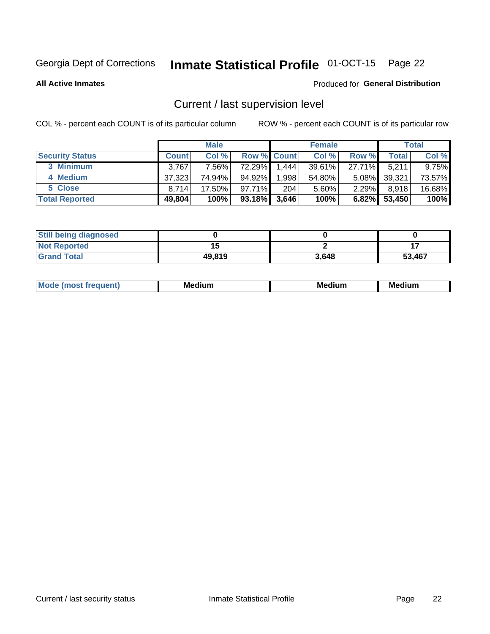# Inmate Statistical Profile 01-OCT-15 Page 22

**All Active Inmates** 

### Produced for General Distribution

### Current / last supervision level

COL % - percent each COUNT is of its particular column

|                        |              | <b>Male</b> |        |                    | <b>Female</b> |          |        | <b>Total</b> |
|------------------------|--------------|-------------|--------|--------------------|---------------|----------|--------|--------------|
| <b>Security Status</b> | <b>Count</b> | Col %       |        | <b>Row % Count</b> | Col %         | Row %    | Total  | Col %        |
| 3 Minimum              | 3,767        | 7.56%       | 72.29% | 1,444              | $39.61\%$     | 27.71%   | 5,211  | $9.75\%$     |
| 4 Medium               | 37,323       | 74.94%      | 94.92% | 1,998              | 54.80%        | $5.08\%$ | 39,321 | 73.57%       |
| 5 Close                | 8.714        | 17.50%      | 97.71% | 204                | 5.60%         | $2.29\%$ | 8,918  | 16.68%       |
| <b>Total Reported</b>  | 49,804       | 100%        | 93.18% | 3,646              | 100%          | 6.82%    | 53,450 | 100%         |

| <b>Still being diagnosed</b> |        |       |        |
|------------------------------|--------|-------|--------|
| <b>Not Reported</b>          |        |       |        |
| <b>Grand Total</b>           | 49,819 | 3,648 | 53,467 |

| M | M | . . |
|---|---|-----|
|   |   |     |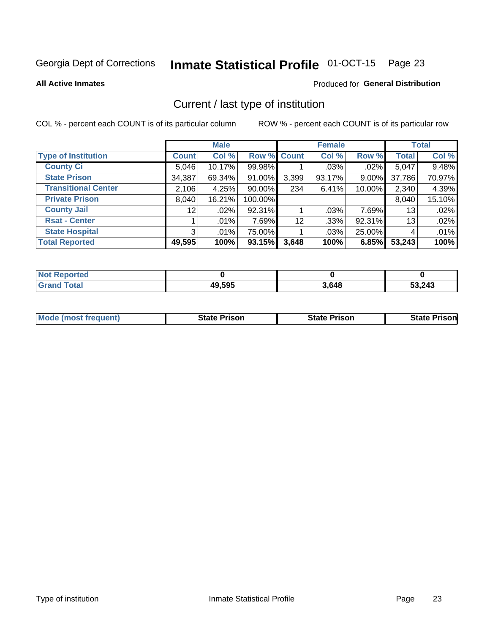# Inmate Statistical Profile 01-OCT-15 Page 23

**All Active Inmates** 

### Produced for General Distribution

### Current / last type of institution

COL % - percent each COUNT is of its particular column

|                            |                 | <b>Male</b> |             |                 | <b>Female</b> |        |              | <b>Total</b> |
|----------------------------|-----------------|-------------|-------------|-----------------|---------------|--------|--------------|--------------|
| <b>Type of Institution</b> | <b>Count</b>    | Col %       | Row % Count |                 | Col %         | Row %  | <b>Total</b> | Col %        |
| <b>County Ci</b>           | 5,046           | 10.17%      | 99.98%      |                 | $.03\%$       | .02%   | 5,047        | 9.48%        |
| <b>State Prison</b>        | 34,387          | 69.34%      | 91.00%      | 3,399           | 93.17%        | 9.00%  | 37,786       | 70.97%       |
| <b>Transitional Center</b> | 2,106           | 4.25%       | $90.00\%$   | 234             | 6.41%         | 10.00% | 2,340        | 4.39%        |
| <b>Private Prison</b>      | 8,040           | 16.21%      | 100.00%     |                 |               |        | 8,040        | 15.10%       |
| <b>County Jail</b>         | 12 <sup>°</sup> | .02%        | 92.31%      |                 | .03%          | 7.69%  | 13           | .02%         |
| <b>Rsat - Center</b>       |                 | .01%        | 7.69%       | 12 <sup>2</sup> | .33%          | 92.31% | 13           | .02%         |
| <b>State Hospital</b>      | 3 <sup>1</sup>  | $.01\%$     | 75.00%      |                 | .03%          | 25.00% | 4            | .01%         |
| <b>Total Reported</b>      | 49,595          | 100%        | 93.15%      | 3,648           | 100%          | 6.85%  | 53,243       | 100%         |

| ported<br>' NOT |        |       |        |
|-----------------|--------|-------|--------|
| otal            | 49,595 | 3.648 | 53,243 |

| <b>Mode (most frequent)</b> | <b>State Prison</b> | <b>State Prison</b> | <b>State Prison</b> |
|-----------------------------|---------------------|---------------------|---------------------|
|                             |                     |                     |                     |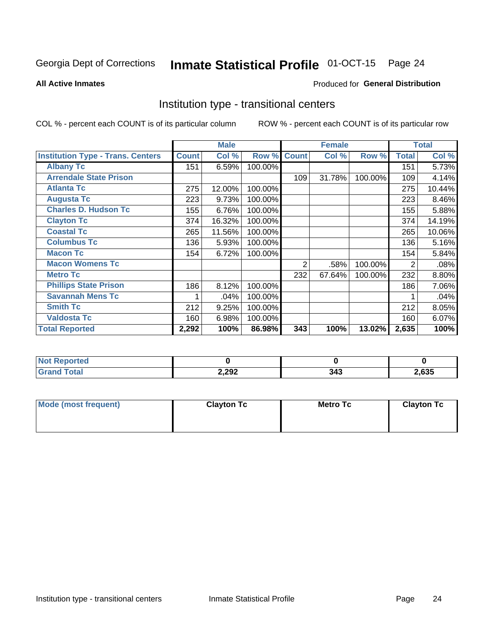# Inmate Statistical Profile 01-OCT-15 Page 24

#### **All Active Inmates**

### **Produced for General Distribution**

### Institution type - transitional centers

COL % - percent each COUNT is of its particular column

|                                          |              | <b>Male</b> |         |              | <b>Female</b> |         |              | <b>Total</b> |
|------------------------------------------|--------------|-------------|---------|--------------|---------------|---------|--------------|--------------|
| <b>Institution Type - Trans. Centers</b> | <b>Count</b> | Col %       | Row %   | <b>Count</b> | Col %         | Row %   | <b>Total</b> | Col %        |
| <b>Albany Tc</b>                         | 151          | 6.59%       | 100.00% |              |               |         | 151          | 5.73%        |
| <b>Arrendale State Prison</b>            |              |             |         | 109          | 31.78%        | 100.00% | 109          | 4.14%        |
| <b>Atlanta Tc</b>                        | 275          | 12.00%      | 100.00% |              |               |         | 275          | 10.44%       |
| <b>Augusta Tc</b>                        | 223          | 9.73%       | 100.00% |              |               |         | 223          | 8.46%        |
| <b>Charles D. Hudson Tc</b>              | 155          | 6.76%       | 100.00% |              |               |         | 155          | 5.88%        |
| <b>Clayton Tc</b>                        | 374          | 16.32%      | 100.00% |              |               |         | 374          | 14.19%       |
| <b>Coastal Tc</b>                        | 265          | 11.56%      | 100.00% |              |               |         | 265          | 10.06%       |
| <b>Columbus Tc</b>                       | 136          | 5.93%       | 100.00% |              |               |         | 136          | 5.16%        |
| <b>Macon Tc</b>                          | 154          | 6.72%       | 100.00% |              |               |         | 154          | 5.84%        |
| <b>Macon Womens Tc</b>                   |              |             |         | 2            | .58%          | 100.00% | 2            | .08%         |
| <b>Metro Tc</b>                          |              |             |         | 232          | 67.64%        | 100.00% | 232          | 8.80%        |
| <b>Phillips State Prison</b>             | 186          | 8.12%       | 100.00% |              |               |         | 186          | 7.06%        |
| <b>Savannah Mens Tc</b>                  | 1            | .04%        | 100.00% |              |               |         |              | .04%         |
| <b>Smith Tc</b>                          | 212          | 9.25%       | 100.00% |              |               |         | 212          | 8.05%        |
| <b>Valdosta Tc</b>                       | 160          | 6.98%       | 100.00% |              |               |         | 160          | 6.07%        |
| <b>Total Reported</b>                    | 2,292        | 100%        | 86.98%  | 343          | 100%          | 13.02%  | 2,635        | 100%         |

| NO<br>portea |       |          |      |
|--------------|-------|----------|------|
| ____         | 2,292 | <b>.</b> | ,635 |

| Mode (most frequent) | <b>Clayton Tc</b> | Metro Tc | <b>Clayton Tc</b> |
|----------------------|-------------------|----------|-------------------|
|                      |                   |          |                   |
|                      |                   |          |                   |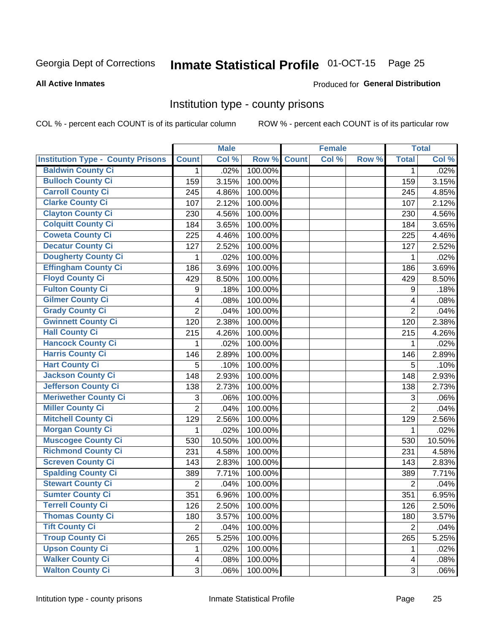# Inmate Statistical Profile 01-OCT-15 Page 25

#### **All Active Inmates**

#### Produced for General Distribution

### Institution type - county prisons

COL % - percent each COUNT is of its particular column

|                                          |                         | <b>Male</b> |         |              | <b>Female</b> |       |                          | <b>Total</b> |
|------------------------------------------|-------------------------|-------------|---------|--------------|---------------|-------|--------------------------|--------------|
| <b>Institution Type - County Prisons</b> | <b>Count</b>            | Col %       | Row %   | <b>Count</b> | Col %         | Row % | <b>Total</b>             | Col %        |
| <b>Baldwin County Ci</b>                 | $\mathbf{1}$            | .02%        | 100.00% |              |               |       | $\mathbf 1$              | .02%         |
| <b>Bulloch County Ci</b>                 | 159                     | 3.15%       | 100.00% |              |               |       | 159                      | 3.15%        |
| <b>Carroll County Ci</b>                 | 245                     | 4.86%       | 100.00% |              |               |       | 245                      | 4.85%        |
| <b>Clarke County Ci</b>                  | 107                     | 2.12%       | 100.00% |              |               |       | 107                      | 2.12%        |
| <b>Clayton County Ci</b>                 | 230                     | 4.56%       | 100.00% |              |               |       | 230                      | 4.56%        |
| <b>Colquitt County Ci</b>                | 184                     | 3.65%       | 100.00% |              |               |       | 184                      | 3.65%        |
| <b>Coweta County Ci</b>                  | 225                     | 4.46%       | 100.00% |              |               |       | 225                      | 4.46%        |
| <b>Decatur County Ci</b>                 | 127                     | 2.52%       | 100.00% |              |               |       | 127                      | 2.52%        |
| <b>Dougherty County Ci</b>               | 1                       | .02%        | 100.00% |              |               |       | 1                        | .02%         |
| <b>Effingham County Ci</b>               | 186                     | 3.69%       | 100.00% |              |               |       | 186                      | 3.69%        |
| <b>Floyd County Ci</b>                   | 429                     | 8.50%       | 100.00% |              |               |       | 429                      | 8.50%        |
| <b>Fulton County Ci</b>                  | 9                       | .18%        | 100.00% |              |               |       | 9                        | .18%         |
| <b>Gilmer County Ci</b>                  | $\overline{\mathbf{4}}$ | .08%        | 100.00% |              |               |       | 4                        | .08%         |
| <b>Grady County Ci</b>                   | $\overline{2}$          | .04%        | 100.00% |              |               |       | $\overline{2}$           | .04%         |
| <b>Gwinnett County Ci</b>                | 120                     | 2.38%       | 100.00% |              |               |       | 120                      | 2.38%        |
| <b>Hall County Ci</b>                    | 215                     | 4.26%       | 100.00% |              |               |       | 215                      | 4.26%        |
| <b>Hancock County Ci</b>                 | 1                       | .02%        | 100.00% |              |               |       | 1                        | .02%         |
| <b>Harris County Ci</b>                  | 146                     | 2.89%       | 100.00% |              |               |       | 146                      | 2.89%        |
| <b>Hart County Ci</b>                    | 5                       | .10%        | 100.00% |              |               |       | 5                        | .10%         |
| <b>Jackson County Ci</b>                 | 148                     | 2.93%       | 100.00% |              |               |       | 148                      | 2.93%        |
| Jefferson County Ci                      | 138                     | 2.73%       | 100.00% |              |               |       | 138                      | 2.73%        |
| <b>Meriwether County Ci</b>              | 3                       | .06%        | 100.00% |              |               |       | 3                        | .06%         |
| <b>Miller County Ci</b>                  | $\overline{2}$          | .04%        | 100.00% |              |               |       | $\overline{2}$           | .04%         |
| <b>Mitchell County Ci</b>                | 129                     | 2.56%       | 100.00% |              |               |       | 129                      | 2.56%        |
| <b>Morgan County Ci</b>                  | 1                       | .02%        | 100.00% |              |               |       | 1                        | .02%         |
| <b>Muscogee County Ci</b>                | 530                     | 10.50%      | 100.00% |              |               |       | 530                      | 10.50%       |
| <b>Richmond County Ci</b>                | 231                     | 4.58%       | 100.00% |              |               |       | 231                      | 4.58%        |
| <b>Screven County Ci</b>                 | 143                     | 2.83%       | 100.00% |              |               |       | 143                      | 2.83%        |
| <b>Spalding County Ci</b>                | 389                     | 7.71%       | 100.00% |              |               |       | 389                      | 7.71%        |
| <b>Stewart County Ci</b>                 | $\overline{2}$          | .04%        | 100.00% |              |               |       | $\overline{2}$           | .04%         |
| <b>Sumter County Ci</b>                  | 351                     | 6.96%       | 100.00% |              |               |       | 351                      | 6.95%        |
| <b>Terrell County Ci</b>                 | 126                     | 2.50%       | 100.00% |              |               |       | 126                      | 2.50%        |
| <b>Thomas County Ci</b>                  | 180                     | 3.57%       | 100.00% |              |               |       | 180                      | 3.57%        |
| <b>Tift County Ci</b>                    | $\overline{2}$          | .04%        | 100.00% |              |               |       | $\overline{2}$           | .04%         |
| <b>Troup County Ci</b>                   | 265                     | 5.25%       | 100.00% |              |               |       | 265                      | 5.25%        |
| <b>Upson County Ci</b>                   | 1                       | .02%        | 100.00% |              |               |       | 1                        | .02%         |
| <b>Walker County Ci</b>                  | $\overline{4}$          | .08%        | 100.00% |              |               |       | $\overline{\mathcal{A}}$ | .08%         |
| <b>Walton County Ci</b>                  | 3                       | .06%        | 100.00% |              |               |       | 3                        | .06%         |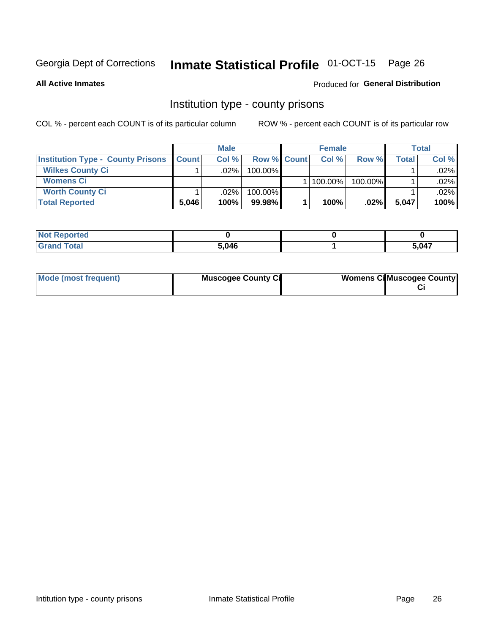# Inmate Statistical Profile 01-OCT-15 Page 26

**All Active Inmates** 

### Produced for General Distribution

### Institution type - county prisons

COL % - percent each COUNT is of its particular column

|                                          | <b>Male</b>      |         |                    | <b>Female</b> |         |         | <b>Total</b> |         |
|------------------------------------------|------------------|---------|--------------------|---------------|---------|---------|--------------|---------|
| <b>Institution Type - County Prisons</b> | <b>I</b> Count I | Col%    | <b>Row % Count</b> |               | Col%    | Row %   | Total        | Col %   |
| <b>Wilkes County Ci</b>                  |                  | .02%    | 100.00%            |               |         |         |              | $.02\%$ |
| <b>Womens Ci</b>                         |                  |         |                    |               | 100.00% | 100.00% |              | .02%    |
| <b>Worth County Ci</b>                   |                  | $.02\%$ | 100.00%            |               |         |         |              | $.02\%$ |
| <b>Total Reported</b>                    | 5,046            | 100%    | $99.98\%$          |               | 100%    | $.02\%$ | 5,047        | 100%    |

| τeα   |       |       |
|-------|-------|-------|
| _____ | 5,046 | 5 በ47 |

| Mode (most frequent) | <b>Muscogee County Ci</b> | <b>Womens Ci</b> Muscogee County |
|----------------------|---------------------------|----------------------------------|
|----------------------|---------------------------|----------------------------------|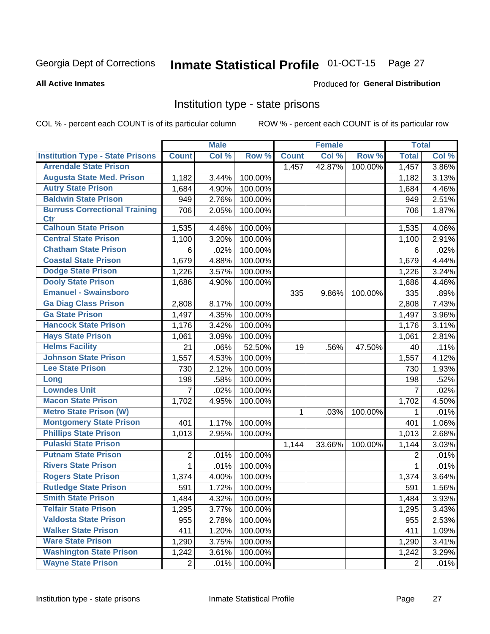# Inmate Statistical Profile 01-OCT-15 Page 27

#### **All Active Inmates**

### Produced for General Distribution

### Institution type - state prisons

COL % - percent each COUNT is of its particular column

|                                         |                | <b>Male</b> |         |              | <b>Female</b> |         | <b>Total</b>   |       |
|-----------------------------------------|----------------|-------------|---------|--------------|---------------|---------|----------------|-------|
| <b>Institution Type - State Prisons</b> | <b>Count</b>   | Col %       | Row %   | <b>Count</b> | Col %         | Row %   | <b>Total</b>   | Col % |
| <b>Arrendale State Prison</b>           |                |             |         | 1,457        | 42.87%        | 100.00% | 1,457          | 3.86% |
| <b>Augusta State Med. Prison</b>        | 1,182          | 3.44%       | 100.00% |              |               |         | 1,182          | 3.13% |
| <b>Autry State Prison</b>               | 1,684          | 4.90%       | 100.00% |              |               |         | 1,684          | 4.46% |
| <b>Baldwin State Prison</b>             | 949            | 2.76%       | 100.00% |              |               |         | 949            | 2.51% |
| <b>Burruss Correctional Training</b>    | 706            | 2.05%       | 100.00% |              |               |         | 706            | 1.87% |
| <b>Ctr</b>                              |                |             |         |              |               |         |                |       |
| <b>Calhoun State Prison</b>             | 1,535          | 4.46%       | 100.00% |              |               |         | 1,535          | 4.06% |
| <b>Central State Prison</b>             | 1,100          | 3.20%       | 100.00% |              |               |         | 1,100          | 2.91% |
| <b>Chatham State Prison</b>             | 6              | .02%        | 100.00% |              |               |         | 6              | .02%  |
| <b>Coastal State Prison</b>             | 1,679          | 4.88%       | 100.00% |              |               |         | 1,679          | 4.44% |
| <b>Dodge State Prison</b>               | 1,226          | 3.57%       | 100.00% |              |               |         | 1,226          | 3.24% |
| <b>Dooly State Prison</b>               | 1,686          | 4.90%       | 100.00% |              |               |         | 1,686          | 4.46% |
| <b>Emanuel - Swainsboro</b>             |                |             |         | 335          | 9.86%         | 100.00% | 335            | .89%  |
| <b>Ga Diag Class Prison</b>             | 2,808          | 8.17%       | 100.00% |              |               |         | 2,808          | 7.43% |
| <b>Ga State Prison</b>                  | 1,497          | 4.35%       | 100.00% |              |               |         | 1,497          | 3.96% |
| <b>Hancock State Prison</b>             | 1,176          | 3.42%       | 100.00% |              |               |         | 1,176          | 3.11% |
| <b>Hays State Prison</b>                | 1,061          | 3.09%       | 100.00% |              |               |         | 1,061          | 2.81% |
| <b>Helms Facility</b>                   | 21             | .06%        | 52.50%  | 19           | .56%          | 47.50%  | 40             | .11%  |
| <b>Johnson State Prison</b>             | 1,557          | 4.53%       | 100.00% |              |               |         | 1,557          | 4.12% |
| <b>Lee State Prison</b>                 | 730            | 2.12%       | 100.00% |              |               |         | 730            | 1.93% |
| Long                                    | 198            | .58%        | 100.00% |              |               |         | 198            | .52%  |
| <b>Lowndes Unit</b>                     | $\overline{7}$ | .02%        | 100.00% |              |               |         | $\overline{7}$ | .02%  |
| <b>Macon State Prison</b>               | 1,702          | 4.95%       | 100.00% |              |               |         | 1,702          | 4.50% |
| <b>Metro State Prison (W)</b>           |                |             |         | $\mathbf 1$  | .03%          | 100.00% | 1              | .01%  |
| <b>Montgomery State Prison</b>          | 401            | 1.17%       | 100.00% |              |               |         | 401            | 1.06% |
| <b>Phillips State Prison</b>            | 1,013          | 2.95%       | 100.00% |              |               |         | 1,013          | 2.68% |
| <b>Pulaski State Prison</b>             |                |             |         | 1,144        | 33.66%        | 100.00% | 1,144          | 3.03% |
| <b>Putnam State Prison</b>              | 2              | .01%        | 100.00% |              |               |         | 2              | .01%  |
| <b>Rivers State Prison</b>              | $\mathbf{1}$   | .01%        | 100.00% |              |               |         | 1              | .01%  |
| <b>Rogers State Prison</b>              | 1,374          | 4.00%       | 100.00% |              |               |         | 1,374          | 3.64% |
| <b>Rutledge State Prison</b>            | 591            | 1.72%       | 100.00% |              |               |         | 591            | 1.56% |
| <b>Smith State Prison</b>               | 1,484          | 4.32%       | 100.00% |              |               |         | 1,484          | 3.93% |
| <b>Telfair State Prison</b>             | 1,295          | 3.77%       | 100.00% |              |               |         | 1,295          | 3.43% |
| <b>Valdosta State Prison</b>            | 955            | 2.78%       | 100.00% |              |               |         | 955            | 2.53% |
| <b>Walker State Prison</b>              | 411            | 1.20%       | 100.00% |              |               |         | 411            | 1.09% |
| <b>Ware State Prison</b>                | 1,290          | 3.75%       | 100.00% |              |               |         | 1,290          | 3.41% |
| <b>Washington State Prison</b>          | 1,242          | 3.61%       | 100.00% |              |               |         | 1,242          | 3.29% |
| <b>Wayne State Prison</b>               | $\overline{2}$ | .01%        | 100.00% |              |               |         | $\overline{2}$ | .01%  |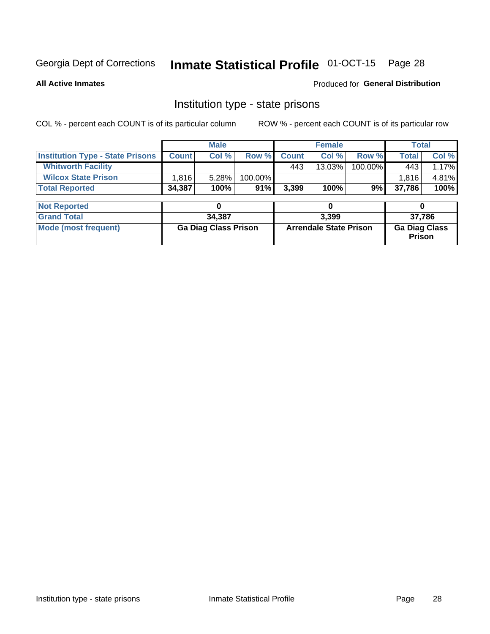# Inmate Statistical Profile 01-OCT-15 Page 28

**All Active Inmates** 

**Produced for General Distribution** 

### Institution type - state prisons

COL % - percent each COUNT is of its particular column

|                                         | <b>Male</b>                 |        |         |                               | <b>Female</b> | <b>Total</b> |                                |       |
|-----------------------------------------|-----------------------------|--------|---------|-------------------------------|---------------|--------------|--------------------------------|-------|
| <b>Institution Type - State Prisons</b> | <b>Count</b>                | Col %  | Row %   | <b>Count</b>                  | Col %         | Row %        | Total                          | Col % |
| <b>Whitworth Facility</b>               |                             |        |         | 443                           | $13.03\%$     | 100.00%      | 443                            | 1.17% |
| <b>Wilcox State Prison</b>              | 1,816                       | 5.28%  | 100.00% |                               |               |              | 1,816                          | 4.81% |
| <b>Total Reported</b>                   | 34,387                      | 100%   | 91%     | 3,399                         | 100%          | 9%           | 37,786                         | 100%  |
|                                         |                             |        |         |                               |               |              |                                |       |
| <b>Not Reported</b>                     |                             | 0      |         |                               | 0             |              | 0                              |       |
| <b>Grand Total</b>                      |                             | 34,387 |         | 3,399                         |               |              | 37,786                         |       |
| <b>Mode (most frequent)</b>             | <b>Ga Diag Class Prison</b> |        |         | <b>Arrendale State Prison</b> |               |              | <b>Ga Diag Class</b><br>Prison |       |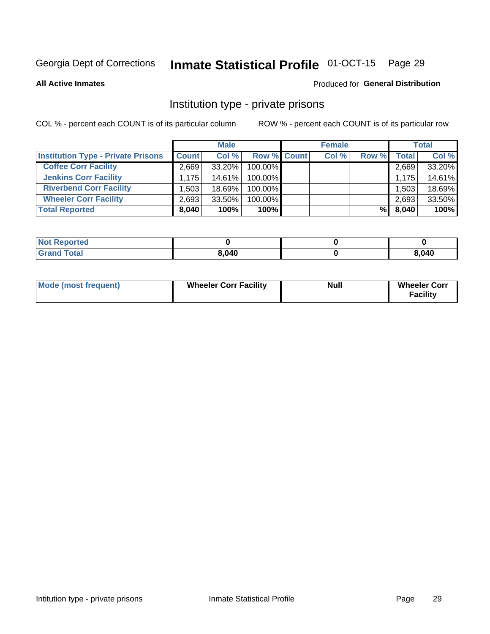# Inmate Statistical Profile 01-OCT-15 Page 29

**All Active Inmates** 

### Produced for General Distribution

### Institution type - private prisons

COL % - percent each COUNT is of its particular column

|                                           | <b>Male</b>  |           |                    | <b>Female</b> |       |       | <b>Total</b> |        |
|-------------------------------------------|--------------|-----------|--------------------|---------------|-------|-------|--------------|--------|
| <b>Institution Type - Private Prisons</b> | <b>Count</b> | Col %     | <b>Row % Count</b> |               | Col % | Row % | <b>Total</b> | Col %  |
| <b>Coffee Corr Facility</b>               | 2.669        | 33.20%    | 100.00%            |               |       |       | 2,669        | 33.20% |
| <b>Jenkins Corr Facility</b>              | 1.175        | $14.61\%$ | 100.00%            |               |       |       | 1.175        | 14.61% |
| <b>Riverbend Corr Facility</b>            | ا 503. ا     | 18.69%    | 100.00%            |               |       |       | 1,503        | 18.69% |
| <b>Wheeler Corr Facility</b>              | 2,693        | 33.50%    | 100.00%            |               |       |       | 2,693        | 33.50% |
| <b>Total Reported</b>                     | 8,040        | 100%      | $100\%$            |               |       | %     | 8,040        | 100%   |

| <b>Not Reported</b> |       |       |
|---------------------|-------|-------|
| <b>Total</b>        | 8,040 | 8,040 |

| <b>Mode (most frequent)</b> | <b>Wheeler Corr Facility</b> | <b>Null</b> | <b>Wheeler Corr</b><br><b>Facility</b> |
|-----------------------------|------------------------------|-------------|----------------------------------------|
|-----------------------------|------------------------------|-------------|----------------------------------------|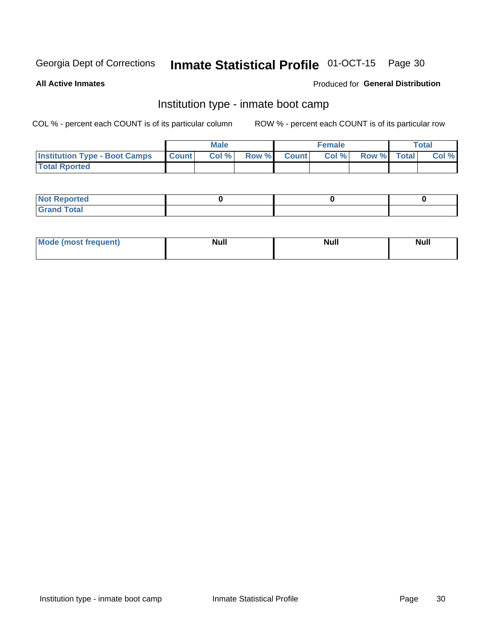#### Inmate Statistical Profile 01-OCT-15 Page 30

**All Active Inmates** 

### Produced for General Distribution

### Institution type - inmate boot camp

COL % - percent each COUNT is of its particular column

|                                      |              | <b>Male</b> |               |              | <b>Female</b> |             | <b>Total</b> |
|--------------------------------------|--------------|-------------|---------------|--------------|---------------|-------------|--------------|
| <b>Institution Type - Boot Camps</b> | <b>Count</b> | Col %       | <b>Row %I</b> | <b>Count</b> | Col %         | Row % Total | Col %        |
| <b>Total Rported</b>                 |              |             |               |              |               |             |              |

| <b>Not Reported</b>            |  |  |
|--------------------------------|--|--|
| <b>Total</b><br>C <sub>r</sub> |  |  |

| Mod<br>uamo | Nul.<br>$- - - - - -$ | <b>Null</b> | <br>uu.<br>------ |
|-------------|-----------------------|-------------|-------------------|
|             |                       |             |                   |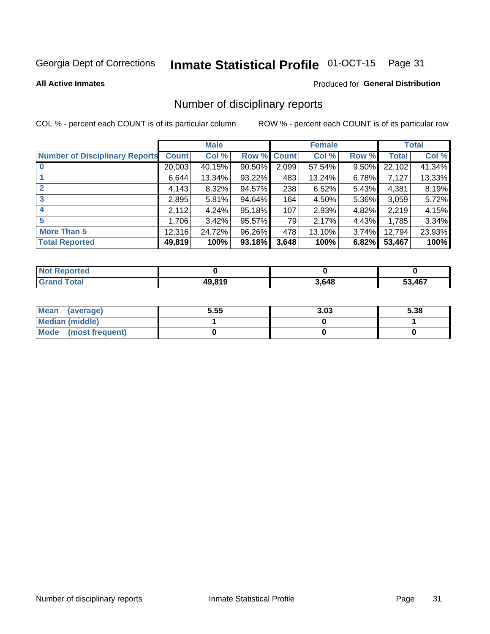# Inmate Statistical Profile 01-OCT-15 Page 31

**All Active Inmates** 

#### Produced for General Distribution

### Number of disciplinary reports

COL % - percent each COUNT is of its particular column

|                                       |              | <b>Male</b> |             |       | <b>Female</b> |       |              | <b>Total</b> |
|---------------------------------------|--------------|-------------|-------------|-------|---------------|-------|--------------|--------------|
| <b>Number of Disciplinary Reports</b> | <b>Count</b> | Col %       | Row % Count |       | Col %         | Row % | <b>Total</b> | Col %        |
|                                       | 20,003       | 40.15%      | 90.50%      | 2,099 | 57.54%        | 9.50% | 22,102       | 41.34%       |
|                                       | 6,644        | 13.34%      | 93.22%      | 483   | 13.24%        | 6.78% | 7,127        | 13.33%       |
|                                       | 4,143        | 8.32%       | 94.57%      | 238   | 6.52%         | 5.43% | 4,381        | 8.19%        |
| 3                                     | 2,895        | 5.81%       | 94.64%      | 164   | 4.50%         | 5.36% | 3,059        | 5.72%        |
|                                       | 2,112        | 4.24%       | 95.18%      | 107   | 2.93%         | 4.82% | 2,219        | 4.15%        |
| 5                                     | 1,706        | 3.42%       | 95.57%      | 79    | 2.17%         | 4.43% | 1,785        | 3.34%        |
| <b>More Than 5</b>                    | 12,316       | 24.72%      | 96.26%      | 478   | 13.10%        | 3.74% | 12,794       | 23.93%       |
| <b>Total Reported</b>                 | 49,819       | 100%        | 93.18%      | 3,648 | 100%          | 6.82% | 53,467       | 100%         |

| <b>Not Reported</b> |        |       |        |
|---------------------|--------|-------|--------|
| <b>Grand Total</b>  | 49.819 | 3,648 | 53,467 |

| Mean (average)       | 5.55 | 3.03 | 5.38 |
|----------------------|------|------|------|
| Median (middle)      |      |      |      |
| Mode (most frequent) |      |      |      |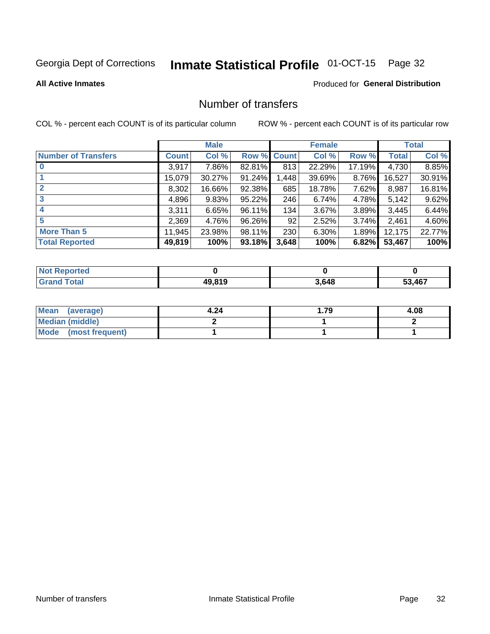# Inmate Statistical Profile 01-OCT-15 Page 32

### **All Active Inmates**

### Produced for General Distribution

### Number of transfers

COL % - percent each COUNT is of its particular column

|                            |         | <b>Male</b> |                    |       | <b>Female</b> |          |              | <b>Total</b> |
|----------------------------|---------|-------------|--------------------|-------|---------------|----------|--------------|--------------|
| <b>Number of Transfers</b> | Count l | Col %       | <b>Row % Count</b> |       | Col %         | Row %    | <b>Total</b> | Col %        |
|                            | 3,917   | 7.86%       | 82.81%             | 813   | 22.29%        | 17.19%   | 4,730        | 8.85%        |
|                            | 15,079  | 30.27%      | 91.24%             | 1,448 | 39.69%        | 8.76%    | 16,527       | 30.91%       |
| $\mathbf{2}$               | 8,302   | 16.66%      | 92.38%             | 685   | 18.78%        | 7.62%    | 8,987        | 16.81%       |
| 3                          | 4,896   | 9.83%       | 95.22%             | 246   | 6.74%         | 4.78%    | 5,142        | 9.62%        |
| 4                          | 3,311   | 6.65%       | 96.11%             | 134   | 3.67%         | 3.89%    | 3,445        | 6.44%        |
| 5                          | 2,369   | 4.76%       | 96.26%             | 92    | 2.52%         | 3.74%    | 2,461        | 4.60%        |
| <b>More Than 5</b>         | 11,945  | 23.98%      | 98.11%             | 230   | 6.30%         | $1.89\%$ | 12,175       | 22.77%       |
| <b>Total Reported</b>      | 49,819  | 100%        | 93.18%             | 3,648 | 100%          | 6.82%    | 53,467       | 100%         |

| <b>Not Reported</b> |        |       |        |
|---------------------|--------|-------|--------|
| <b>Total</b>        | 49.819 | 3,648 | 53,467 |

| Mean (average)         | 4.24 | 1.79 | 4.08 |
|------------------------|------|------|------|
| <b>Median (middle)</b> |      |      |      |
| Mode (most frequent)   |      |      |      |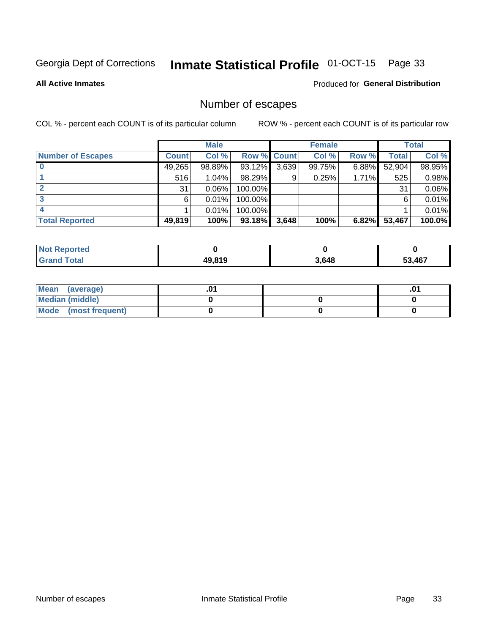# Inmate Statistical Profile 01-OCT-15 Page 33

**All Active Inmates** 

### Produced for General Distribution

### Number of escapes

COL % - percent each COUNT is of its particular column

|                          |              | <b>Male</b> |             |       | <b>Female</b> |       |        | <b>Total</b> |
|--------------------------|--------------|-------------|-------------|-------|---------------|-------|--------|--------------|
| <b>Number of Escapes</b> | <b>Count</b> | Col %       | Row % Count |       | Col %         | Row % | Total  | Col %        |
|                          | 49,265       | 98.89%      | 93.12%      | 3,639 | 99.75%        | 6.88% | 52,904 | 98.95%       |
|                          | 516          | 1.04%       | 98.29%      | 9     | 0.25%         | 1.71% | 525    | 0.98%        |
|                          | 31           | 0.06%       | 100.00%     |       |               |       | 31     | 0.06%        |
|                          | 6            | 0.01%       | 100.00%     |       |               |       | 6      | 0.01%        |
|                          |              | 0.01%       | 100.00%     |       |               |       |        | 0.01%        |
| <b>Total Reported</b>    | 49,819       | 100%        | 93.18%      | 3,648 | 100%          | 6.82% | 53,467 | 100.0%       |

| <b>Not Reported</b> |        |       |        |
|---------------------|--------|-------|--------|
| Total               | 49.819 | 3,648 | 53.467 |

| Mean (average)       |  | .01 |
|----------------------|--|-----|
| Median (middle)      |  |     |
| Mode (most frequent) |  |     |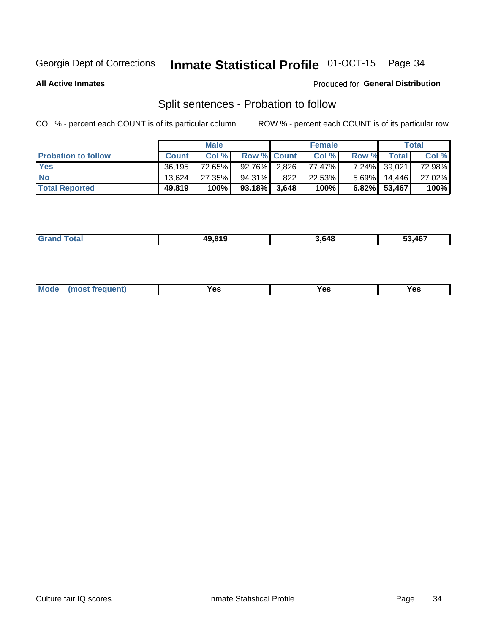# Inmate Statistical Profile 01-OCT-15 Page 34

**All Active Inmates** 

### Produced for General Distribution

### Split sentences - Probation to follow

COL % - percent each COUNT is of its particular column

|                            | <b>Male</b>  |        |                    | <b>Female</b> |        |       | <b>Total</b>    |        |
|----------------------------|--------------|--------|--------------------|---------------|--------|-------|-----------------|--------|
| <b>Probation to follow</b> | <b>Count</b> | Col%   | <b>Row % Count</b> |               | Col %  | Row % | Total           | Col %  |
| <b>Yes</b>                 | 36.195       | 72.65% | $92.76\%$ 2.826    |               | 77.47% |       | 7.24% 39,021    | 72.98% |
| <b>No</b>                  | 13.624       | 27.35% | 94.31%             | 822           | 22.53% |       | $5.69\%$ 14,446 | 27.02% |
| <b>Total Reported</b>      | 49,819       | 100%   | $93.18\%$ 3,648    |               | 100%   |       | 6.82% 53,467    | 100%   |

|  |  | 10.810 | 3.648 | ,467<br>JJ. |
|--|--|--------|-------|-------------|
|--|--|--------|-------|-------------|

| Mode<br>res<br>Yes<br><b>YAC</b><br>. |
|---------------------------------------|
|---------------------------------------|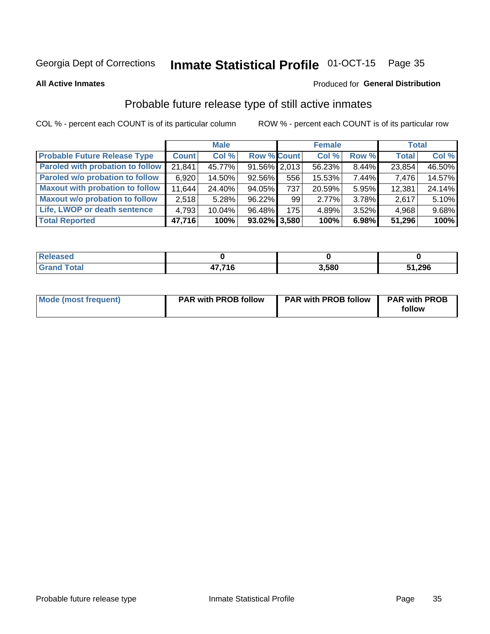#### Inmate Statistical Profile 01-OCT-15 Page 35

**All Active Inmates** 

### Produced for General Distribution

### Probable future release type of still active inmates

COL % - percent each COUNT is of its particular column

|                                         |              | <b>Male</b> |                    |     | <b>Female</b> |       | <b>Total</b> |        |
|-----------------------------------------|--------------|-------------|--------------------|-----|---------------|-------|--------------|--------|
| <b>Probable Future Release Type</b>     | <b>Count</b> | Col %       | <b>Row % Count</b> |     | Col %         | Row % | <b>Total</b> | Col %  |
| <b>Paroled with probation to follow</b> | 21,841       | 45.77%      | $91.56\%$ 2,013    |     | 56.23%        | 8.44% | 23,854       | 46.50% |
| Paroled w/o probation to follow         | 6,920        | 14.50%      | 92.56%             | 556 | 15.53%        | 7.44% | 7,476        | 14.57% |
| <b>Maxout with probation to follow</b>  | 11,644       | 24.40%      | 94.05%             | 737 | 20.59%        | 5.95% | 12,381       | 24.14% |
| <b>Maxout w/o probation to follow</b>   | 2,518        | 5.28%       | 96.22%             | 99  | 2.77%         | 3.78% | 2,617        | 5.10%  |
| Life, LWOP or death sentence            | 4,793        | 10.04%      | 96.48%             | 175 | 4.89%         | 3.52% | 4,968        | 9.68%  |
| <b>Total Reported</b>                   | 47,716       | 100%        | $93.02\%$ 3,580    |     | 100%          | 6.98% | 51,296       | 100%   |

| $C = 4$<br>_____ | 17 74 C | 3.580 | 51,296 |
|------------------|---------|-------|--------|

| <b>Mode (most frequent)</b> | <b>PAR with PROB follow</b> | <b>PAR with PROB follow</b> | <b>PAR with PROB</b> |
|-----------------------------|-----------------------------|-----------------------------|----------------------|
|                             |                             |                             | follow               |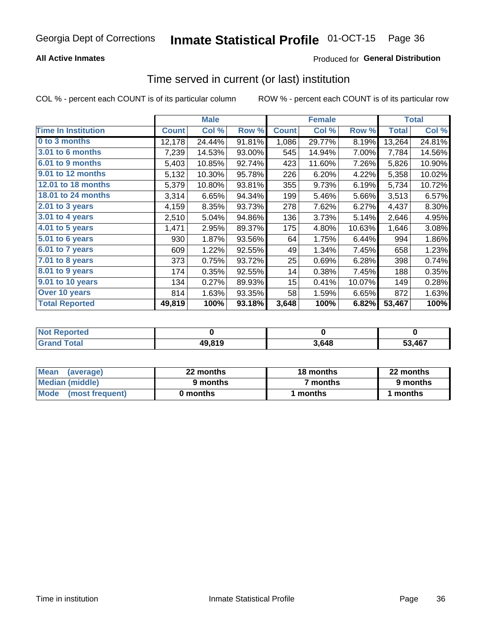# Inmate Statistical Profile 01-OCT-15 Page 36

### **All Active Inmates**

### **Produced for General Distribution**

## Time served in current (or last) institution

COL % - percent each COUNT is of its particular column

|                            |              | <b>Male</b> |        |              | <b>Female</b> |        |              | <b>Total</b> |
|----------------------------|--------------|-------------|--------|--------------|---------------|--------|--------------|--------------|
| <b>Time In Institution</b> | <b>Count</b> | Col %       | Row %  | <b>Count</b> | Col %         | Row %  | <b>Total</b> | Col %        |
| 0 to 3 months              | 12,178       | 24.44%      | 91.81% | 1,086        | 29.77%        | 8.19%  | 13,264       | 24.81%       |
| 3.01 to 6 months           | 7,239        | 14.53%      | 93.00% | 545          | 14.94%        | 7.00%  | 7,784        | 14.56%       |
| 6.01 to 9 months           | 5,403        | 10.85%      | 92.74% | 423          | 11.60%        | 7.26%  | 5,826        | 10.90%       |
| 9.01 to 12 months          | 5,132        | 10.30%      | 95.78% | 226          | 6.20%         | 4.22%  | 5,358        | 10.02%       |
| <b>12.01 to 18 months</b>  | 5,379        | 10.80%      | 93.81% | 355          | 9.73%         | 6.19%  | 5,734        | 10.72%       |
| <b>18.01 to 24 months</b>  | 3,314        | 6.65%       | 94.34% | 199          | 5.46%         | 5.66%  | 3,513        | 6.57%        |
| 2.01 to 3 years            | 4,159        | 8.35%       | 93.73% | 278          | 7.62%         | 6.27%  | 4,437        | 8.30%        |
| 3.01 to 4 years            | 2,510        | 5.04%       | 94.86% | 136          | 3.73%         | 5.14%  | 2,646        | 4.95%        |
| $4.01$ to 5 years          | 1,471        | 2.95%       | 89.37% | 175          | 4.80%         | 10.63% | 1,646        | 3.08%        |
| 5.01 to 6 years            | 930          | 1.87%       | 93.56% | 64           | 1.75%         | 6.44%  | 994          | 1.86%        |
| 6.01 to 7 years            | 609          | 1.22%       | 92.55% | 49           | 1.34%         | 7.45%  | 658          | 1.23%        |
| 7.01 to 8 years            | 373          | 0.75%       | 93.72% | 25           | 0.69%         | 6.28%  | 398          | 0.74%        |
| 8.01 to 9 years            | 174          | 0.35%       | 92.55% | 14           | 0.38%         | 7.45%  | 188          | 0.35%        |
| 9.01 to 10 years           | 134          | 0.27%       | 89.93% | 15           | 0.41%         | 10.07% | 149          | 0.28%        |
| Over 10 years              | 814          | 1.63%       | 93.35% | 58           | 1.59%         | 6.65%  | 872          | 1.63%        |
| <b>Total Reported</b>      | 49,819       | 100%        | 93.18% | 3,648        | 100%          | 6.82%  | 53,467       | 100%         |

| <b>Not</b><br><b>Renorted</b> |        |      |        |
|-------------------------------|--------|------|--------|
| Total                         | 49,819 | .648 | 53.467 |

| <b>Mean</b><br>(average) | 22 months | 18 months | 22 months |
|--------------------------|-----------|-----------|-----------|
| Median (middle)          | 9 months  | 7 months  | 9 months  |
| Mode (most frequent)     | 0 months  | months    | l months  |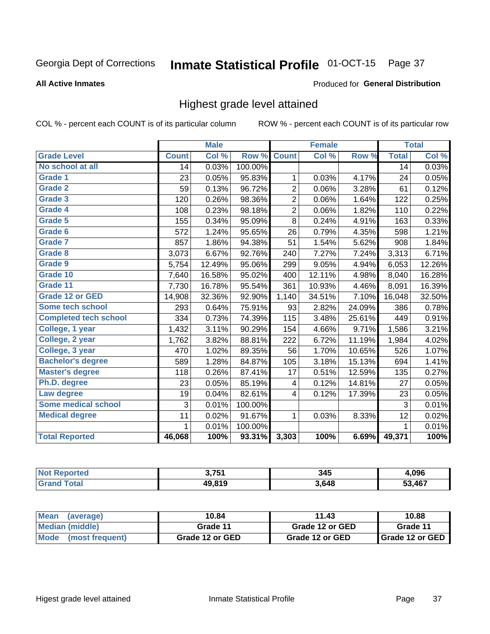#### Inmate Statistical Profile 01-OCT-15 Page 37

### **All Active Inmates**

### Produced for General Distribution

## Highest grade level attained

COL % - percent each COUNT is of its particular column

|                              |              | <b>Male</b> |         |                         | <b>Female</b> |        |              | <b>Total</b> |
|------------------------------|--------------|-------------|---------|-------------------------|---------------|--------|--------------|--------------|
| <b>Grade Level</b>           | <b>Count</b> | Col %       | Row %   | <b>Count</b>            | Col %         | Row %  | <b>Total</b> | Col %        |
| No school at all             | 14           | 0.03%       | 100.00% |                         |               |        | 14           | 0.03%        |
| <b>Grade 1</b>               | 23           | 0.05%       | 95.83%  | 1                       | 0.03%         | 4.17%  | 24           | 0.05%        |
| <b>Grade 2</b>               | 59           | 0.13%       | 96.72%  | $\overline{\mathbf{c}}$ | 0.06%         | 3.28%  | 61           | 0.12%        |
| Grade 3                      | 120          | 0.26%       | 98.36%  | $\overline{c}$          | 0.06%         | 1.64%  | 122          | 0.25%        |
| <b>Grade 4</b>               | 108          | 0.23%       | 98.18%  | $\overline{2}$          | 0.06%         | 1.82%  | 110          | 0.22%        |
| Grade 5                      | 155          | 0.34%       | 95.09%  | 8                       | 0.24%         | 4.91%  | 163          | 0.33%        |
| Grade 6                      | 572          | 1.24%       | 95.65%  | 26                      | 0.79%         | 4.35%  | 598          | 1.21%        |
| <b>Grade 7</b>               | 857          | 1.86%       | 94.38%  | 51                      | 1.54%         | 5.62%  | 908          | 1.84%        |
| Grade 8                      | 3,073        | 6.67%       | 92.76%  | 240                     | 7.27%         | 7.24%  | 3,313        | 6.71%        |
| <b>Grade 9</b>               | 5,754        | 12.49%      | 95.06%  | 299                     | 9.05%         | 4.94%  | 6,053        | 12.26%       |
| Grade 10                     | 7,640        | 16.58%      | 95.02%  | 400                     | 12.11%        | 4.98%  | 8,040        | 16.28%       |
| Grade 11                     | 7,730        | 16.78%      | 95.54%  | 361                     | 10.93%        | 4.46%  | 8,091        | 16.39%       |
| Grade 12 or GED              | 14,908       | 32.36%      | 92.90%  | 1,140                   | 34.51%        | 7.10%  | 16,048       | 32.50%       |
| Some tech school             | 293          | 0.64%       | 75.91%  | 93                      | 2.82%         | 24.09% | 386          | 0.78%        |
| <b>Completed tech school</b> | 334          | 0.73%       | 74.39%  | 115                     | 3.48%         | 25.61% | 449          | 0.91%        |
| College, 1 year              | 1,432        | 3.11%       | 90.29%  | 154                     | 4.66%         | 9.71%  | 1,586        | 3.21%        |
| College, 2 year              | 1,762        | 3.82%       | 88.81%  | 222                     | 6.72%         | 11.19% | 1,984        | 4.02%        |
| College, 3 year              | 470          | 1.02%       | 89.35%  | 56                      | 1.70%         | 10.65% | 526          | 1.07%        |
| <b>Bachelor's degree</b>     | 589          | 1.28%       | 84.87%  | 105                     | 3.18%         | 15.13% | 694          | 1.41%        |
| <b>Master's degree</b>       | 118          | 0.26%       | 87.41%  | 17                      | 0.51%         | 12.59% | 135          | 0.27%        |
| Ph.D. degree                 | 23           | 0.05%       | 85.19%  | 4                       | 0.12%         | 14.81% | 27           | 0.05%        |
| Law degree                   | 19           | 0.04%       | 82.61%  | 4                       | 0.12%         | 17.39% | 23           | 0.05%        |
| <b>Some medical school</b>   | 3            | 0.01%       | 100.00% |                         |               |        | 3            | 0.01%        |
| <b>Medical degree</b>        | 11           | 0.02%       | 91.67%  | 1                       | 0.03%         | 8.33%  | 12           | 0.02%        |
|                              | 1            | 0.01%       | 100.00% |                         |               |        | $\mathbf{1}$ | 0.01%        |
| <b>Total Reported</b>        | 46,068       | 100%        | 93.31%  | 3,303                   | 100%          | 6.69%  | 49,371       | 100%         |

| <b>2 754</b>   | - - -<br>345 | 1,096      |
|----------------|--------------|------------|
| 040<br>$- - -$ | 3,648        | A67<br>- - |

| Mean<br>(average)       | 10.84           | 11.43           | 10.88           |  |
|-------------------------|-----------------|-----------------|-----------------|--|
| Median (middle)         | Grade 11        | Grade 12 or GED | Grade 11        |  |
| Mode<br>(most frequent) | Grade 12 or GED | Grade 12 or GED | Grade 12 or GED |  |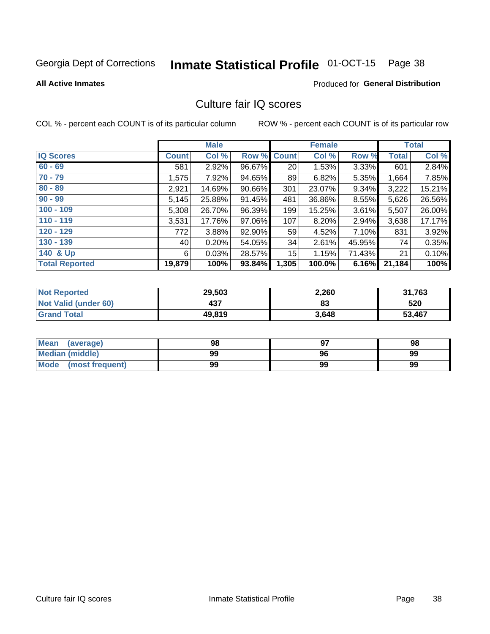# Inmate Statistical Profile 01-OCT-15 Page 38

### **All Active Inmates**

### Produced for General Distribution

## Culture fair IQ scores

COL % - percent each COUNT is of its particular column

|                       |              | <b>Male</b> |                    |       | <b>Female</b> |          |              | <b>Total</b> |
|-----------------------|--------------|-------------|--------------------|-------|---------------|----------|--------------|--------------|
| <b>IQ Scores</b>      | <b>Count</b> | Col %       | <b>Row % Count</b> |       | Col %         | Row %    | <b>Total</b> | Col %        |
| $60 - 69$             | 581          | 2.92%       | 96.67%             | 20    | 1.53%         | $3.33\%$ | 601          | 2.84%        |
| $70 - 79$             | 1,575        | 7.92%       | 94.65%             | 89    | 6.82%         | 5.35%    | 1,664        | 7.85%        |
| $80 - 89$             | 2,921        | 14.69%      | 90.66%             | 301   | 23.07%        | 9.34%    | 3,222        | 15.21%       |
| $90 - 99$             | 5,145        | 25.88%      | 91.45%             | 481   | 36.86%        | 8.55%    | 5,626        | 26.56%       |
| $100 - 109$           | 5,308        | 26.70%      | 96.39%             | 199   | 15.25%        | 3.61%    | 5,507        | 26.00%       |
| $110 - 119$           | 3,531        | 17.76%      | 97.06%             | 107   | 8.20%         | 2.94%    | 3,638        | 17.17%       |
| $120 - 129$           | 772          | 3.88%       | 92.90%             | 59    | 4.52%         | 7.10%    | 831          | 3.92%        |
| $130 - 139$           | 40           | 0.20%       | 54.05%             | 34    | 2.61%         | 45.95%   | 74           | 0.35%        |
| 140 & Up              | 6            | 0.03%       | 28.57%             | 15    | 1.15%         | 71.43%   | 21           | 0.10%        |
| <b>Total Reported</b> | 19,879       | 100%        | 93.84%             | 1,305 | 100.0%        | 6.16%    | 21,184       | 100%         |

| <b>Not Reported</b>         | 29,503 | 2,260 | 31,763 |
|-----------------------------|--------|-------|--------|
| <b>Not Valid (under 60)</b> | 437    | 83    | 520    |
| <b>Grand Total</b>          | 49,819 | 3,648 | 53,467 |

| <b>Mean</b><br>(average)       | 98 |    | 98 |
|--------------------------------|----|----|----|
| Median (middle)                | 99 | 96 | 99 |
| <b>Mode</b><br>(most frequent) | 99 | 99 | 99 |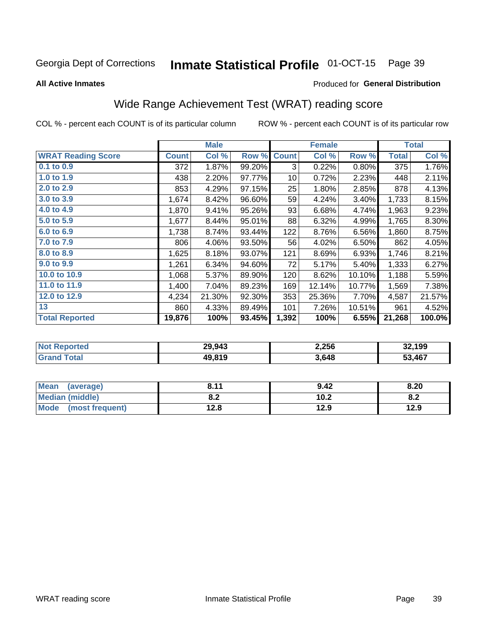#### Inmate Statistical Profile 01-OCT-15 Page 39

**All Active Inmates** 

### Produced for General Distribution

## Wide Range Achievement Test (WRAT) reading score

COL % - percent each COUNT is of its particular column

|                           |              | <b>Male</b> |        |                 | <b>Female</b> |        |              | <b>Total</b> |
|---------------------------|--------------|-------------|--------|-----------------|---------------|--------|--------------|--------------|
| <b>WRAT Reading Score</b> | <b>Count</b> | Col %       | Row %  | <b>Count</b>    | Col %         | Row %  | <b>Total</b> | Col %        |
| $0.1$ to $0.9$            | 372          | 1.87%       | 99.20% | 3               | 0.22%         | 0.80%  | 375          | 1.76%        |
| 1.0 to 1.9                | 438          | 2.20%       | 97.77% | 10 <sup>1</sup> | 0.72%         | 2.23%  | 448          | 2.11%        |
| 2.0 to 2.9                | 853          | 4.29%       | 97.15% | 25              | 1.80%         | 2.85%  | 878          | 4.13%        |
| 3.0 to 3.9                | 1,674        | 8.42%       | 96.60% | 59              | 4.24%         | 3.40%  | 1,733        | 8.15%        |
| 4.0 to 4.9                | 1,870        | 9.41%       | 95.26% | 93              | 6.68%         | 4.74%  | 1,963        | 9.23%        |
| 5.0 to 5.9                | 1,677        | 8.44%       | 95.01% | 88              | 6.32%         | 4.99%  | 1,765        | 8.30%        |
| 6.0 to 6.9                | 1,738        | 8.74%       | 93.44% | 122             | 8.76%         | 6.56%  | 1,860        | 8.75%        |
| 7.0 to 7.9                | 806          | 4.06%       | 93.50% | 56              | 4.02%         | 6.50%  | 862          | 4.05%        |
| 8.0 to 8.9                | 1,625        | 8.18%       | 93.07% | 121             | 8.69%         | 6.93%  | 1,746        | 8.21%        |
| 9.0 to 9.9                | 1,261        | 6.34%       | 94.60% | 72              | 5.17%         | 5.40%  | 1,333        | 6.27%        |
| 10.0 to 10.9              | 1,068        | 5.37%       | 89.90% | 120             | 8.62%         | 10.10% | 1,188        | 5.59%        |
| 11.0 to 11.9              | 1,400        | 7.04%       | 89.23% | 169             | 12.14%        | 10.77% | 1,569        | 7.38%        |
| 12.0 to 12.9              | 4,234        | 21.30%      | 92.30% | 353             | 25.36%        | 7.70%  | 4,587        | 21.57%       |
| 13                        | 860          | 4.33%       | 89.49% | 101             | 7.26%         | 10.51% | 961          | 4.52%        |
| <b>Total Reported</b>     | 19,876       | 100%        | 93.45% | 1,392           | 100%          | 6.55%  | 21,268       | 100.0%       |
|                           |              |             |        |                 |               |        |              |              |
|                           |              |             |        |                 |               |        |              |              |

| <b>Not Reported</b> | 29,943 | 2,256 | 32,199 |
|---------------------|--------|-------|--------|
| Total<br>' Grand    | 49,819 | 3,648 | 53,467 |

| <b>Mean</b><br>(average)       | 011<br>0. I I | 9.42 | 8.20 |
|--------------------------------|---------------|------|------|
| <b>Median (middle)</b>         | י ה<br>0.Z    | 10.2 | o.z  |
| <b>Mode</b><br>(most frequent) | 12.8          | 12.9 | 12.9 |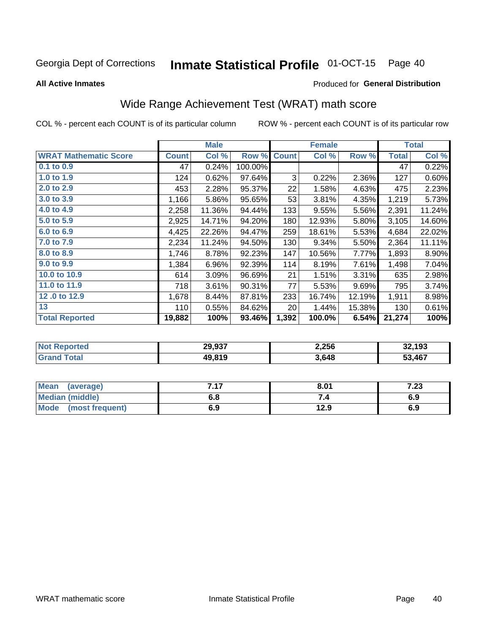#### Inmate Statistical Profile 01-OCT-15 Page 40

**All Active Inmates** 

### Produced for General Distribution

## Wide Range Achievement Test (WRAT) math score

COL % - percent each COUNT is of its particular column

|                              |              | <b>Male</b> |         |              | <b>Female</b> |        |              | <b>Total</b> |
|------------------------------|--------------|-------------|---------|--------------|---------------|--------|--------------|--------------|
| <b>WRAT Mathematic Score</b> | <b>Count</b> | Col %       | Row %   | <b>Count</b> | Col %         | Row %  | <b>Total</b> | Col %        |
| $0.1$ to $0.9$               | 47           | 0.24%       | 100.00% |              |               |        | 47           | 0.22%        |
| 1.0 to 1.9                   | 124          | 0.62%       | 97.64%  | 3            | 0.22%         | 2.36%  | 127          | 0.60%        |
| 2.0 to 2.9                   | 453          | 2.28%       | 95.37%  | 22           | 1.58%         | 4.63%  | 475          | 2.23%        |
| 3.0 to 3.9                   | 1,166        | 5.86%       | 95.65%  | 53           | 3.81%         | 4.35%  | 1,219        | 5.73%        |
| 4.0 to 4.9                   | 2,258        | 11.36%      | 94.44%  | 133          | 9.55%         | 5.56%  | 2,391        | 11.24%       |
| 5.0 to 5.9                   | 2,925        | 14.71%      | 94.20%  | 180          | 12.93%        | 5.80%  | 3,105        | 14.60%       |
| 6.0 to 6.9                   | 4,425        | 22.26%      | 94.47%  | 259          | 18.61%        | 5.53%  | 4,684        | 22.02%       |
| 7.0 to 7.9                   | 2,234        | 11.24%      | 94.50%  | 130          | 9.34%         | 5.50%  | 2,364        | 11.11%       |
| 8.0 to 8.9                   | 1,746        | 8.78%       | 92.23%  | 147          | 10.56%        | 7.77%  | 1,893        | 8.90%        |
| 9.0 to 9.9                   | 1,384        | 6.96%       | 92.39%  | 114          | 8.19%         | 7.61%  | 1,498        | 7.04%        |
| 10.0 to 10.9                 | 614          | 3.09%       | 96.69%  | 21           | 1.51%         | 3.31%  | 635          | 2.98%        |
| 11.0 to 11.9                 | 718          | 3.61%       | 90.31%  | 77           | 5.53%         | 9.69%  | 795          | 3.74%        |
| 12.0 to 12.9                 | 1,678        | 8.44%       | 87.81%  | 233          | 16.74%        | 12.19% | 1,911        | 8.98%        |
| 13                           | 110          | 0.55%       | 84.62%  | 20           | 1.44%         | 15.38% | 130          | 0.61%        |
| <b>Total Reported</b>        | 19,882       | 100%        | 93.46%  | 1,392        | 100.0%        | 6.54%  | 21,274       | 100%         |

| <b>Not Reported</b>   | 29,937 | 2,256 | 32,193 |
|-----------------------|--------|-------|--------|
| $\tau$ otal<br>'Grand | 49,819 | 3,648 | 53,467 |

| <b>Mean</b><br>(average)       | 717 | 8.01 | , nn<br>د  . |
|--------------------------------|-----|------|--------------|
| <b>Median (middle)</b>         | o.c |      | 6.9          |
| <b>Mode</b><br>(most frequent) | 6.9 | 12.9 | 6.9          |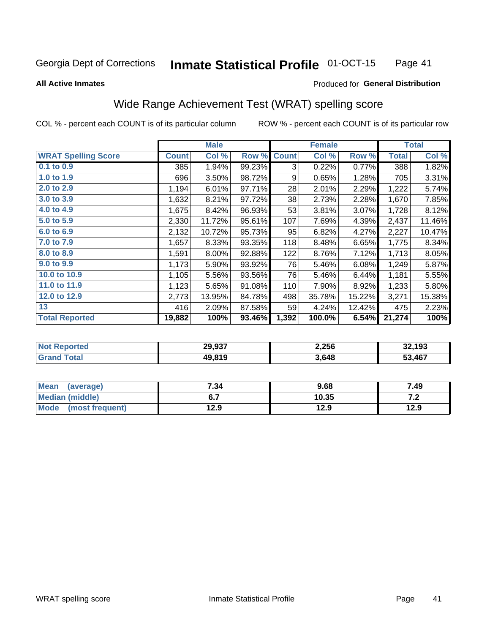#### **Inmate Statistical Profile 01-OCT-15** Page 41

### **All Active Inmates**

## Produced for General Distribution

## Wide Range Achievement Test (WRAT) spelling score

COL % - percent each COUNT is of its particular column

|                            |              | <b>Male</b> |        |              | <b>Female</b> |        |              | <b>Total</b> |
|----------------------------|--------------|-------------|--------|--------------|---------------|--------|--------------|--------------|
| <b>WRAT Spelling Score</b> | <b>Count</b> | Col %       | Row %  | <b>Count</b> | Col %         | Row %  | <b>Total</b> | Col %        |
| $0.1$ to $0.9$             | 385          | 1.94%       | 99.23% | 3            | 0.22%         | 0.77%  | 388          | 1.82%        |
| 1.0 to 1.9                 | 696          | 3.50%       | 98.72% | 9            | 0.65%         | 1.28%  | 705          | 3.31%        |
| 2.0 to 2.9                 | 1,194        | 6.01%       | 97.71% | 28           | 2.01%         | 2.29%  | 1,222        | 5.74%        |
| 3.0 to 3.9                 | 1,632        | 8.21%       | 97.72% | 38           | 2.73%         | 2.28%  | 1,670        | 7.85%        |
| 4.0 to 4.9                 | 1,675        | 8.42%       | 96.93% | 53           | 3.81%         | 3.07%  | 1,728        | 8.12%        |
| 5.0 to 5.9                 | 2,330        | 11.72%      | 95.61% | 107          | 7.69%         | 4.39%  | 2,437        | 11.46%       |
| 6.0 to 6.9                 | 2,132        | 10.72%      | 95.73% | 95           | 6.82%         | 4.27%  | 2,227        | 10.47%       |
| 7.0 to 7.9                 | 1,657        | 8.33%       | 93.35% | 118          | 8.48%         | 6.65%  | 1,775        | 8.34%        |
| 8.0 to 8.9                 | 1,591        | 8.00%       | 92.88% | 122          | 8.76%         | 7.12%  | 1,713        | 8.05%        |
| 9.0 to 9.9                 | 1,173        | 5.90%       | 93.92% | 76           | 5.46%         | 6.08%  | 1,249        | 5.87%        |
| 10.0 to 10.9               | 1,105        | 5.56%       | 93.56% | 76           | 5.46%         | 6.44%  | 1,181        | 5.55%        |
| 11.0 to 11.9               | 1,123        | 5.65%       | 91.08% | 110          | 7.90%         | 8.92%  | 1,233        | 5.80%        |
| 12.0 to 12.9               | 2,773        | 13.95%      | 84.78% | 498          | 35.78%        | 15.22% | 3,271        | 15.38%       |
| 13                         | 416          | 2.09%       | 87.58% | 59           | 4.24%         | 12.42% | 475          | 2.23%        |
| <b>Total Reported</b>      | 19,882       | 100%        | 93.46% | 1,392        | 100.0%        | 6.54%  | 21,274       | 100%         |

| <b>orteg</b><br>$'$ NOT $\cdot$ | 29,937 | 2,256 | 32,193<br>.ءد |
|---------------------------------|--------|-------|---------------|
| $F$ ntal<br>Gr2                 | 49,819 | 3,648 | 53,467        |

| <b>Mean</b><br>(average) | 7.34 | 9.68  | 7.49  |
|--------------------------|------|-------|-------|
| Median (middle)          |      | 10.35 | . . Z |
| Mode<br>(most frequent)  | 12.9 | 12.9  | 12.9  |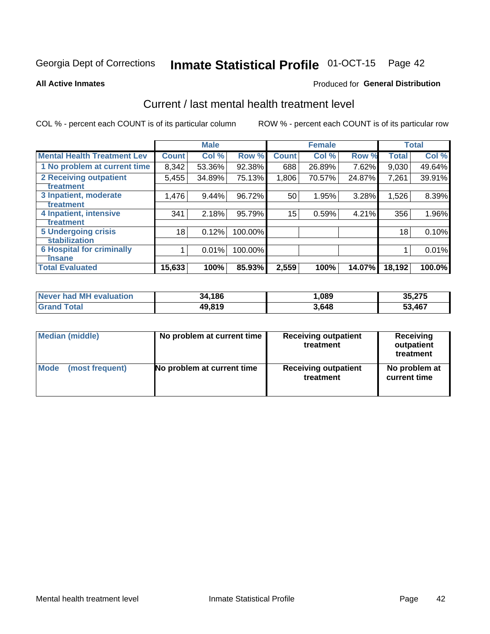# Inmate Statistical Profile 01-OCT-15 Page 42

### **All Active Inmates**

## Produced for General Distribution

## Current / last mental health treatment level

COL % - percent each COUNT is of its particular column

|                                    |              | <b>Male</b> |         |              | <b>Female</b> |        |              | <b>Total</b> |
|------------------------------------|--------------|-------------|---------|--------------|---------------|--------|--------------|--------------|
| <b>Mental Health Treatment Lev</b> | <b>Count</b> | Col %       | Row %   | <b>Count</b> | Col%          | Row %  | <b>Total</b> | Col %        |
| 1 No problem at current time       | 8,342        | 53.36%      | 92.38%  | 688          | 26.89%        | 7.62%  | 9,030        | 49.64%       |
| <b>2 Receiving outpatient</b>      | 5,455        | 34.89%      | 75.13%  | 1,806        | 70.57%        | 24.87% | 7,261        | 39.91%       |
| <b>Treatment</b>                   |              |             |         |              |               |        |              |              |
| 3 Inpatient, moderate              | 1,476        | 9.44%       | 96.72%  | 50           | 1.95%         | 3.28%  | 1,526        | 8.39%        |
| <b>Treatment</b>                   |              |             |         |              |               |        |              |              |
| 4 Inpatient, intensive             | 341          | 2.18%       | 95.79%  | 15           | 0.59%         | 4.21%  | 356          | 1.96%        |
| <b>Treatment</b>                   |              |             |         |              |               |        |              |              |
| <b>5 Undergoing crisis</b>         | 18           | 0.12%       | 100.00% |              |               |        | 18           | 0.10%        |
| <b>stabilization</b>               |              |             |         |              |               |        |              |              |
| <b>6 Hospital for criminally</b>   |              | 0.01%       | 100.00% |              |               |        |              | 0.01%        |
| <b>Tinsane</b>                     |              |             |         |              |               |        |              |              |
| <b>Total Evaluated</b>             | 15,633       | 100%        | 85.93%  | 2,559        | 100%          | 14.07% | 18,192       | 100.0%       |

| Never had MH evaluation | 34,186 | ,089  | 35,275 |
|-------------------------|--------|-------|--------|
| <b>Grand Total</b>      | 49,819 | 3,648 | 53,467 |

| Median (middle) | No problem at current time | <b>Receiving outpatient</b><br>treatment | <b>Receiving</b><br>outpatient<br>treatment |  |  |
|-----------------|----------------------------|------------------------------------------|---------------------------------------------|--|--|
| <b>Mode</b>     | No problem at current time | <b>Receiving outpatient</b>              | No problem at                               |  |  |
| (most frequent) |                            | treatment                                | current time                                |  |  |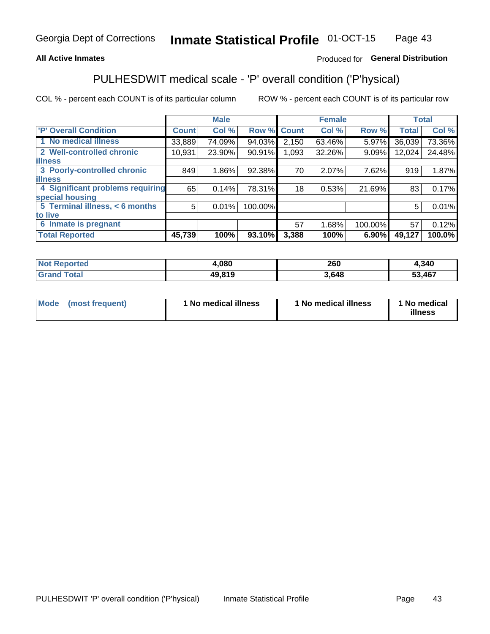## **All Active Inmates**

## Produced for General Distribution

## PULHESDWIT medical scale - 'P' overall condition ('P'hysical)

COL % - percent each COUNT is of its particular column

|                                  |              | <b>Male</b> |         |              | <b>Female</b> |         |              | <b>Total</b> |
|----------------------------------|--------------|-------------|---------|--------------|---------------|---------|--------------|--------------|
| <b>'P' Overall Condition</b>     | <b>Count</b> | Col %       | Row %   | <b>Count</b> | Col %         | Row %   | <b>Total</b> | Col %        |
| 1 No medical illness             | 33,889       | 74.09%      | 94.03%  | 2,150        | 63.46%        | 5.97%   | 36,039       | 73.36%       |
| 2 Well-controlled chronic        | 10,931       | 23.90%      | 90.91%  | 1,093        | 32.26%        | 9.09%   | 12,024       | 24.48%       |
| <b>lillness</b>                  |              |             |         |              |               |         |              |              |
| 3 Poorly-controlled chronic      | 849          | $1.86\%$    | 92.38%  | 70           | 2.07%         | 7.62%   | 919          | 1.87%        |
| <b>illness</b>                   |              |             |         |              |               |         |              |              |
| 4 Significant problems requiring | 65           | 0.14%       | 78.31%  | 18           | 0.53%         | 21.69%  | 83           | 0.17%        |
| special housing                  |              |             |         |              |               |         |              |              |
| 5 Terminal illness, < 6 months   | 5            | 0.01%       | 100.00% |              |               |         | 5            | 0.01%        |
| to live                          |              |             |         |              |               |         |              |              |
| 6 Inmate is pregnant             |              |             |         | 57           | 1.68%         | 100.00% | 57           | 0.12%        |
| <b>Total Reported</b>            | 45,739       | 100%        | 93.10%  | 3,388        | 100%          | 6.90%   | 49,127       | $100.0\%$    |

| тео | .080         | חהר<br>∠UU | ,340 |
|-----|--------------|------------|------|
|     | 10.040<br>ДU | .648       | .467 |

| Mode | (most frequent) | 1 No medical illness | 1 No medical illness | 1 No medical<br>illness |
|------|-----------------|----------------------|----------------------|-------------------------|
|------|-----------------|----------------------|----------------------|-------------------------|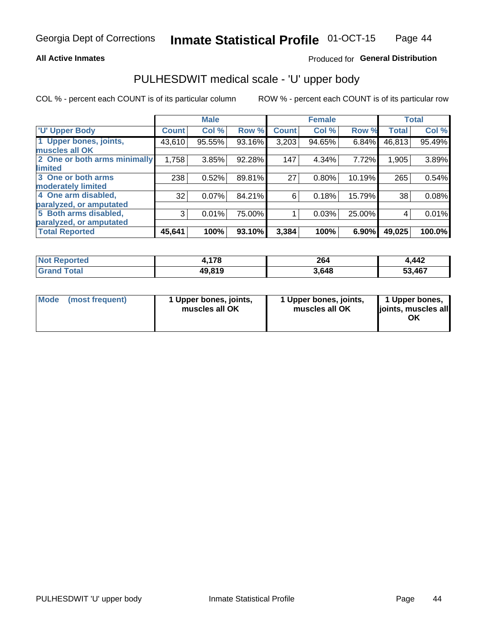## **All Active Inmates**

## Produced for General Distribution

# PULHESDWIT medical scale - 'U' upper body

COL % - percent each COUNT is of its particular column

|                              |              | <b>Male</b> |        |              | <b>Female</b> |        |              | <b>Total</b> |
|------------------------------|--------------|-------------|--------|--------------|---------------|--------|--------------|--------------|
| <b>U' Upper Body</b>         | <b>Count</b> | Col %       | Row %  | <b>Count</b> | Col %         | Row %  | <b>Total</b> | Col %        |
| 1 Upper bones, joints,       | 43,610       | 95.55%      | 93.16% | 3,203        | 94.65%        | 6.84%  | 46,813       | 95.49%       |
| muscles all OK               |              |             |        |              |               |        |              |              |
| 2 One or both arms minimally | 1,758        | 3.85%       | 92.28% | 147          | 4.34%         | 7.72%  | 1,905        | 3.89%        |
| limited                      |              |             |        |              |               |        |              |              |
| 3 One or both arms           | 238          | 0.52%       | 89.81% | 27           | 0.80%         | 10.19% | 265          | 0.54%        |
| moderately limited           |              |             |        |              |               |        |              |              |
| 4 One arm disabled,          | 32           | 0.07%       | 84.21% | 6            | 0.18%         | 15.79% | 38           | 0.08%        |
| paralyzed, or amputated      |              |             |        |              |               |        |              |              |
| 5 Both arms disabled,        | 3            | 0.01%       | 75.00% |              | 0.03%         | 25.00% | 4            | 0.01%        |
| paralyzed, or amputated      |              |             |        |              |               |        |              |              |
| <b>Total Reported</b>        | 45,641       | 100%        | 93.10% | 3,384        | 100%          | 6.90%  | 49,025       | 100.0%       |

| <b>Not Reported</b> | 178.   | 264   | .442   |
|---------------------|--------|-------|--------|
| <b>Grand Total</b>  | 49,819 | 3,648 | 53,467 |

| Mode (most frequent) | 1 Upper bones, joints,<br>muscles all OK | 1 Upper bones, joints,<br>muscles all OK | 1 Upper bones,<br>joints, muscles all<br>ΟK |
|----------------------|------------------------------------------|------------------------------------------|---------------------------------------------|
|----------------------|------------------------------------------|------------------------------------------|---------------------------------------------|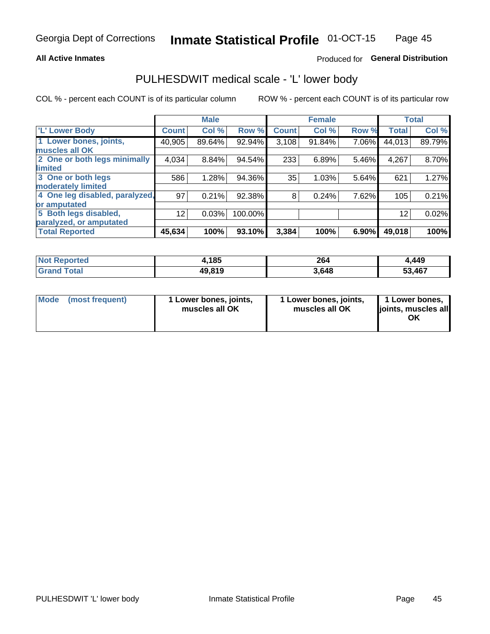## **All Active Inmates**

## Produced for General Distribution

## PULHESDWIT medical scale - 'L' lower body

COL % - percent each COUNT is of its particular column

|                                |              | <b>Male</b> |         |              | <b>Female</b> |       |                   | <b>Total</b> |
|--------------------------------|--------------|-------------|---------|--------------|---------------|-------|-------------------|--------------|
| 'L' Lower Body                 | <b>Count</b> | Col %       | Row %   | <b>Count</b> | Col %         | Row % | <b>Total</b>      | Col %        |
| 1 Lower bones, joints,         | 40,905       | 89.64%      | 92.94%  | 3,108        | 91.84%        | 7.06% | 44,013            | 89.79%       |
| muscles all OK                 |              |             |         |              |               |       |                   |              |
| 2 One or both legs minimally   | 4,034        | 8.84%       | 94.54%  | 233          | 6.89%         | 5.46% | 4,267             | 8.70%        |
| limited                        |              |             |         |              |               |       |                   |              |
| 3 One or both legs             | 586          | 1.28%       | 94.36%  | 35           | 1.03%         | 5.64% | 621               | 1.27%        |
| moderately limited             |              |             |         |              |               |       |                   |              |
| 4 One leg disabled, paralyzed, | 97           | 0.21%       | 92.38%  | 8            | 0.24%         | 7.62% | 105               | 0.21%        |
| or amputated                   |              |             |         |              |               |       |                   |              |
| 5 Both legs disabled,          | 12           | 0.03%       | 100.00% |              |               |       | $12 \overline{ }$ | 0.02%        |
| paralyzed, or amputated        |              |             |         |              |               |       |                   |              |
| <b>Total Reported</b>          | 45,634       | 100%        | 93.10%  | 3,384        | 100%          | 6.90% | 49,018            | 100%         |

| <b>Not Reported</b> | 4,185  | 264   | ,449   |
|---------------------|--------|-------|--------|
| <b>Grand Total</b>  | 49,819 | 3,648 | 53,467 |

|  | Mode (most frequent) | 1 Lower bones, joints,<br>muscles all OK | 1 Lower bones, joints,<br>muscles all OK | 1 Lower bones,<br>joints, muscles all<br>ΟK |
|--|----------------------|------------------------------------------|------------------------------------------|---------------------------------------------|
|--|----------------------|------------------------------------------|------------------------------------------|---------------------------------------------|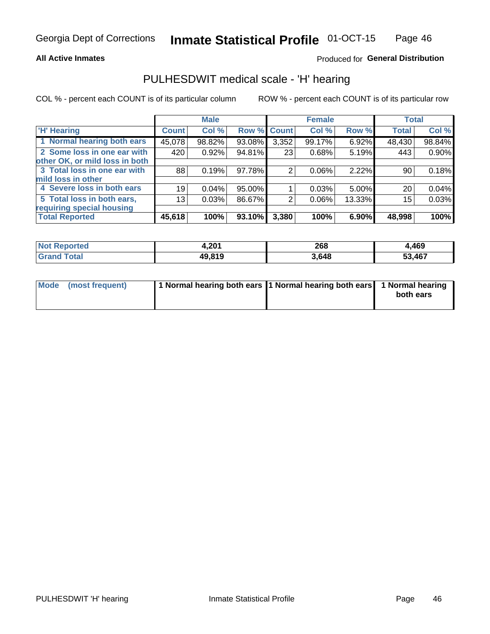## **All Active Inmates**

## Produced for General Distribution

## PULHESDWIT medical scale - 'H' hearing

COL % - percent each COUNT is of its particular column

|                                |                 | <b>Male</b> |                    |       | <b>Female</b> |        | <b>Total</b> |          |
|--------------------------------|-----------------|-------------|--------------------|-------|---------------|--------|--------------|----------|
| <b>H' Hearing</b>              | <b>Count</b>    | Col %       | <b>Row % Count</b> |       | Col %         | Row %  | <b>Total</b> | Col %    |
| 1 Normal hearing both ears     | 45,078          | 98.82%      | 93.08%             | 3,352 | 99.17%        | 6.92%  | 48,430       | 98.84%   |
| 2 Some loss in one ear with    | 420             | 0.92%       | 94.81%             | 23    | 0.68%         | 5.19%  | 443          | 0.90%    |
| other OK, or mild loss in both |                 |             |                    |       |               |        |              |          |
| 3 Total loss in one ear with   | 88              | 0.19%       | 97.78%             | 2     | $0.06\%$      | 2.22%  | 90           | 0.18%    |
| mild loss in other             |                 |             |                    |       |               |        |              |          |
| 4 Severe loss in both ears     | 19 <sup>1</sup> | 0.04%       | 95.00%             |       | 0.03%         | 5.00%  | 20           | $0.04\%$ |
| 5 Total loss in both ears,     | 13 <sub>1</sub> | 0.03%       | 86.67%             | 2     | $0.06\%$      | 13.33% | 15           | 0.03%    |
| requiring special housing      |                 |             |                    |       |               |        |              |          |
| <b>Total Reported</b>          | 45,618          | 100%        | 93.10%             | 3,380 | 100%          | 6.90%  | 48,998       | 100%     |

| <b>Not Reno</b><br><b>roorted</b> | <b>2011</b><br>1.ZU I | 268   | 469،   |
|-----------------------------------|-----------------------|-------|--------|
| Total                             | 49,819                | 3,648 | 53,467 |

| Mode (most frequent) | 1 Normal hearing both ears 11 Normal hearing both ears 1 Normal hearing | both ears |
|----------------------|-------------------------------------------------------------------------|-----------|
|                      |                                                                         |           |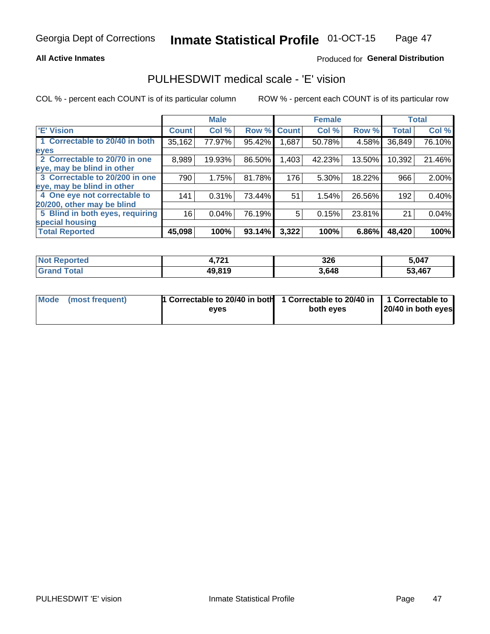## **All Active Inmates**

## Produced for General Distribution

## PULHESDWIT medical scale - 'E' vision

COL % - percent each COUNT is of its particular column

|                                 |              | <b>Male</b> |        |              | <b>Female</b> |        |              | <b>Total</b> |
|---------------------------------|--------------|-------------|--------|--------------|---------------|--------|--------------|--------------|
| 'E' Vision                      | <b>Count</b> | Col %       | Row %  | <b>Count</b> | Col %         | Row %  | <b>Total</b> | Col %        |
| 1 Correctable to 20/40 in both  | 35,162       | 77.97%      | 95.42% | .687         | 50.78%        | 4.58%  | 36,849       | 76.10%       |
| eyes                            |              |             |        |              |               |        |              |              |
| 2 Correctable to 20/70 in one   | 8,989        | 19.93%      | 86.50% | 1,403        | 42.23%        | 13.50% | 10,392       | 21.46%       |
| eye, may be blind in other      |              |             |        |              |               |        |              |              |
| 3 Correctable to 20/200 in one  | 790          | 1.75%       | 81.78% | 176          | 5.30%         | 18.22% | 966          | 2.00%        |
| eye, may be blind in other      |              |             |        |              |               |        |              |              |
| 4 One eye not correctable to    | 141          | 0.31%       | 73.44% | 51           | 1.54%         | 26.56% | 192          | 0.40%        |
| 20/200, other may be blind      |              |             |        |              |               |        |              |              |
| 5 Blind in both eyes, requiring | 16           | 0.04%       | 76.19% | 5            | 0.15%         | 23.81% | 21           | 0.04%        |
| special housing                 |              |             |        |              |               |        |              |              |
| <b>Total Reported</b>           | 45,098       | 100%        | 93.14% | 3,322        | 100%          | 6.86%  | 48,420       | 100%         |

| <b>Not Reported</b> | 704    | 326   | 5,047  |
|---------------------|--------|-------|--------|
| <b>Total</b>        | 49,819 | 3,648 | 53,467 |

| Mode (most frequent) | 1 Correctable to 20/40 in both<br>eves | 1 Correctable to 20/40 in   1 Correctable to  <br>both eves | 20/40 in both eyes |  |
|----------------------|----------------------------------------|-------------------------------------------------------------|--------------------|--|
|                      |                                        |                                                             |                    |  |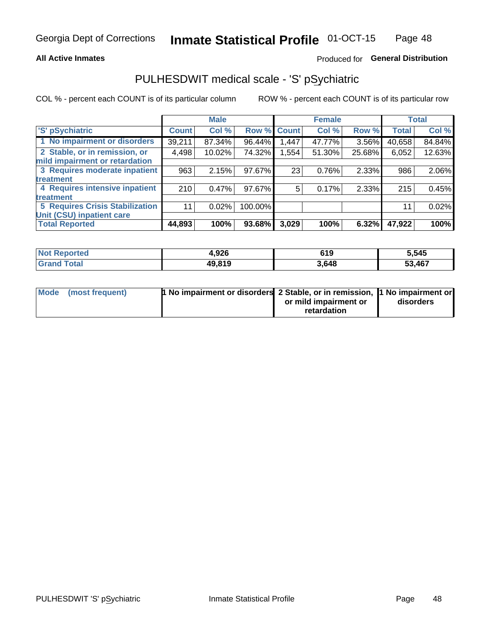## **All Active Inmates**

## Produced for General Distribution

## PULHESDWIT medical scale - 'S' pSychiatric

COL % - percent each COUNT is of its particular column

|                                        |              | <b>Male</b> |         |              | <b>Female</b> |        |              | <b>Total</b> |
|----------------------------------------|--------------|-------------|---------|--------------|---------------|--------|--------------|--------------|
| 'S' pSychiatric                        | <b>Count</b> | Col %       | Row %   | <b>Count</b> | Col %         | Row %  | <b>Total</b> | Col %        |
| 1 No impairment or disorders           | 39,211       | 87.34%      | 96.44%  | 1,447        | 47.77%        | 3.56%  | 40,658       | 84.84%       |
| 2 Stable, or in remission, or          | 4,498        | 10.02%      | 74.32%  | ,554         | 51.30%        | 25.68% | 6,052        | 12.63%       |
| mild impairment or retardation         |              |             |         |              |               |        |              |              |
| 3 Requires moderate inpatient          | 963          | 2.15%       | 97.67%  | 23           | 0.76%         | 2.33%  | 986          | 2.06%        |
| treatment                              |              |             |         |              |               |        |              |              |
| 4 Requires intensive inpatient         | 210          | 0.47%       | 97.67%  | 5            | 0.17%         | 2.33%  | 215          | 0.45%        |
| treatment                              |              |             |         |              |               |        |              |              |
| <b>5 Requires Crisis Stabilization</b> | 11           | 0.02%       | 100.00% |              |               |        | 11           | 0.02%        |
| Unit (CSU) inpatient care              |              |             |         |              |               |        |              |              |
| <b>Total Reported</b>                  | 44,893       | 100%        | 93.68%  | 3,029        | 100%          | 6.32%  | 47,922       | 100%         |

| <b>Not Reported</b>   | 4,926  | 619   | 5,545  |
|-----------------------|--------|-------|--------|
| Total<br><b>Grand</b> | 49,819 | 3,648 | 53,467 |

| Mode (most frequent) | <b>1 No impairment or disorders 2 Stable, or in remission, 1 No impairment or</b> |                       |           |
|----------------------|-----------------------------------------------------------------------------------|-----------------------|-----------|
|                      |                                                                                   | or mild impairment or | disorders |
|                      |                                                                                   | retardation           |           |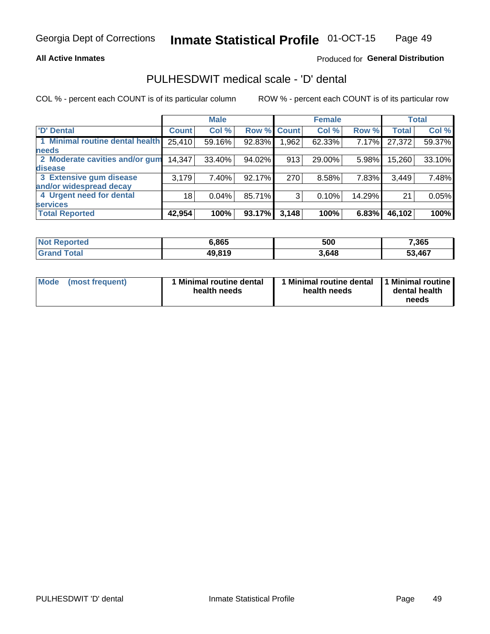## **All Active Inmates**

## Produced for General Distribution

## PULHESDWIT medical scale - 'D' dental

COL % - percent each COUNT is of its particular column

|                                 |              | <b>Male</b> |        |             | <b>Female</b> |        |              | <b>Total</b> |
|---------------------------------|--------------|-------------|--------|-------------|---------------|--------|--------------|--------------|
| <b>D'</b> Dental                | <b>Count</b> | Col %       |        | Row % Count | Col %         | Row %  | <b>Total</b> | Col %        |
| 1 Minimal routine dental health | 25,410       | 59.16%      | 92.83% | .962        | 62.33%        | 7.17%  | 27,372       | 59.37%       |
| <b>needs</b>                    |              |             |        |             |               |        |              |              |
| 2 Moderate cavities and/or gum  | 14,347       | 33.40%      | 94.02% | 913         | 29.00%        | 5.98%  | 15,260       | 33.10%       |
| disease                         |              |             |        |             |               |        |              |              |
| 3 Extensive gum disease         | 3,179        | 7.40%       | 92.17% | 270         | 8.58%         | 7.83%  | 3,449        | 7.48%        |
| and/or widespread decay         |              |             |        |             |               |        |              |              |
| 4 Urgent need for dental        | 18           | 0.04%       | 85.71% | 3           | 0.10%         | 14.29% | 21           | 0.05%        |
| <b>services</b>                 |              |             |        |             |               |        |              |              |
| <b>Total Reported</b>           | 42,954       | 100%        | 93.17% | 3,148       | 100%          | 6.83%  | 46,102       | 100%         |

| <b>Not Reported</b> | 6.865  | 500   | 7,365  |
|---------------------|--------|-------|--------|
| Total<br>Grand      | 49,819 | 3,648 | 53,467 |

| <b>Mode</b> | (most frequent) | <b>Minimal routine dental</b><br>health needs | 1 Minimal routine dental   1 Minimal routine  <br>health needs | dental health<br>needs |
|-------------|-----------------|-----------------------------------------------|----------------------------------------------------------------|------------------------|
|-------------|-----------------|-----------------------------------------------|----------------------------------------------------------------|------------------------|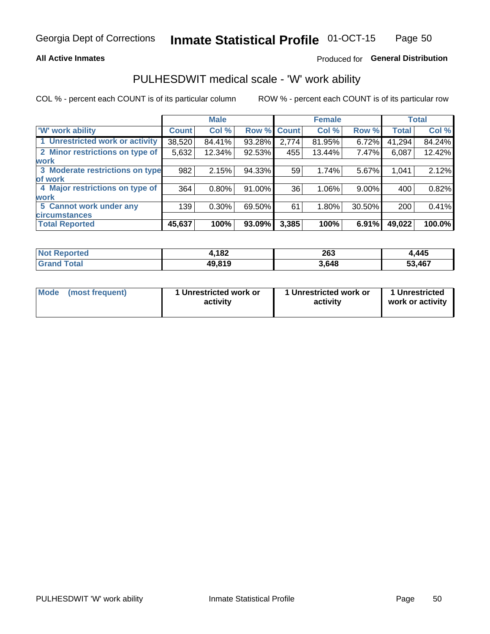## **All Active Inmates**

## Produced for General Distribution

## PULHESDWIT medical scale - 'W' work ability

COL % - percent each COUNT is of its particular column

|                                 |              | <b>Male</b> |        |             | <b>Female</b> |          |              | <b>Total</b> |
|---------------------------------|--------------|-------------|--------|-------------|---------------|----------|--------------|--------------|
| <b>W' work ability</b>          | <b>Count</b> | Col %       |        | Row % Count | Col %         | Row %    | <b>Total</b> | Col %        |
| 1 Unrestricted work or activity | 38,520       | 84.41%      | 93.28% | 2,774       | 81.95%        | 6.72%    | 41,294       | 84.24%       |
| 2 Minor restrictions on type of | 5,632        | 12.34%      | 92.53% | 455         | 13.44%        | 7.47%    | 6,087        | 12.42%       |
| <b>work</b>                     |              |             |        |             |               |          |              |              |
| 3 Moderate restrictions on type | 982          | 2.15%       | 94.33% | 59          | 1.74%         | 5.67%    | 1,041        | 2.12%        |
| lof work                        |              |             |        |             |               |          |              |              |
| 4 Major restrictions on type of | 364          | 0.80%       | 91.00% | 36          | 1.06%         | $9.00\%$ | 400          | 0.82%        |
| <b>work</b>                     |              |             |        |             |               |          |              |              |
| 5 Cannot work under any         | 139          | $0.30\%$    | 69.50% | 61          | 1.80%         | 30.50%   | 200          | 0.41%        |
| <b>circumstances</b>            |              |             |        |             |               |          |              |              |
| <b>Total Reported</b>           | 45,637       | 100%        | 93.09% | 3,385       | 100%          | 6.91%    | 49,022       | 100.0%       |

| <b>Not Reported</b>          | 4,182  | 263   | <b>.445</b> |
|------------------------------|--------|-------|-------------|
| <b>Total</b><br><b>Grand</b> | 49,819 | 3,648 | 53,467      |

| Mode            | 1 Unrestricted work or | 1 Unrestricted work or | 1 Unrestricted   |
|-----------------|------------------------|------------------------|------------------|
| (most frequent) | activity               | activity               | work or activity |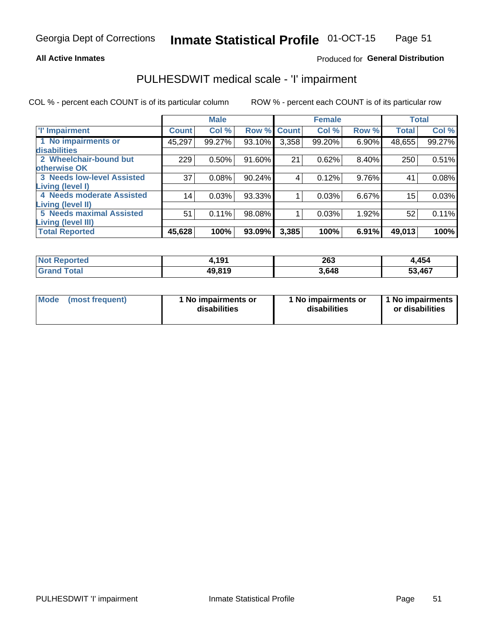## **All Active Inmates**

## Produced for General Distribution

## PULHESDWIT medical scale - 'I' impairment

COL % - percent each COUNT is of its particular column ROW % - percent each COUNT is of its particular row

|                                   |              | <b>Male</b> |           |              | <b>Female</b> |       |              | <b>Total</b> |
|-----------------------------------|--------------|-------------|-----------|--------------|---------------|-------|--------------|--------------|
| 'l' Impairment                    | <b>Count</b> | Col %       | Row %     | <b>Count</b> | Col %         | Row % | <b>Total</b> | Col %        |
| 1 No impairments or               | 45,297       | 99.27%      | 93.10%    | 3,358        | 99.20%        | 6.90% | 48,655       | 99.27%       |
| disabilities                      |              |             |           |              |               |       |              |              |
| 2 Wheelchair-bound but            | 229          | 0.50%       | 91.60%    | 21           | 0.62%         | 8.40% | 250          | 0.51%        |
| otherwise OK                      |              |             |           |              |               |       |              |              |
| <b>3 Needs low-level Assisted</b> | 37           | 0.08%       | $90.24\%$ | 4            | 0.12%         | 9.76% | 41           | 0.08%        |
| iving (level I)                   |              |             |           |              |               |       |              |              |
| 4 Needs moderate Assisted         | 14           | 0.03%       | 93.33%    |              | 0.03%         | 6.67% | 15           | 0.03%        |
| iving (level II)                  |              |             |           |              |               |       |              |              |
| <b>5 Needs maximal Assisted</b>   | 51           | 0.11%       | 98.08%    |              | 0.03%         | 1.92% | 52           | 0.11%        |
| iving (level III)                 |              |             |           |              |               |       |              |              |
| <b>Total Reported</b>             | 45,628       | 100%        | 93.09%    | 3,385        | 100%          | 6.91% | 49,013       | 100%         |

| <b>Not</b><br><b>Reported</b> | 101<br>1. I J I | 263  | 1,454      |
|-------------------------------|-----------------|------|------------|
| <b>Total</b>                  | 49.819          | 648. | ,467<br>-^ |

| <b>Mode</b> | (most frequent) | <b>No impairments or</b><br>disabilities | 1 No impairments or<br>disabilities | 1 No impairments<br>or disabilities |
|-------------|-----------------|------------------------------------------|-------------------------------------|-------------------------------------|
|-------------|-----------------|------------------------------------------|-------------------------------------|-------------------------------------|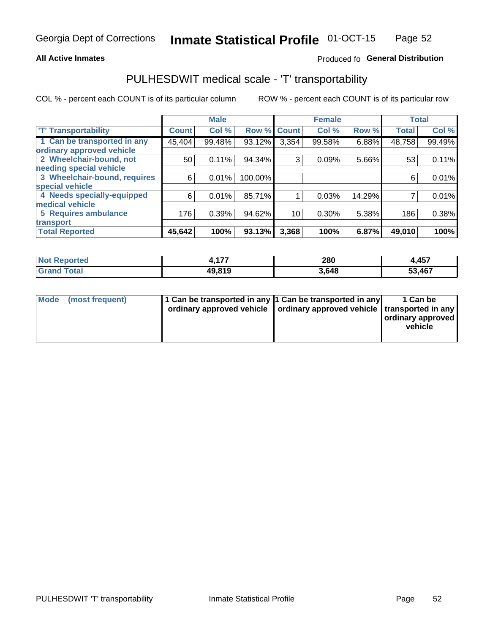## **All Active Inmates**

## Produced fo General Distribution

## PULHESDWIT medical scale - 'T' transportability

COL % - percent each COUNT is of its particular column

|                              |              | <b>Male</b> |         |              | <b>Female</b> |        |              | <b>Total</b> |
|------------------------------|--------------|-------------|---------|--------------|---------------|--------|--------------|--------------|
| <b>T' Transportability</b>   | <b>Count</b> | Col %       | Row %   | <b>Count</b> | Col %         | Row %  | <b>Total</b> | Col %        |
| 1 Can be transported in any  | 45,404       | 99.48%      | 93.12%  | 3,354        | 99.58%        | 6.88%  | 48,758       | 99.49%       |
| ordinary approved vehicle    |              |             |         |              |               |        |              |              |
| 2 Wheelchair-bound, not      | 50           | 0.11%       | 94.34%  | 3            | 0.09%         | 5.66%  | 53           | 0.11%        |
| needing special vehicle      |              |             |         |              |               |        |              |              |
| 3 Wheelchair-bound, requires | 6            | 0.01%       | 100.00% |              |               |        | 6            | 0.01%        |
| special vehicle              |              |             |         |              |               |        |              |              |
| 4 Needs specially-equipped   | 6            | 0.01%       | 85.71%  |              | 0.03%         | 14.29% |              | 0.01%        |
| medical vehicle              |              |             |         |              |               |        |              |              |
| <b>5 Requires ambulance</b>  | 176          | 0.39%       | 94.62%  | 10           | 0.30%         | 5.38%  | 186          | 0.38%        |
| transport                    |              |             |         |              |               |        |              |              |
| <b>Total Reported</b>        | 45,642       | 100%        | 93.13%  | 3,368        | 100%          | 6.87%  | 49,010       | 100%         |

| orted      | $\overline{a}$ | 280   | 4,457 |
|------------|----------------|-------|-------|
| <b>ota</b> | 49.819         | 3.648 | ,467  |

|  | Mode (most frequent) | 1 Can be transported in any 1 Can be transported in any<br>ordinary approved vehicle   ordinary approved vehicle   transported in any |  | 1 Can be<br>  ordinary approved  <br>vehicle |
|--|----------------------|---------------------------------------------------------------------------------------------------------------------------------------|--|----------------------------------------------|
|--|----------------------|---------------------------------------------------------------------------------------------------------------------------------------|--|----------------------------------------------|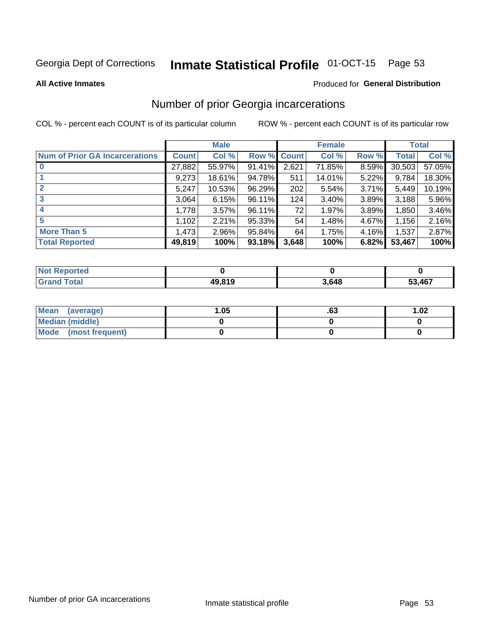#### Inmate Statistical Profile 01-OCT-15 Page 53

### **All Active Inmates**

### Produced for General Distribution

## Number of prior Georgia incarcerations

COL % - percent each COUNT is of its particular column

|                                       |              | <b>Male</b> |             |       | <b>Female</b> |       |        | <b>Total</b> |
|---------------------------------------|--------------|-------------|-------------|-------|---------------|-------|--------|--------------|
| <b>Num of Prior GA Incarcerations</b> | <b>Count</b> | Col %       | Row % Count |       | Col %         | Row % | Total  | Col %        |
|                                       | 27,882       | 55.97%      | 91.41%      | 2,621 | 71.85%        | 8.59% | 30,503 | 57.05%       |
|                                       | 9,273        | 18.61%      | 94.78%      | 511   | 14.01%        | 5.22% | 9,784  | 18.30%       |
| $\overline{2}$                        | 5,247        | 10.53%      | 96.29%      | 202   | 5.54%         | 3.71% | 5,449  | 10.19%       |
| 3                                     | 3,064        | 6.15%       | 96.11%      | 124   | 3.40%         | 3.89% | 3,188  | 5.96%        |
| $\boldsymbol{4}$                      | 1,778        | 3.57%       | 96.11%      | 72    | 1.97%         | 3.89% | 1,850  | 3.46%        |
| 5                                     | 1,102        | 2.21%       | 95.33%      | 54    | 1.48%         | 4.67% | 1,156  | 2.16%        |
| <b>More Than 5</b>                    | 1,473        | 2.96%       | $95.84\%$   | 64    | 1.75%         | 4.16% | 1,537  | 2.87%        |
| <b>Total Reported</b>                 | 49,819       | 100%        | $93.18\%$   | 3.648 | 100%          | 6.82% | 53,467 | 100%         |

| <b>Reported</b><br><b>NOT</b> |        |       |            |
|-------------------------------|--------|-------|------------|
| <b>otal</b><br>Gr             | 49,819 | 3.648 | ,467<br>-0 |

| Mean (average)       | .05 | .ია | 1.02 |
|----------------------|-----|-----|------|
| Median (middle)      |     |     |      |
| Mode (most frequent) |     |     |      |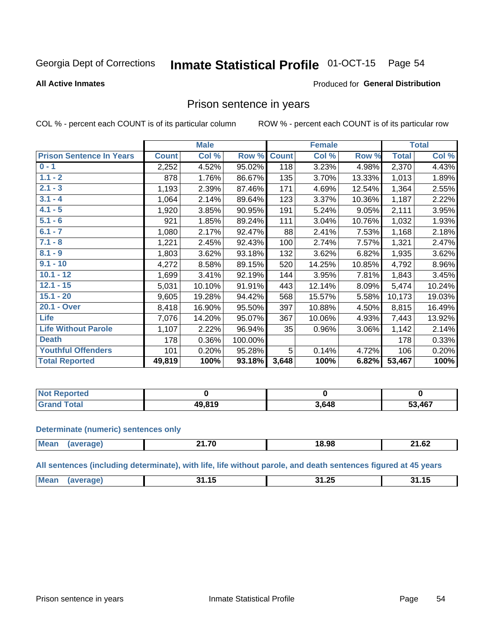#### Inmate Statistical Profile 01-OCT-15 Page 54

### **All Active Inmates**

### Produced for General Distribution

## Prison sentence in years

COL % - percent each COUNT is of its particular column

ROW % - percent each COUNT is of its particular row

|                                 |              | <b>Male</b> |         |              | <b>Female</b> |        |              | <b>Total</b> |
|---------------------------------|--------------|-------------|---------|--------------|---------------|--------|--------------|--------------|
| <b>Prison Sentence In Years</b> | <b>Count</b> | Col %       | Row %   | <b>Count</b> | Col %         | Row %  | <b>Total</b> | Col %        |
| $0 - 1$                         | 2,252        | 4.52%       | 95.02%  | 118          | 3.23%         | 4.98%  | 2,370        | 4.43%        |
| $1.1 - 2$                       | 878          | 1.76%       | 86.67%  | 135          | 3.70%         | 13.33% | 1,013        | 1.89%        |
| $2.1 - 3$                       | 1,193        | 2.39%       | 87.46%  | 171          | 4.69%         | 12.54% | 1,364        | 2.55%        |
| $3.1 - 4$                       | 1,064        | 2.14%       | 89.64%  | 123          | 3.37%         | 10.36% | 1,187        | 2.22%        |
| $4.1 - 5$                       | 1,920        | 3.85%       | 90.95%  | 191          | 5.24%         | 9.05%  | 2,111        | 3.95%        |
| $5.1 - 6$                       | 921          | 1.85%       | 89.24%  | 111          | 3.04%         | 10.76% | 1,032        | 1.93%        |
| $6.1 - 7$                       | 1,080        | 2.17%       | 92.47%  | 88           | 2.41%         | 7.53%  | 1,168        | 2.18%        |
| $7.1 - 8$                       | 1,221        | 2.45%       | 92.43%  | 100          | 2.74%         | 7.57%  | 1,321        | 2.47%        |
| $8.1 - 9$                       | 1,803        | 3.62%       | 93.18%  | 132          | 3.62%         | 6.82%  | 1,935        | 3.62%        |
| $9.1 - 10$                      | 4,272        | 8.58%       | 89.15%  | 520          | 14.25%        | 10.85% | 4,792        | 8.96%        |
| $10.1 - 12$                     | 1,699        | 3.41%       | 92.19%  | 144          | 3.95%         | 7.81%  | 1,843        | 3.45%        |
| $12.1 - 15$                     | 5,031        | 10.10%      | 91.91%  | 443          | 12.14%        | 8.09%  | 5,474        | 10.24%       |
| $15.1 - 20$                     | 9,605        | 19.28%      | 94.42%  | 568          | 15.57%        | 5.58%  | 10,173       | 19.03%       |
| 20.1 - Over                     | 8,418        | 16.90%      | 95.50%  | 397          | 10.88%        | 4.50%  | 8,815        | 16.49%       |
| <b>Life</b>                     | 7,076        | 14.20%      | 95.07%  | 367          | 10.06%        | 4.93%  | 7,443        | 13.92%       |
| <b>Life Without Parole</b>      | 1,107        | 2.22%       | 96.94%  | 35           | 0.96%         | 3.06%  | 1,142        | 2.14%        |
| <b>Death</b>                    | 178          | 0.36%       | 100.00% |              |               |        | 178          | 0.33%        |
| <b>Youthful Offenders</b>       | 101          | 0.20%       | 95.28%  | 5            | 0.14%         | 4.72%  | 106          | 0.20%        |
| <b>Total Reported</b>           | 49,819       | 100%        | 93.18%  | 3,648        | 100%          | 6.82%  | 53,467       | 100%         |

| <b>Not Reported</b> |        |       |        |
|---------------------|--------|-------|--------|
| <b>Total</b>        | 10.910 | 3,648 | 53,467 |

### **Determinate (numeric) sentences only**

| <b>Mean</b> | 14 7N<br>---- | 18.98 | 24.62<br>21.OZ |
|-------------|---------------|-------|----------------|
|             |               |       |                |

All sentences (including determinate), with life, life without parole, and death sentences figured at 45 years

| Mea<br>$\sim$<br>- -<br>- -<br>-24<br>л к<br><br>.<br>___ |  |  |  |
|-----------------------------------------------------------|--|--|--|
|                                                           |  |  |  |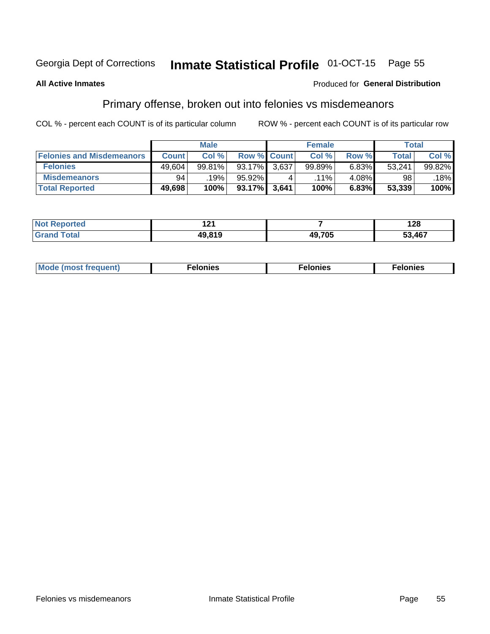#### Inmate Statistical Profile 01-OCT-15 Page 55

## **All Active Inmates**

## Produced for General Distribution

## Primary offense, broken out into felonies vs misdemeanors

COL % - percent each COUNT is of its particular column

|                                  |              | <b>Male</b> |           |                    | <b>Female</b> |       | Total  |        |
|----------------------------------|--------------|-------------|-----------|--------------------|---------------|-------|--------|--------|
| <b>Felonies and Misdemeanors</b> | <b>Count</b> | Col%        |           | <b>Row % Count</b> | Col%          | Row % | Total, | Col %  |
| <b>Felonies</b>                  | 49,604       | 99.81%      | $93.17\%$ | 3,637              | 99.89%        | 6.83% | 53,241 | 99.82% |
| <b>Misdemeanors</b>              | 94           | 19%         | 95.92%    |                    | $.11\%$       | 4.08% | 98     | .18%   |
| <b>Total Reported</b>            | 49,698       | 100%        | 93.17%    | 3,641              | 100%          | 6.83% | 53,339 | 100%   |

| <b>Not</b><br>rted.<br>- | . n.<br>. |        | 128    |
|--------------------------|-----------|--------|--------|
| ™otai<br>Gran            | 10 R 10   | 49,705 | 53,467 |

| M      | .    | nes | onies |
|--------|------|-----|-------|
| nuenti | ____ | .   | .     |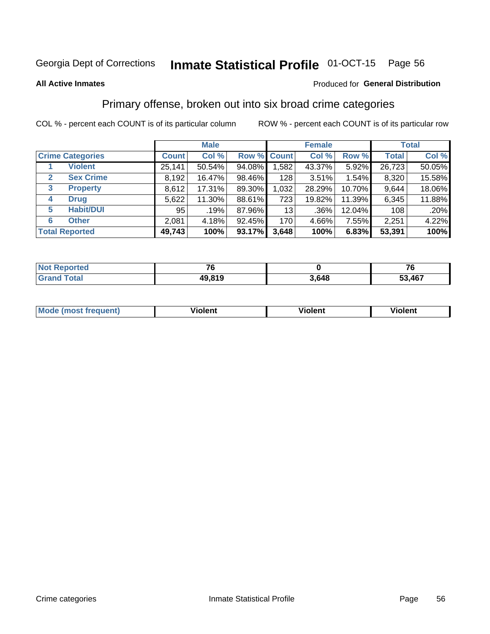#### Inmate Statistical Profile 01-OCT-15 Page 56

### **All Active Inmates**

## **Produced for General Distribution**

## Primary offense, broken out into six broad crime categories

COL % - percent each COUNT is of its particular column

|              |                         |              | <b>Male</b> |        |                 | <b>Female</b> |          |              | <b>Total</b> |
|--------------|-------------------------|--------------|-------------|--------|-----------------|---------------|----------|--------------|--------------|
|              | <b>Crime Categories</b> | <b>Count</b> | Col %       |        | Row % Count     | Col %         | Row %    | <b>Total</b> | Col %        |
|              | <b>Violent</b>          | 25,141       | 50.54%      | 94.08% | 1,582           | 43.37%        | 5.92%    | 26,723       | 50.05%       |
| $\mathbf{2}$ | <b>Sex Crime</b>        | 8,192        | 16.47%      | 98.46% | 128             | 3.51%         | $1.54\%$ | 8,320        | 15.58%       |
| 3            | <b>Property</b>         | 8,612        | 17.31%      | 89.30% | 1,032           | 28.29%        | 10.70%   | 9,644        | 18.06%       |
| 4            | <b>Drug</b>             | 5,622        | 11.30%      | 88.61% | 723             | 19.82%        | 11.39%   | 6,345        | 11.88%       |
| 5            | <b>Habit/DUI</b>        | 95           | .19%        | 87.96% | 13 <sup>1</sup> | $.36\%$       | 12.04%   | 108          | .20%         |
| 6            | <b>Other</b>            | 2,081        | 4.18%       | 92.45% | 170             | 4.66%         | 7.55%    | 2,251        | 4.22%        |
|              | <b>Total Reported</b>   | 49,743       | 100%        | 93.17% | 3,648           | 100%          | 6.83%    | 53,391       | 100%         |

| <b>Not Reported</b>    | - -    |       | -~<br>. U |
|------------------------|--------|-------|-----------|
| <b>Total</b><br>'Grand | 49,819 | 3,648 | 53,467    |

| Mo<br>uent)<br>nos | .<br>/iolent | <br>Violent | - --<br><b>Tiolent</b> |
|--------------------|--------------|-------------|------------------------|
|                    |              |             |                        |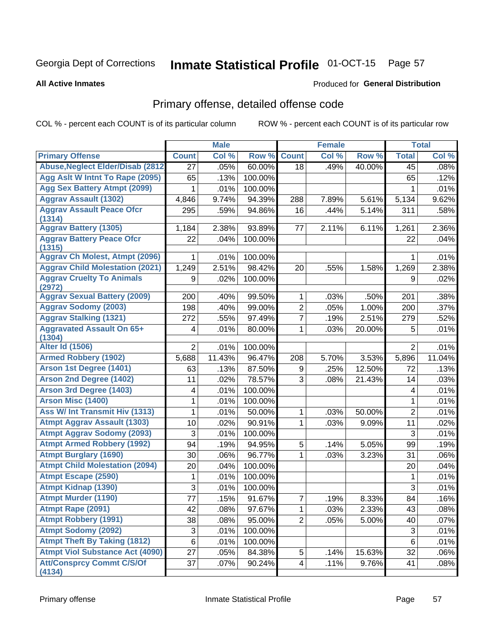# Inmate Statistical Profile 01-OCT-15 Page 57

### **All Active Inmates**

### Produced for General Distribution

## Primary offense, detailed offense code

COL % - percent each COUNT is of its particular column

|                                            |                           | <b>Male</b> |         |                | <b>Female</b> |        |                         | <b>Total</b> |
|--------------------------------------------|---------------------------|-------------|---------|----------------|---------------|--------|-------------------------|--------------|
| <b>Primary Offense</b>                     | <b>Count</b>              | Col %       | Row %   | <b>Count</b>   | Col %         | Row %  | <b>Total</b>            | Col %        |
| <b>Abuse, Neglect Elder/Disab (2812)</b>   | $\overline{27}$           | .05%        | 60.00%  | 18             | .49%          | 40.00% | 45                      | .08%         |
| Agg Aslt W Intnt To Rape (2095)            | 65                        | .13%        | 100.00% |                |               |        | 65                      | .12%         |
| <b>Agg Sex Battery Atmpt (2099)</b>        | 1                         | .01%        | 100.00% |                |               |        | 1                       | .01%         |
| <b>Aggrav Assault (1302)</b>               | 4,846                     | 9.74%       | 94.39%  | 288            | 7.89%         | 5.61%  | 5,134                   | 9.62%        |
| <b>Aggrav Assault Peace Ofcr</b><br>(1314) | 295                       | .59%        | 94.86%  | 16             | .44%          | 5.14%  | 311                     | .58%         |
| <b>Aggrav Battery (1305)</b>               | 1,184                     | 2.38%       | 93.89%  | 77             | 2.11%         | 6.11%  | 1,261                   | 2.36%        |
| <b>Aggrav Battery Peace Ofcr</b><br>(1315) | 22                        | .04%        | 100.00% |                |               |        | 22                      | .04%         |
| <b>Aggrav Ch Molest, Atmpt (2096)</b>      | 1                         | .01%        | 100.00% |                |               |        | 1                       | .01%         |
| <b>Aggrav Child Molestation (2021)</b>     | 1,249                     | 2.51%       | 98.42%  | 20             | .55%          | 1.58%  | 1,269                   | 2.38%        |
| <b>Aggrav Cruelty To Animals</b><br>(2972) | 9                         | .02%        | 100.00% |                |               |        | 9                       | .02%         |
| <b>Aggrav Sexual Battery (2009)</b>        | 200                       | .40%        | 99.50%  | 1              | .03%          | .50%   | 201                     | .38%         |
| <b>Aggrav Sodomy (2003)</b>                | 198                       | .40%        | 99.00%  | $\overline{2}$ | .05%          | 1.00%  | 200                     | .37%         |
| <b>Aggrav Stalking (1321)</b>              | 272                       | .55%        | 97.49%  | $\overline{7}$ | .19%          | 2.51%  | 279                     | .52%         |
| <b>Aggravated Assault On 65+</b><br>(1304) | 4                         | .01%        | 80.00%  | 1              | .03%          | 20.00% | 5                       | .01%         |
| <b>Alter Id (1506)</b>                     | $\overline{2}$            | .01%        | 100.00% |                |               |        | 2                       | .01%         |
| <b>Armed Robbery (1902)</b>                | 5,688                     | 11.43%      | 96.47%  | 208            | 5.70%         | 3.53%  | 5,896                   | 11.04%       |
| Arson 1st Degree (1401)                    | 63                        | .13%        | 87.50%  | 9              | .25%          | 12.50% | 72                      | .13%         |
| <b>Arson 2nd Degree (1402)</b>             | 11                        | .02%        | 78.57%  | 3              | .08%          | 21.43% | 14                      | .03%         |
| <b>Arson 3rd Degree (1403)</b>             | 4                         | .01%        | 100.00% |                |               |        | $\overline{\mathbf{4}}$ | .01%         |
| <b>Arson Misc (1400)</b>                   | 1                         | .01%        | 100.00% |                |               |        | 1                       | .01%         |
| <b>Ass W/ Int Transmit Hiv (1313)</b>      | 1                         | .01%        | 50.00%  | 1              | .03%          | 50.00% | $\overline{2}$          | .01%         |
| <b>Atmpt Aggrav Assault (1303)</b>         | 10                        | .02%        | 90.91%  | 1              | .03%          | 9.09%  | 11                      | .02%         |
| <b>Atmpt Aggrav Sodomy (2093)</b>          | 3                         | .01%        | 100.00% |                |               |        | 3                       | .01%         |
| <b>Atmpt Armed Robbery (1992)</b>          | 94                        | .19%        | 94.95%  | 5              | .14%          | 5.05%  | 99                      | .19%         |
| <b>Atmpt Burglary (1690)</b>               | 30                        | .06%        | 96.77%  | 1              | .03%          | 3.23%  | 31                      | .06%         |
| <b>Atmpt Child Molestation (2094)</b>      | 20                        | .04%        | 100.00% |                |               |        | 20                      | .04%         |
| <b>Atmpt Escape (2590)</b>                 | 1                         | .01%        | 100.00% |                |               |        | 1                       | .01%         |
| <b>Atmpt Kidnap (1390)</b>                 | 3                         | .01%        | 100.00% |                |               |        | 3                       | .01%         |
| <b>Atmpt Murder (1190)</b>                 | $\overline{77}$           | .15%        | 91.67%  | $\overline{7}$ | .19%          | 8.33%  | 84                      | .16%         |
| Atmpt Rape (2091)                          | 42                        | .08%        | 97.67%  | 1              | .03%          | 2.33%  | 43                      | .08%         |
| <b>Atmpt Robbery (1991)</b>                | 38                        | .08%        | 95.00%  | $\overline{2}$ | .05%          | 5.00%  | 40                      | .07%         |
| <b>Atmpt Sodomy (2092)</b>                 | $\ensuremath{\mathsf{3}}$ | .01%        | 100.00% |                |               |        | $\sqrt{3}$              | .01%         |
| <b>Atmpt Theft By Taking (1812)</b>        | 6                         | .01%        | 100.00% |                |               |        | $\,6$                   | .01%         |
| <b>Atmpt Viol Substance Act (4090)</b>     | 27                        | .05%        | 84.38%  | 5              | .14%          | 15.63% | 32                      | .06%         |
| <b>Att/Consprcy Commt C/S/Of</b><br>(4134) | 37                        | .07%        | 90.24%  | $\overline{4}$ | .11%          | 9.76%  | 41                      | .08%         |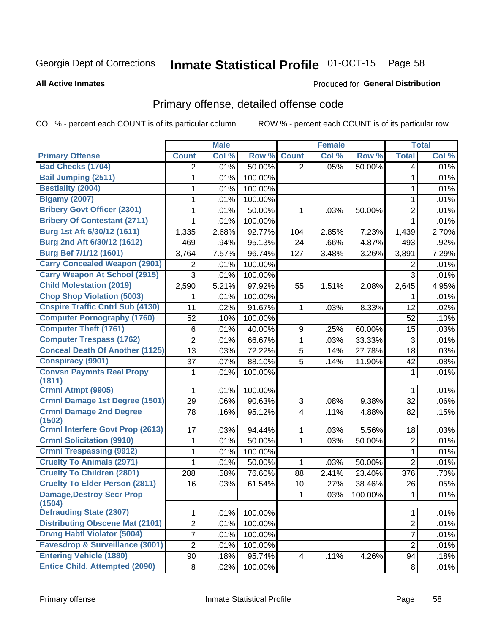# Inmate Statistical Profile 01-OCT-15 Page 58

**All Active Inmates** 

### Produced for General Distribution

## Primary offense, detailed offense code

COL % - percent each COUNT is of its particular column

|                                          |                | <b>Male</b> |         |                         | Female |         |                  | <b>Total</b> |
|------------------------------------------|----------------|-------------|---------|-------------------------|--------|---------|------------------|--------------|
| <b>Primary Offense</b>                   | <b>Count</b>   | Col %       | Row %   | <b>Count</b>            | Col %  | Row %   | <b>Total</b>     | Col %        |
| <b>Bad Checks (1704)</b>                 | $\overline{2}$ | .01%        | 50.00%  | $\overline{2}$          | .05%   | 50.00%  | 4                | .01%         |
| <b>Bail Jumping (2511)</b>               | 1              | .01%        | 100.00% |                         |        |         | 1                | .01%         |
| <b>Bestiality (2004)</b>                 | 1              | .01%        | 100.00% |                         |        |         | 1                | .01%         |
| <b>Bigamy (2007)</b>                     | 1              | .01%        | 100.00% |                         |        |         | 1                | .01%         |
| <b>Bribery Govt Officer (2301)</b>       | 1              | .01%        | 50.00%  | 1                       | .03%   | 50.00%  | $\overline{2}$   | .01%         |
| <b>Bribery Of Contestant (2711)</b>      | 1              | .01%        | 100.00% |                         |        |         | 1                | .01%         |
| Burg 1st Aft 6/30/12 (1611)              | 1,335          | 2.68%       | 92.77%  | 104                     | 2.85%  | 7.23%   | 1,439            | 2.70%        |
| Burg 2nd Aft 6/30/12 (1612)              | 469            | .94%        | 95.13%  | 24                      | .66%   | 4.87%   | 493              | .92%         |
| <b>Burg Bef 7/1/12 (1601)</b>            | 3,764          | 7.57%       | 96.74%  | 127                     | 3.48%  | 3.26%   | 3,891            | 7.29%        |
| <b>Carry Concealed Weapon (2901)</b>     | 2              | .01%        | 100.00% |                         |        |         | 2                | .01%         |
| <b>Carry Weapon At School (2915)</b>     | 3              | .01%        | 100.00% |                         |        |         | $\mathfrak{S}$   | .01%         |
| <b>Child Molestation (2019)</b>          | 2,590          | 5.21%       | 97.92%  | 55                      | 1.51%  | 2.08%   | 2,645            | 4.95%        |
| <b>Chop Shop Violation (5003)</b>        | 1              | .01%        | 100.00% |                         |        |         | 1                | .01%         |
| <b>Cnspire Traffic Cntrl Sub (4130)</b>  | 11             | .02%        | 91.67%  | 1                       | .03%   | 8.33%   | 12               | .02%         |
| <b>Computer Pornography (1760)</b>       | 52             | .10%        | 100.00% |                         |        |         | 52               | .10%         |
| <b>Computer Theft (1761)</b>             | 6              | .01%        | 40.00%  | 9                       | .25%   | 60.00%  | 15               | .03%         |
| <b>Computer Trespass (1762)</b>          | $\overline{c}$ | .01%        | 66.67%  | $\mathbf{1}$            | .03%   | 33.33%  | 3                | .01%         |
| <b>Conceal Death Of Another (1125)</b>   | 13             | .03%        | 72.22%  | 5                       | .14%   | 27.78%  | 18               | .03%         |
| <b>Conspiracy (9901)</b>                 | 37             | .07%        | 88.10%  | 5                       | .14%   | 11.90%  | 42               | .08%         |
| <b>Convsn Paymnts Real Propy</b>         | 1              | .01%        | 100.00% |                         |        |         | $\mathbf{1}$     | .01%         |
| (1811)                                   |                |             |         |                         |        |         |                  |              |
| Crmnl Atmpt (9905)                       | 1              | .01%        | 100.00% |                         |        |         | 1                | .01%         |
| <b>Crmnl Damage 1st Degree (1501)</b>    | 29             | .06%        | 90.63%  | 3                       | .08%   | 9.38%   | 32               | .06%         |
| <b>Crmnl Damage 2nd Degree</b><br>(1502) | 78             | .16%        | 95.12%  | $\overline{\mathbf{4}}$ | .11%   | 4.88%   | 82               | .15%         |
| <b>Crmnl Interfere Govt Prop (2613)</b>  | 17             | .03%        | 94.44%  | $\mathbf{1}$            | .03%   | 5.56%   | 18               | .03%         |
| <b>Crmnl Solicitation (9910)</b>         | 1              | .01%        | 50.00%  | $\mathbf{1}$            | .03%   | 50.00%  | $\overline{2}$   | .01%         |
| <b>Crmnl Trespassing (9912)</b>          | 1              | .01%        | 100.00% |                         |        |         | 1                | .01%         |
| <b>Cruelty To Animals (2971)</b>         | 1              | .01%        | 50.00%  | 1                       | .03%   | 50.00%  | $\overline{2}$   | .01%         |
| <b>Cruelty To Children (2801)</b>        | 288            | .58%        | 76.60%  | 88                      | 2.41%  | 23.40%  | 376              | .70%         |
| <b>Cruelty To Elder Person (2811)</b>    | 16             | .03%        | 61.54%  | 10                      | .27%   | 38.46%  | 26               | .05%         |
| <b>Damage, Destroy Secr Prop</b>         |                |             |         | 1                       | .03%   | 100.00% | 1                | .01%         |
| (1504)                                   |                |             |         |                         |        |         |                  |              |
| <b>Defrauding State (2307)</b>           | 1              | .01%        | 100.00% |                         |        |         | 1                | .01%         |
| <b>Distributing Obscene Mat (2101)</b>   | 2              | .01%        | 100.00% |                         |        |         | $\boldsymbol{2}$ | .01%         |
| <b>Drvng Habtl Violator (5004)</b>       | 7              | .01%        | 100.00% |                         |        |         | $\overline{7}$   | .01%         |
| Eavesdrop & Surveillance (3001)          | $\overline{c}$ | .01%        | 100.00% |                         |        |         | $\overline{2}$   | .01%         |
| <b>Entering Vehicle (1880)</b>           | 90             | .18%        | 95.74%  | 4                       | .11%   | 4.26%   | 94               | .18%         |
| <b>Entice Child, Attempted (2090)</b>    | 8              | .02%        | 100.00% |                         |        |         | 8                | .01%         |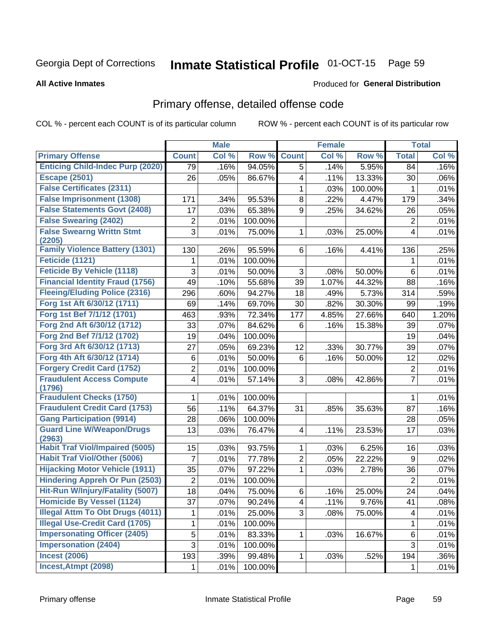#### Inmate Statistical Profile 01-OCT-15 Page 59

### **All Active Inmates**

## **Produced for General Distribution**

## Primary offense, detailed offense code

COL % - percent each COUNT is of its particular column

|                                            |                         | <b>Male</b> |         |                | <b>Female</b> |         |                  | <b>Total</b> |
|--------------------------------------------|-------------------------|-------------|---------|----------------|---------------|---------|------------------|--------------|
| <b>Primary Offense</b>                     | <b>Count</b>            | Col %       | Row %   | <b>Count</b>   | Col %         | Row %   | <b>Total</b>     | Col %        |
| <b>Enticing Child-Indec Purp (2020)</b>    | 79                      | .16%        | 94.05%  | 5              | .14%          | 5.95%   | 84               | .16%         |
| <b>Escape (2501)</b>                       | 26                      | .05%        | 86.67%  | 4              | .11%          | 13.33%  | 30               | .06%         |
| <b>False Certificates (2311)</b>           |                         |             |         | 1              | .03%          | 100.00% | 1                | .01%         |
| <b>False Imprisonment (1308)</b>           | 171                     | .34%        | 95.53%  | 8              | .22%          | 4.47%   | 179              | .34%         |
| <b>False Statements Govt (2408)</b>        | 17                      | .03%        | 65.38%  | 9              | .25%          | 34.62%  | 26               | .05%         |
| <b>False Swearing (2402)</b>               | $\overline{2}$          | .01%        | 100.00% |                |               |         | $\overline{2}$   | .01%         |
| <b>False Swearng Writtn Stmt</b><br>(2205) | 3                       | .01%        | 75.00%  | 1              | .03%          | 25.00%  | $\overline{4}$   | .01%         |
| <b>Family Violence Battery (1301)</b>      | 130                     | .26%        | 95.59%  | 6              | .16%          | 4.41%   | 136              | .25%         |
| Feticide (1121)                            | 1                       | .01%        | 100.00% |                |               |         | 1                | .01%         |
| <b>Feticide By Vehicle (1118)</b>          | 3                       | .01%        | 50.00%  | 3              | .08%          | 50.00%  | 6                | .01%         |
| <b>Financial Identity Fraud (1756)</b>     | 49                      | .10%        | 55.68%  | 39             | 1.07%         | 44.32%  | 88               | .16%         |
| <b>Fleeing/Eluding Police (2316)</b>       | 296                     | .60%        | 94.27%  | 18             | .49%          | 5.73%   | 314              | .59%         |
| Forg 1st Aft 6/30/12 (1711)                | 69                      | .14%        | 69.70%  | 30             | .82%          | 30.30%  | 99               | .19%         |
| Forg 1st Bef 7/1/12 (1701)                 | 463                     | .93%        | 72.34%  | 177            | 4.85%         | 27.66%  | 640              | 1.20%        |
| Forg 2nd Aft 6/30/12 (1712)                | 33                      | .07%        | 84.62%  | 6              | .16%          | 15.38%  | 39               | .07%         |
| Forg 2nd Bef 7/1/12 (1702)                 | 19                      | .04%        | 100.00% |                |               |         | 19               | .04%         |
| Forg 3rd Aft 6/30/12 (1713)                | 27                      | .05%        | 69.23%  | 12             | .33%          | 30.77%  | 39               | .07%         |
| Forg 4th Aft 6/30/12 (1714)                | 6                       | .01%        | 50.00%  | 6              | .16%          | 50.00%  | 12               | .02%         |
| <b>Forgery Credit Card (1752)</b>          | $\overline{\mathbf{c}}$ | .01%        | 100.00% |                |               |         | $\boldsymbol{2}$ | .01%         |
| <b>Fraudulent Access Compute</b><br>(1796) | 4                       | .01%        | 57.14%  | 3              | .08%          | 42.86%  | $\overline{7}$   | .01%         |
| <b>Fraudulent Checks (1750)</b>            | 1                       | .01%        | 100.00% |                |               |         | 1                | .01%         |
| <b>Fraudulent Credit Card (1753)</b>       | 56                      | .11%        | 64.37%  | 31             | .85%          | 35.63%  | 87               | .16%         |
| <b>Gang Participation (9914)</b>           | 28                      | .06%        | 100.00% |                |               |         | 28               | .05%         |
| <b>Guard Line W/Weapon/Drugs</b><br>(2963) | 13                      | .03%        | 76.47%  | 4              | .11%          | 23.53%  | 17               | .03%         |
| <b>Habit Traf Viol/Impaired (5005)</b>     | 15                      | .03%        | 93.75%  | 1              | .03%          | 6.25%   | 16               | .03%         |
| <b>Habit Traf Viol/Other (5006)</b>        | $\overline{7}$          | .01%        | 77.78%  | $\overline{2}$ | .05%          | 22.22%  | 9                | .02%         |
| <b>Hijacking Motor Vehicle (1911)</b>      | 35                      | .07%        | 97.22%  | 1              | .03%          | 2.78%   | 36               | .07%         |
| <b>Hindering Appreh Or Pun (2503)</b>      | $\overline{2}$          | .01%        | 100.00% |                |               |         | $\overline{2}$   | .01%         |
| Hit-Run W/Injury/Fatality (5007)           | 18                      | .04%        | 75.00%  | 6              | .16%          | 25.00%  | 24               | .04%         |
| <b>Homicide By Vessel (1124)</b>           | 37                      | .07%        | 90.24%  | 4              | .11%          | 9.76%   | 41               | .08%         |
| <b>Illegal Attm To Obt Drugs (4011)</b>    |                         | .01%        | 25.00%  | 3              | .08%          | 75.00%  | 4                | .01%         |
| <b>Illegal Use-Credit Card (1705)</b>      | 1                       | .01%        | 100.00% |                |               |         | 1                | .01%         |
| <b>Impersonating Officer (2405)</b>        | 5                       | .01%        | 83.33%  | 1.             | .03%          | 16.67%  | 6                | .01%         |
| <b>Impersonation (2404)</b>                | 3                       | .01%        | 100.00% |                |               |         | 3                | .01%         |
| <b>Incest (2006)</b>                       | 193                     | .39%        | 99.48%  | $\mathbf 1$    | .03%          | .52%    | 194              | $.36\%$      |
| Incest, Atmpt (2098)                       | 1                       | .01%        | 100.00% |                |               |         | 1                | .01%         |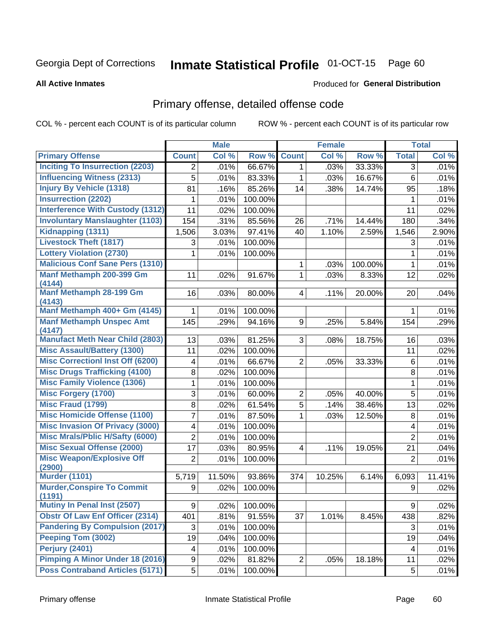#### Inmate Statistical Profile 01-OCT-15 Page 60

**All Active Inmates** 

### Produced for General Distribution

## Primary offense, detailed offense code

COL % - percent each COUNT is of its particular column

| <b>Count</b><br>Col %<br>Row %<br><b>Count</b><br>Col %<br>Row %<br><b>Total</b><br>Col %<br><b>Inciting To Insurrection (2203)</b><br>66.67%<br>.01%<br>.03%<br>33.33%<br>.01%<br>$\overline{2}$<br>1<br>3<br><b>Influencing Witness (2313)</b><br>5<br>.01%<br>83.33%<br>.03%<br>16.67%<br>.01%<br>6<br>1<br><b>Injury By Vehicle (1318)</b><br>85.26%<br>81<br>.16%<br>.38%<br>14.74%<br>.18%<br>14<br>95<br><b>Insurrection (2202)</b><br>.01%<br>100.00%<br>.01%<br>1<br>1<br><b>Interference With Custody (1312)</b><br>11<br>100.00%<br>11<br>.02%<br>.02%<br><b>Involuntary Manslaughter (1103)</b><br>154<br>.31%<br>85.56%<br>.34%<br>26<br>.71%<br>14.44%<br>180<br>Kidnapping (1311)<br>3.03%<br>97.41%<br>1.10%<br>2.90%<br>1,506<br>40<br>2.59%<br>1,546<br><b>Livestock Theft (1817)</b><br>100.00%<br>.01%<br>3<br>.01%<br>3<br><b>Lottery Violation (2730)</b><br>100.00%<br>.01%<br>1<br>.01%<br>1<br><b>Malicious Conf Sane Pers (1310)</b><br>.01%<br>.03%<br>100.00%<br>1<br>1<br>Manf Methamph 200-399 Gm<br>$\mathbf{1}$<br>91.67%<br>8.33%<br>12<br>.02%<br>11<br>.02%<br>.03%<br>(4144)<br>Manf Methamph 28-199 Gm<br>16<br>.03%<br>$\overline{\mathbf{4}}$<br>.11%<br>20<br>.04%<br>80.00%<br>20.00%<br>(4143)<br>Manf Methamph 400+ Gm (4145)<br>100.00%<br>.01%<br>$\mathbf{1}$<br>.01%<br>1<br><b>Manf Methamph Unspec Amt</b><br>145<br>9<br>.29%<br>94.16%<br>.25%<br>5.84%<br>.29%<br>154<br>(4147)<br><b>Manufact Meth Near Child (2803)</b><br>3<br>13<br>81.25%<br>.03%<br>.03%<br>.08%<br>18.75%<br>16<br><b>Misc Assault/Battery (1300)</b><br>11<br>.02%<br>100.00%<br>11<br>.02%<br><b>Misc Correctionl Inst Off (6200)</b><br>$\overline{2}$<br>.01%<br>66.67%<br>.01%<br>4<br>.05%<br>33.33%<br>6<br><b>Misc Drugs Trafficking (4100)</b><br>.01%<br>8<br>.02%<br>100.00%<br>8<br><b>Misc Family Violence (1306)</b><br>1<br>100.00%<br>.01%<br>.01%<br>1<br><b>Misc Forgery (1700)</b><br>3<br>5<br>.01%<br>.01%<br>60.00%<br>2<br>.05%<br>40.00%<br><b>Misc Fraud (1799)</b><br>$\overline{5}$<br>8<br>.02%<br>61.54%<br>.14%<br>38.46%<br>.02%<br>13<br><b>Misc Homicide Offense (1100)</b><br>7<br>.01%<br>.01%<br>87.50%<br>12.50%<br>1<br>.03%<br>8<br><b>Misc Invasion Of Privacy (3000)</b><br>100.00%<br>4<br>.01%<br>.01%<br>$\overline{\mathbf{4}}$<br><b>Misc Mrals/Pblic H/Safty (6000)</b><br>$\overline{2}$<br>.01%<br>100.00%<br>$\overline{2}$<br>.01%<br><b>Misc Sexual Offense (2000)</b><br>17<br>.03%<br>80.95%<br>4<br>.11%<br>.04%<br>19.05%<br>21<br><b>Misc Weapon/Explosive Off</b><br>.01%<br>$\overline{2}$<br>.01%<br>100.00%<br>$\overline{2}$<br>(2900)<br><b>Murder (1101)</b><br>11.50%<br>93.86%<br>10.25%<br>11.41%<br>5,719<br>374<br>6.14%<br>6,093<br><b>Murder, Conspire To Commit</b><br>.02%<br>100.00%<br>.02%<br>9<br>9<br>(1191) |                             |                | <b>Male</b> |         | <b>Female</b> |   | <b>Total</b> |
|-----------------------------------------------------------------------------------------------------------------------------------------------------------------------------------------------------------------------------------------------------------------------------------------------------------------------------------------------------------------------------------------------------------------------------------------------------------------------------------------------------------------------------------------------------------------------------------------------------------------------------------------------------------------------------------------------------------------------------------------------------------------------------------------------------------------------------------------------------------------------------------------------------------------------------------------------------------------------------------------------------------------------------------------------------------------------------------------------------------------------------------------------------------------------------------------------------------------------------------------------------------------------------------------------------------------------------------------------------------------------------------------------------------------------------------------------------------------------------------------------------------------------------------------------------------------------------------------------------------------------------------------------------------------------------------------------------------------------------------------------------------------------------------------------------------------------------------------------------------------------------------------------------------------------------------------------------------------------------------------------------------------------------------------------------------------------------------------------------------------------------------------------------------------------------------------------------------------------------------------------------------------------------------------------------------------------------------------------------------------------------------------------------------------------------------------------------------------------------------------------------------------------------------------------------------------------------------------------------------------------------------------------------------------------------------------------------------------------------------------------------------------------------------------------------------------------|-----------------------------|----------------|-------------|---------|---------------|---|--------------|
|                                                                                                                                                                                                                                                                                                                                                                                                                                                                                                                                                                                                                                                                                                                                                                                                                                                                                                                                                                                                                                                                                                                                                                                                                                                                                                                                                                                                                                                                                                                                                                                                                                                                                                                                                                                                                                                                                                                                                                                                                                                                                                                                                                                                                                                                                                                                                                                                                                                                                                                                                                                                                                                                                                                                                                                                                       | <b>Primary Offense</b>      |                |             |         |               |   |              |
|                                                                                                                                                                                                                                                                                                                                                                                                                                                                                                                                                                                                                                                                                                                                                                                                                                                                                                                                                                                                                                                                                                                                                                                                                                                                                                                                                                                                                                                                                                                                                                                                                                                                                                                                                                                                                                                                                                                                                                                                                                                                                                                                                                                                                                                                                                                                                                                                                                                                                                                                                                                                                                                                                                                                                                                                                       |                             |                |             |         |               |   |              |
|                                                                                                                                                                                                                                                                                                                                                                                                                                                                                                                                                                                                                                                                                                                                                                                                                                                                                                                                                                                                                                                                                                                                                                                                                                                                                                                                                                                                                                                                                                                                                                                                                                                                                                                                                                                                                                                                                                                                                                                                                                                                                                                                                                                                                                                                                                                                                                                                                                                                                                                                                                                                                                                                                                                                                                                                                       |                             |                |             |         |               |   |              |
|                                                                                                                                                                                                                                                                                                                                                                                                                                                                                                                                                                                                                                                                                                                                                                                                                                                                                                                                                                                                                                                                                                                                                                                                                                                                                                                                                                                                                                                                                                                                                                                                                                                                                                                                                                                                                                                                                                                                                                                                                                                                                                                                                                                                                                                                                                                                                                                                                                                                                                                                                                                                                                                                                                                                                                                                                       |                             |                |             |         |               |   |              |
|                                                                                                                                                                                                                                                                                                                                                                                                                                                                                                                                                                                                                                                                                                                                                                                                                                                                                                                                                                                                                                                                                                                                                                                                                                                                                                                                                                                                                                                                                                                                                                                                                                                                                                                                                                                                                                                                                                                                                                                                                                                                                                                                                                                                                                                                                                                                                                                                                                                                                                                                                                                                                                                                                                                                                                                                                       |                             |                |             |         |               |   |              |
|                                                                                                                                                                                                                                                                                                                                                                                                                                                                                                                                                                                                                                                                                                                                                                                                                                                                                                                                                                                                                                                                                                                                                                                                                                                                                                                                                                                                                                                                                                                                                                                                                                                                                                                                                                                                                                                                                                                                                                                                                                                                                                                                                                                                                                                                                                                                                                                                                                                                                                                                                                                                                                                                                                                                                                                                                       |                             |                |             |         |               |   |              |
|                                                                                                                                                                                                                                                                                                                                                                                                                                                                                                                                                                                                                                                                                                                                                                                                                                                                                                                                                                                                                                                                                                                                                                                                                                                                                                                                                                                                                                                                                                                                                                                                                                                                                                                                                                                                                                                                                                                                                                                                                                                                                                                                                                                                                                                                                                                                                                                                                                                                                                                                                                                                                                                                                                                                                                                                                       |                             |                |             |         |               |   |              |
|                                                                                                                                                                                                                                                                                                                                                                                                                                                                                                                                                                                                                                                                                                                                                                                                                                                                                                                                                                                                                                                                                                                                                                                                                                                                                                                                                                                                                                                                                                                                                                                                                                                                                                                                                                                                                                                                                                                                                                                                                                                                                                                                                                                                                                                                                                                                                                                                                                                                                                                                                                                                                                                                                                                                                                                                                       |                             |                |             |         |               |   |              |
|                                                                                                                                                                                                                                                                                                                                                                                                                                                                                                                                                                                                                                                                                                                                                                                                                                                                                                                                                                                                                                                                                                                                                                                                                                                                                                                                                                                                                                                                                                                                                                                                                                                                                                                                                                                                                                                                                                                                                                                                                                                                                                                                                                                                                                                                                                                                                                                                                                                                                                                                                                                                                                                                                                                                                                                                                       |                             |                |             |         |               |   |              |
|                                                                                                                                                                                                                                                                                                                                                                                                                                                                                                                                                                                                                                                                                                                                                                                                                                                                                                                                                                                                                                                                                                                                                                                                                                                                                                                                                                                                                                                                                                                                                                                                                                                                                                                                                                                                                                                                                                                                                                                                                                                                                                                                                                                                                                                                                                                                                                                                                                                                                                                                                                                                                                                                                                                                                                                                                       |                             |                |             |         |               |   |              |
|                                                                                                                                                                                                                                                                                                                                                                                                                                                                                                                                                                                                                                                                                                                                                                                                                                                                                                                                                                                                                                                                                                                                                                                                                                                                                                                                                                                                                                                                                                                                                                                                                                                                                                                                                                                                                                                                                                                                                                                                                                                                                                                                                                                                                                                                                                                                                                                                                                                                                                                                                                                                                                                                                                                                                                                                                       |                             |                |             |         |               |   |              |
|                                                                                                                                                                                                                                                                                                                                                                                                                                                                                                                                                                                                                                                                                                                                                                                                                                                                                                                                                                                                                                                                                                                                                                                                                                                                                                                                                                                                                                                                                                                                                                                                                                                                                                                                                                                                                                                                                                                                                                                                                                                                                                                                                                                                                                                                                                                                                                                                                                                                                                                                                                                                                                                                                                                                                                                                                       |                             |                |             |         |               |   |              |
|                                                                                                                                                                                                                                                                                                                                                                                                                                                                                                                                                                                                                                                                                                                                                                                                                                                                                                                                                                                                                                                                                                                                                                                                                                                                                                                                                                                                                                                                                                                                                                                                                                                                                                                                                                                                                                                                                                                                                                                                                                                                                                                                                                                                                                                                                                                                                                                                                                                                                                                                                                                                                                                                                                                                                                                                                       |                             |                |             |         |               |   |              |
|                                                                                                                                                                                                                                                                                                                                                                                                                                                                                                                                                                                                                                                                                                                                                                                                                                                                                                                                                                                                                                                                                                                                                                                                                                                                                                                                                                                                                                                                                                                                                                                                                                                                                                                                                                                                                                                                                                                                                                                                                                                                                                                                                                                                                                                                                                                                                                                                                                                                                                                                                                                                                                                                                                                                                                                                                       |                             |                |             |         |               |   |              |
|                                                                                                                                                                                                                                                                                                                                                                                                                                                                                                                                                                                                                                                                                                                                                                                                                                                                                                                                                                                                                                                                                                                                                                                                                                                                                                                                                                                                                                                                                                                                                                                                                                                                                                                                                                                                                                                                                                                                                                                                                                                                                                                                                                                                                                                                                                                                                                                                                                                                                                                                                                                                                                                                                                                                                                                                                       |                             |                |             |         |               |   |              |
|                                                                                                                                                                                                                                                                                                                                                                                                                                                                                                                                                                                                                                                                                                                                                                                                                                                                                                                                                                                                                                                                                                                                                                                                                                                                                                                                                                                                                                                                                                                                                                                                                                                                                                                                                                                                                                                                                                                                                                                                                                                                                                                                                                                                                                                                                                                                                                                                                                                                                                                                                                                                                                                                                                                                                                                                                       |                             |                |             |         |               |   |              |
|                                                                                                                                                                                                                                                                                                                                                                                                                                                                                                                                                                                                                                                                                                                                                                                                                                                                                                                                                                                                                                                                                                                                                                                                                                                                                                                                                                                                                                                                                                                                                                                                                                                                                                                                                                                                                                                                                                                                                                                                                                                                                                                                                                                                                                                                                                                                                                                                                                                                                                                                                                                                                                                                                                                                                                                                                       |                             |                |             |         |               |   |              |
|                                                                                                                                                                                                                                                                                                                                                                                                                                                                                                                                                                                                                                                                                                                                                                                                                                                                                                                                                                                                                                                                                                                                                                                                                                                                                                                                                                                                                                                                                                                                                                                                                                                                                                                                                                                                                                                                                                                                                                                                                                                                                                                                                                                                                                                                                                                                                                                                                                                                                                                                                                                                                                                                                                                                                                                                                       |                             |                |             |         |               |   |              |
|                                                                                                                                                                                                                                                                                                                                                                                                                                                                                                                                                                                                                                                                                                                                                                                                                                                                                                                                                                                                                                                                                                                                                                                                                                                                                                                                                                                                                                                                                                                                                                                                                                                                                                                                                                                                                                                                                                                                                                                                                                                                                                                                                                                                                                                                                                                                                                                                                                                                                                                                                                                                                                                                                                                                                                                                                       |                             |                |             |         |               |   |              |
|                                                                                                                                                                                                                                                                                                                                                                                                                                                                                                                                                                                                                                                                                                                                                                                                                                                                                                                                                                                                                                                                                                                                                                                                                                                                                                                                                                                                                                                                                                                                                                                                                                                                                                                                                                                                                                                                                                                                                                                                                                                                                                                                                                                                                                                                                                                                                                                                                                                                                                                                                                                                                                                                                                                                                                                                                       |                             |                |             |         |               |   |              |
|                                                                                                                                                                                                                                                                                                                                                                                                                                                                                                                                                                                                                                                                                                                                                                                                                                                                                                                                                                                                                                                                                                                                                                                                                                                                                                                                                                                                                                                                                                                                                                                                                                                                                                                                                                                                                                                                                                                                                                                                                                                                                                                                                                                                                                                                                                                                                                                                                                                                                                                                                                                                                                                                                                                                                                                                                       |                             |                |             |         |               |   |              |
|                                                                                                                                                                                                                                                                                                                                                                                                                                                                                                                                                                                                                                                                                                                                                                                                                                                                                                                                                                                                                                                                                                                                                                                                                                                                                                                                                                                                                                                                                                                                                                                                                                                                                                                                                                                                                                                                                                                                                                                                                                                                                                                                                                                                                                                                                                                                                                                                                                                                                                                                                                                                                                                                                                                                                                                                                       |                             |                |             |         |               |   |              |
|                                                                                                                                                                                                                                                                                                                                                                                                                                                                                                                                                                                                                                                                                                                                                                                                                                                                                                                                                                                                                                                                                                                                                                                                                                                                                                                                                                                                                                                                                                                                                                                                                                                                                                                                                                                                                                                                                                                                                                                                                                                                                                                                                                                                                                                                                                                                                                                                                                                                                                                                                                                                                                                                                                                                                                                                                       |                             |                |             |         |               |   |              |
|                                                                                                                                                                                                                                                                                                                                                                                                                                                                                                                                                                                                                                                                                                                                                                                                                                                                                                                                                                                                                                                                                                                                                                                                                                                                                                                                                                                                                                                                                                                                                                                                                                                                                                                                                                                                                                                                                                                                                                                                                                                                                                                                                                                                                                                                                                                                                                                                                                                                                                                                                                                                                                                                                                                                                                                                                       |                             |                |             |         |               |   |              |
|                                                                                                                                                                                                                                                                                                                                                                                                                                                                                                                                                                                                                                                                                                                                                                                                                                                                                                                                                                                                                                                                                                                                                                                                                                                                                                                                                                                                                                                                                                                                                                                                                                                                                                                                                                                                                                                                                                                                                                                                                                                                                                                                                                                                                                                                                                                                                                                                                                                                                                                                                                                                                                                                                                                                                                                                                       |                             |                |             |         |               |   |              |
|                                                                                                                                                                                                                                                                                                                                                                                                                                                                                                                                                                                                                                                                                                                                                                                                                                                                                                                                                                                                                                                                                                                                                                                                                                                                                                                                                                                                                                                                                                                                                                                                                                                                                                                                                                                                                                                                                                                                                                                                                                                                                                                                                                                                                                                                                                                                                                                                                                                                                                                                                                                                                                                                                                                                                                                                                       |                             |                |             |         |               |   |              |
|                                                                                                                                                                                                                                                                                                                                                                                                                                                                                                                                                                                                                                                                                                                                                                                                                                                                                                                                                                                                                                                                                                                                                                                                                                                                                                                                                                                                                                                                                                                                                                                                                                                                                                                                                                                                                                                                                                                                                                                                                                                                                                                                                                                                                                                                                                                                                                                                                                                                                                                                                                                                                                                                                                                                                                                                                       |                             |                |             |         |               |   |              |
|                                                                                                                                                                                                                                                                                                                                                                                                                                                                                                                                                                                                                                                                                                                                                                                                                                                                                                                                                                                                                                                                                                                                                                                                                                                                                                                                                                                                                                                                                                                                                                                                                                                                                                                                                                                                                                                                                                                                                                                                                                                                                                                                                                                                                                                                                                                                                                                                                                                                                                                                                                                                                                                                                                                                                                                                                       |                             |                |             |         |               |   |              |
|                                                                                                                                                                                                                                                                                                                                                                                                                                                                                                                                                                                                                                                                                                                                                                                                                                                                                                                                                                                                                                                                                                                                                                                                                                                                                                                                                                                                                                                                                                                                                                                                                                                                                                                                                                                                                                                                                                                                                                                                                                                                                                                                                                                                                                                                                                                                                                                                                                                                                                                                                                                                                                                                                                                                                                                                                       |                             |                |             |         |               |   |              |
|                                                                                                                                                                                                                                                                                                                                                                                                                                                                                                                                                                                                                                                                                                                                                                                                                                                                                                                                                                                                                                                                                                                                                                                                                                                                                                                                                                                                                                                                                                                                                                                                                                                                                                                                                                                                                                                                                                                                                                                                                                                                                                                                                                                                                                                                                                                                                                                                                                                                                                                                                                                                                                                                                                                                                                                                                       |                             |                |             |         |               |   |              |
|                                                                                                                                                                                                                                                                                                                                                                                                                                                                                                                                                                                                                                                                                                                                                                                                                                                                                                                                                                                                                                                                                                                                                                                                                                                                                                                                                                                                                                                                                                                                                                                                                                                                                                                                                                                                                                                                                                                                                                                                                                                                                                                                                                                                                                                                                                                                                                                                                                                                                                                                                                                                                                                                                                                                                                                                                       |                             |                |             |         |               |   |              |
|                                                                                                                                                                                                                                                                                                                                                                                                                                                                                                                                                                                                                                                                                                                                                                                                                                                                                                                                                                                                                                                                                                                                                                                                                                                                                                                                                                                                                                                                                                                                                                                                                                                                                                                                                                                                                                                                                                                                                                                                                                                                                                                                                                                                                                                                                                                                                                                                                                                                                                                                                                                                                                                                                                                                                                                                                       |                             |                |             |         |               |   |              |
|                                                                                                                                                                                                                                                                                                                                                                                                                                                                                                                                                                                                                                                                                                                                                                                                                                                                                                                                                                                                                                                                                                                                                                                                                                                                                                                                                                                                                                                                                                                                                                                                                                                                                                                                                                                                                                                                                                                                                                                                                                                                                                                                                                                                                                                                                                                                                                                                                                                                                                                                                                                                                                                                                                                                                                                                                       | Mutiny In Penal Inst (2507) | 9 <sup>1</sup> | .02%        | 100.00% |               | 9 | .02%         |
| <b>Obstr Of Law Enf Officer (2314)</b><br>401<br>.81%<br>91.55%<br>37<br>1.01%<br>8.45%<br>.82%<br>438                                                                                                                                                                                                                                                                                                                                                                                                                                                                                                                                                                                                                                                                                                                                                                                                                                                                                                                                                                                                                                                                                                                                                                                                                                                                                                                                                                                                                                                                                                                                                                                                                                                                                                                                                                                                                                                                                                                                                                                                                                                                                                                                                                                                                                                                                                                                                                                                                                                                                                                                                                                                                                                                                                                |                             |                |             |         |               |   |              |
| <b>Pandering By Compulsion (2017)</b><br>3<br>100.00%<br>3<br>.01%<br>.01%                                                                                                                                                                                                                                                                                                                                                                                                                                                                                                                                                                                                                                                                                                                                                                                                                                                                                                                                                                                                                                                                                                                                                                                                                                                                                                                                                                                                                                                                                                                                                                                                                                                                                                                                                                                                                                                                                                                                                                                                                                                                                                                                                                                                                                                                                                                                                                                                                                                                                                                                                                                                                                                                                                                                            |                             |                |             |         |               |   |              |
| Peeping Tom (3002)<br>19<br>.04%<br>100.00%<br>19<br>.04%                                                                                                                                                                                                                                                                                                                                                                                                                                                                                                                                                                                                                                                                                                                                                                                                                                                                                                                                                                                                                                                                                                                                                                                                                                                                                                                                                                                                                                                                                                                                                                                                                                                                                                                                                                                                                                                                                                                                                                                                                                                                                                                                                                                                                                                                                                                                                                                                                                                                                                                                                                                                                                                                                                                                                             |                             |                |             |         |               |   |              |
| <b>Perjury (2401)</b><br>100.00%<br>$\overline{\mathbf{4}}$<br>.01%<br>.01%<br>$\overline{\mathbf{4}}$                                                                                                                                                                                                                                                                                                                                                                                                                                                                                                                                                                                                                                                                                                                                                                                                                                                                                                                                                                                                                                                                                                                                                                                                                                                                                                                                                                                                                                                                                                                                                                                                                                                                                                                                                                                                                                                                                                                                                                                                                                                                                                                                                                                                                                                                                                                                                                                                                                                                                                                                                                                                                                                                                                                |                             |                |             |         |               |   |              |
| <b>Pimping A Minor Under 18 (2016)</b><br>9<br>$\overline{2}$<br>.02%<br>81.82%<br>.05%<br>18.18%<br>.02%<br>11                                                                                                                                                                                                                                                                                                                                                                                                                                                                                                                                                                                                                                                                                                                                                                                                                                                                                                                                                                                                                                                                                                                                                                                                                                                                                                                                                                                                                                                                                                                                                                                                                                                                                                                                                                                                                                                                                                                                                                                                                                                                                                                                                                                                                                                                                                                                                                                                                                                                                                                                                                                                                                                                                                       |                             |                |             |         |               |   |              |
| <b>Poss Contraband Articles (5171)</b><br>5<br>100.00%<br>.01%<br>.01%<br>5                                                                                                                                                                                                                                                                                                                                                                                                                                                                                                                                                                                                                                                                                                                                                                                                                                                                                                                                                                                                                                                                                                                                                                                                                                                                                                                                                                                                                                                                                                                                                                                                                                                                                                                                                                                                                                                                                                                                                                                                                                                                                                                                                                                                                                                                                                                                                                                                                                                                                                                                                                                                                                                                                                                                           |                             |                |             |         |               |   |              |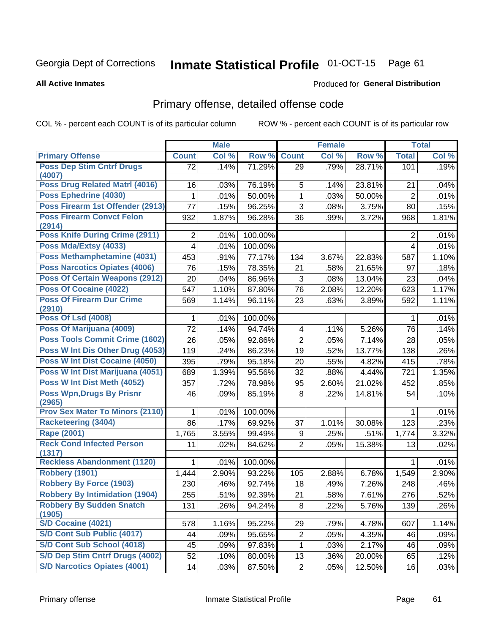#### Inmate Statistical Profile 01-OCT-15 Page 61

### **All Active Inmates**

## Produced for General Distribution

## Primary offense, detailed offense code

COL % - percent each COUNT is of its particular column

|                                                                      |              | <b>Male</b> |         |                | <b>Female</b> |        |                | <b>Total</b> |
|----------------------------------------------------------------------|--------------|-------------|---------|----------------|---------------|--------|----------------|--------------|
| <b>Primary Offense</b>                                               | <b>Count</b> | Col %       | Row %   | <b>Count</b>   | Col %         | Row %  | <b>Total</b>   | Col %        |
| <b>Poss Dep Stim Cntrf Drugs</b>                                     | 72           | .14%        | 71.29%  | 29             | .79%          | 28.71% | 101            | .19%         |
| (4007)<br><b>Poss Drug Related Matri (4016)</b>                      |              |             |         | 5              |               |        |                |              |
| Poss Ephedrine (4030)                                                | 16           | .03%        | 76.19%  |                | .14%          | 23.81% | 21             | .04%         |
|                                                                      | 1            | .01%        | 50.00%  | $\mathbf{1}$   | .03%          | 50.00% | $\overline{2}$ | .01%         |
| Poss Firearm 1st Offender (2913)<br><b>Poss Firearm Convct Felon</b> | 77           | .15%        | 96.25%  | 3              | .08%          | 3.75%  | 80             | .15%         |
| (2914)                                                               | 932          | 1.87%       | 96.28%  | 36             | .99%          | 3.72%  | 968            | 1.81%        |
| <b>Poss Knife During Crime (2911)</b>                                | 2            | .01%        | 100.00% |                |               |        | 2              | .01%         |
| Poss Mda/Extsy (4033)                                                | 4            | .01%        | 100.00% |                |               |        | 4              | .01%         |
| Poss Methamphetamine (4031)                                          | 453          | .91%        | 77.17%  | 134            | 3.67%         | 22.83% | 587            | 1.10%        |
| <b>Poss Narcotics Opiates (4006)</b>                                 | 76           | .15%        | 78.35%  | 21             | .58%          | 21.65% | 97             | .18%         |
| <b>Poss Of Certain Weapons (2912)</b>                                | 20           | .04%        | 86.96%  | 3              | .08%          | 13.04% | 23             | .04%         |
| Poss Of Cocaine (4022)                                               | 547          | 1.10%       | 87.80%  | 76             | 2.08%         | 12.20% | 623            | 1.17%        |
| <b>Poss Of Firearm Dur Crime</b>                                     | 569          | 1.14%       | 96.11%  | 23             | .63%          | 3.89%  | 592            | 1.11%        |
| (2910)<br><b>Poss Of Lsd (4008)</b>                                  |              | .01%        | 100.00% |                |               |        | 1              | .01%         |
| Poss Of Marijuana (4009)                                             | 72           | .14%        | 94.74%  | 4              | .11%          | 5.26%  | 76             | .14%         |
| Poss Tools Commit Crime (1602)                                       | 26           | .05%        | 92.86%  | $\overline{2}$ | .05%          | 7.14%  | 28             | .05%         |
| Poss W Int Dis Other Drug (4053)                                     | 119          | .24%        | 86.23%  | 19             | .52%          | 13.77% | 138            | .26%         |
| Poss W Int Dist Cocaine (4050)                                       | 395          | .79%        | 95.18%  | 20             | .55%          | 4.82%  | 415            | .78%         |
| Poss W Int Dist Marijuana (4051)                                     | 689          | 1.39%       | 95.56%  | 32             | .88%          | 4.44%  | 721            | 1.35%        |
| Poss W Int Dist Meth (4052)                                          | 357          | .72%        | 78.98%  | 95             | 2.60%         | 21.02% | 452            | .85%         |
| <b>Poss Wpn, Drugs By Prisnr</b>                                     | 46           |             | 85.19%  | 8              | .22%          | 14.81% | 54             | .10%         |
| (2965)                                                               |              | .09%        |         |                |               |        |                |              |
| <b>Prov Sex Mater To Minors (2110)</b>                               |              | .01%        | 100.00% |                |               |        | 1              | .01%         |
| <b>Racketeering (3404)</b>                                           | 86           | .17%        | 69.92%  | 37             | 1.01%         | 30.08% | 123            | .23%         |
| Rape (2001)                                                          | 1,765        | 3.55%       | 99.49%  | 9              | .25%          | .51%   | 1,774          | 3.32%        |
| <b>Reck Cond Infected Person</b>                                     | 11           | .02%        | 84.62%  | $\overline{2}$ | .05%          | 15.38% | 13             | .02%         |
| (1317)<br><b>Reckless Abandonment (1120)</b>                         |              | .01%        | 100.00% |                |               |        | 1              | .01%         |
| <b>Robbery (1901)</b>                                                | 1,444        | 2.90%       | 93.22%  | 105            | 2.88%         | 6.78%  | 1,549          | 2.90%        |
| <b>Robbery By Force (1903)</b>                                       | 230          | .46%        | 92.74%  | 18             | .49%          | 7.26%  | 248            | .46%         |
| <b>Robbery By Intimidation (1904)</b>                                | 255          | .51%        | 92.39%  | 21             | .58%          | 7.61%  | 276            | .52%         |
| <b>Robbery By Sudden Snatch</b>                                      | 131          | .26%        | 94.24%  | 8              | .22%          | 5.76%  |                | .26%         |
| (1905)                                                               |              |             |         |                |               |        | 139            |              |
| S/D Cocaine (4021)                                                   | 578          | 1.16%       | 95.22%  | 29             | .79%          | 4.78%  | 607            | 1.14%        |
| S/D Cont Sub Public (4017)                                           | 44           | .09%        | 95.65%  | $\overline{c}$ | .05%          | 4.35%  | 46             | .09%         |
| S/D Cont Sub School (4018)                                           | 45           | .09%        | 97.83%  | 1              | .03%          | 2.17%  | 46             | .09%         |
| S/D Dep Stim Cntrf Drugs (4002)                                      | 52           | .10%        | 80.00%  | 13             | .36%          | 20.00% | 65             | .12%         |
| <b>S/D Narcotics Opiates (4001)</b>                                  | 14           | .03%        | 87.50%  | $\overline{2}$ | .05%          | 12.50% | 16             | .03%         |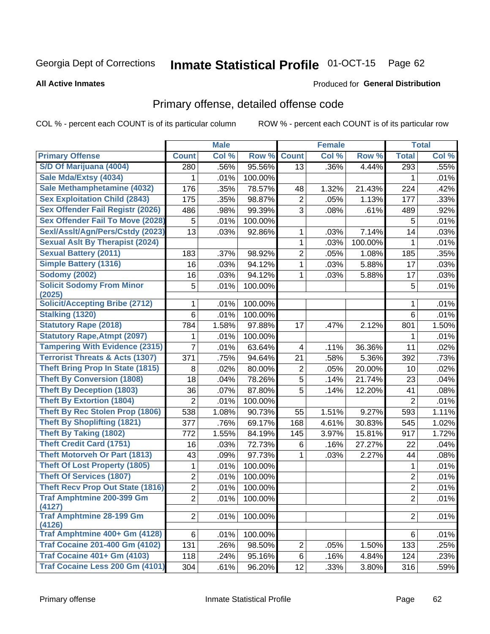# Inmate Statistical Profile 01-OCT-15 Page 62

### **All Active Inmates**

### Produced for General Distribution

## Primary offense, detailed offense code

COL % - percent each COUNT is of its particular column

|                                                 |                | <b>Male</b>   |                   |                | <b>Female</b> |                 |                | <b>Total</b>  |
|-------------------------------------------------|----------------|---------------|-------------------|----------------|---------------|-----------------|----------------|---------------|
| <b>Primary Offense</b>                          | <b>Count</b>   | Col %         | Row %             | <b>Count</b>   | Col %         | Row %           | <b>Total</b>   | Col %         |
| S/D Of Marijuana (4004)                         | 280            | .56%          | 95.56%            | 13             | .36%          | 4.44%           | 293            | .55%          |
| Sale Mda/Extsy (4034)                           | 1              | .01%          | 100.00%           |                |               |                 | 1              | .01%          |
| Sale Methamphetamine (4032)                     | 176            | .35%          | 78.57%            | 48             | 1.32%         | 21.43%          | 224            | .42%          |
| <b>Sex Exploitation Child (2843)</b>            | 175            | .35%          | 98.87%            | $\overline{2}$ | .05%          | 1.13%           | 177            | .33%          |
| <b>Sex Offender Fail Registr (2026)</b>         | 486            | .98%          | 99.39%            | 3              | .08%          | .61%            | 489            | .92%          |
| <b>Sex Offender Fail To Move (2028)</b>         | 5              | .01%          | 100.00%           |                |               |                 | 5              | .01%          |
| Sexl/Asslt/Agn/Pers/Cstdy (2023)                | 13             | .03%          | 92.86%            | 1              | .03%          | 7.14%           | 14             | .03%          |
| <b>Sexual Aslt By Therapist (2024)</b>          |                |               |                   | 1              | .03%          | 100.00%         | 1              | .01%          |
| <b>Sexual Battery (2011)</b>                    | 183            | .37%          | 98.92%            | $\overline{2}$ | .05%          | 1.08%           | 185            | .35%          |
| <b>Simple Battery (1316)</b>                    | 16             | .03%          | 94.12%            | 1              | .03%          | 5.88%           | 17             | .03%          |
| <b>Sodomy (2002)</b>                            | 16             | .03%          | 94.12%            | 1              | .03%          | 5.88%           | 17             | .03%          |
| <b>Solicit Sodomy From Minor</b>                | 5              | .01%          | 100.00%           |                |               |                 | 5              | .01%          |
| (2025)<br><b>Solicit/Accepting Bribe (2712)</b> |                |               |                   |                |               |                 |                |               |
| <b>Stalking (1320)</b>                          | 1              | .01%          | 100.00%           |                |               |                 | 1<br>6         | .01%          |
| <b>Statutory Rape (2018)</b>                    | 6              | .01%<br>1.58% | 100.00%           | 17             |               | 2.12%           |                | .01%          |
| <b>Statutory Rape, Atmpt (2097)</b>             | 784            | .01%          | 97.88%<br>100.00% |                | .47%          |                 | 801            | 1.50%<br>.01% |
| <b>Tampering With Evidence (2315)</b>           | 1<br>7         |               | 63.64%            |                | .11%          |                 | 1<br>11        |               |
| <b>Terrorist Threats &amp; Acts (1307)</b>      | 371            | .01%<br>.75%  | 94.64%            | 4<br>21        | .58%          | 36.36%<br>5.36% | 392            | .02%<br>.73%  |
| <b>Theft Bring Prop In State (1815)</b>         | 8              | .02%          | 80.00%            | $\overline{2}$ | .05%          | 20.00%          | 10             | .02%          |
| <b>Theft By Conversion (1808)</b>               | 18             | .04%          | 78.26%            | 5              | .14%          | 21.74%          | 23             | .04%          |
| <b>Theft By Deception (1803)</b>                | 36             | .07%          | 87.80%            | 5              | .14%          | 12.20%          | 41             | .08%          |
| <b>Theft By Extortion (1804)</b>                | $\overline{2}$ | .01%          | 100.00%           |                |               |                 | $\overline{2}$ | .01%          |
| <b>Theft By Rec Stolen Prop (1806)</b>          | 538            | 1.08%         | 90.73%            | 55             | 1.51%         | 9.27%           | 593            | 1.11%         |
| <b>Theft By Shoplifting (1821)</b>              | 377            | .76%          | 69.17%            | 168            | 4.61%         | 30.83%          | 545            | 1.02%         |
| <b>Theft By Taking (1802)</b>                   | 772            | 1.55%         | 84.19%            | 145            | 3.97%         | 15.81%          | 917            | 1.72%         |
| <b>Theft Credit Card (1751)</b>                 | 16             | .03%          | 72.73%            | 6              | .16%          | 27.27%          | 22             | .04%          |
| <b>Theft Motorveh Or Part (1813)</b>            | 43             | .09%          | 97.73%            | 1              | .03%          | 2.27%           | 44             | .08%          |
| <b>Theft Of Lost Property (1805)</b>            | 1              | .01%          | 100.00%           |                |               |                 | 1              | .01%          |
| <b>Theft Of Services (1807)</b>                 | $\overline{c}$ | .01%          | 100.00%           |                |               |                 | $\overline{c}$ | .01%          |
| <b>Theft Recv Prop Out State (1816)</b>         | $\overline{2}$ | .01%          | 100.00%           |                |               |                 | 2              | .01%          |
| <b>Traf Amphtmine 200-399 Gm</b>                | $\overline{2}$ | .01%          | 100.00%           |                |               |                 | $\overline{2}$ | .01%          |
| (4127)                                          |                |               |                   |                |               |                 |                |               |
| <b>Traf Amphtmine 28-199 Gm</b><br>(4126)       | $\overline{2}$ | .01%          | 100.00%           |                |               |                 | $\overline{2}$ | .01%          |
| Traf Amphtmine 400+ Gm (4128)                   | 6              | .01%          | 100.00%           |                |               |                 | 6              | .01%          |
| <b>Traf Cocaine 201-400 Gm (4102)</b>           | 131            | .26%          | 98.50%            | $\overline{2}$ | .05%          | 1.50%           | 133            | .25%          |
| <b>Traf Cocaine 401+ Gm (4103)</b>              | 118            | .24%          | 95.16%            | 6              | .16%          | 4.84%           | 124            | .23%          |
| Traf Cocaine Less 200 Gm (4101)                 | 304            | .61%          | 96.20%            | 12             | .33%          | 3.80%           | 316            | .59%          |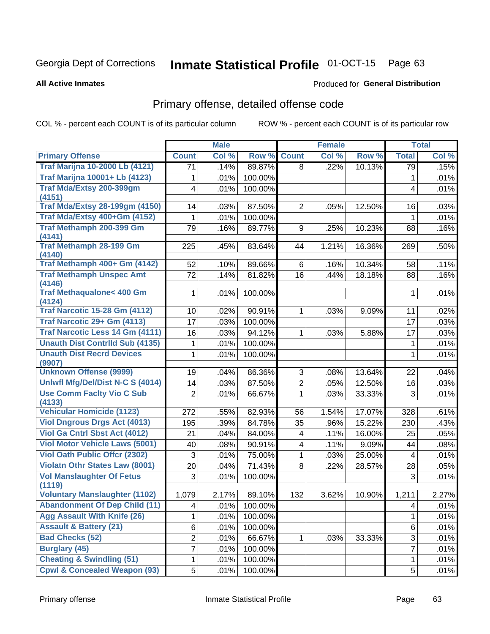# Inmate Statistical Profile 01-OCT-15 Page 63

### **All Active Inmates**

### Produced for General Distribution

## Primary offense, detailed offense code

COL % - percent each COUNT is of its particular column

|                                                                             |                | <b>Male</b> |         |                | <b>Female</b> |        |                         | <b>Total</b> |
|-----------------------------------------------------------------------------|----------------|-------------|---------|----------------|---------------|--------|-------------------------|--------------|
| <b>Primary Offense</b>                                                      | <b>Count</b>   | Col %       | Row %   | <b>Count</b>   | Col %         | Row %  | <b>Total</b>            | Col %        |
| <b>Traf Marijna 10-2000 Lb (4121)</b>                                       | 71             | .14%        | 89.87%  | 8              | .22%          | 10.13% | 79                      | .15%         |
| <b>Traf Marijna 10001+ Lb (4123)</b>                                        | 1              | .01%        | 100.00% |                |               |        | 1                       | .01%         |
| Traf Mda/Extsy 200-399gm<br>(4151)                                          | 4              | .01%        | 100.00% |                |               |        | 4                       | .01%         |
| <b>Traf Mda/Extsy 28-199gm (4150)</b>                                       | 14             | .03%        | 87.50%  | $\overline{2}$ | .05%          | 12.50% | 16                      | .03%         |
| Traf Mda/Extsy 400+Gm (4152)                                                | 1              | .01%        | 100.00% |                |               |        | 1                       | .01%         |
| Traf Methamph 200-399 Gm                                                    | 79             | .16%        | 89.77%  | 9              | .25%          | 10.23% | 88                      | .16%         |
| (4141)                                                                      |                |             |         |                |               |        |                         |              |
| <b>Traf Methamph 28-199 Gm</b><br>(4140)                                    | 225            | .45%        | 83.64%  | 44             | 1.21%         | 16.36% | 269                     | .50%         |
| Traf Methamph 400+ Gm (4142)                                                | 52             | .10%        | 89.66%  | 6              | .16%          | 10.34% | 58                      | .11%         |
| <b>Traf Methamph Unspec Amt</b>                                             | 72             | .14%        | 81.82%  | 16             | .44%          | 18.18% | 88                      | .16%         |
| (4146)                                                                      |                |             |         |                |               |        |                         |              |
| <b>Traf Methaqualone&lt; 400 Gm</b><br>(4124)                               | 1              | .01%        | 100.00% |                |               |        | $\mathbf 1$             | .01%         |
| <b>Traf Narcotic 15-28 Gm (4112)</b>                                        | 10             | .02%        | 90.91%  | 1              | .03%          | 9.09%  | 11                      | .02%         |
| Traf Narcotic 29+ Gm (4113)                                                 | 17             | .03%        | 100.00% |                |               |        | 17                      | .03%         |
| <b>Traf Narcotic Less 14 Gm (4111)</b>                                      | 16             | .03%        | 94.12%  | 1              | .03%          | 5.88%  | 17                      | .03%         |
| <b>Unauth Dist Contrild Sub (4135)</b>                                      | 1              | .01%        | 100.00% |                |               |        | 1                       | .01%         |
| <b>Unauth Dist Recrd Devices</b>                                            | 1              | .01%        | 100.00% |                |               |        | $\mathbf 1$             | .01%         |
| (9907)                                                                      |                |             |         |                |               |        |                         |              |
| <b>Unknown Offense (9999)</b>                                               | 19             | .04%        | 86.36%  | 3              | .08%          | 13.64% | 22                      | .04%         |
| Uniwfl Mfg/Del/Dist N-C S (4014)                                            | 14             | .03%        | 87.50%  | $\overline{2}$ | .05%          | 12.50% | 16                      | .03%         |
| <b>Use Comm Facity Vio C Sub</b>                                            | $\overline{2}$ | .01%        | 66.67%  | $\mathbf 1$    | .03%          | 33.33% | 3                       | .01%         |
| (4133)<br><b>Vehicular Homicide (1123)</b>                                  |                |             |         |                |               |        |                         |              |
|                                                                             | 272            | .55%        | 82.93%  | 56             | 1.54%         | 17.07% | 328                     | .61%         |
| <b>Viol Dngrous Drgs Act (4013)</b><br><b>Viol Ga Cntrl Sbst Act (4012)</b> | 195            | .39%        | 84.78%  | 35             | .96%          | 15.22% | 230                     | .43%         |
| <b>Viol Motor Vehicle Laws (5001)</b>                                       | 21             | .04%        | 84.00%  | 4              | .11%          | 16.00% | 25                      | .05%         |
| <b>Viol Oath Public Offcr (2302)</b>                                        | 40             | .08%        | 90.91%  | 4              | .11%          | 9.09%  | 44                      | .08%         |
| <b>Violatn Othr States Law (8001)</b>                                       | $\mathbf{3}$   | .01%        | 75.00%  | 1              | .03%          | 25.00% | $\overline{\mathbf{4}}$ | .01%         |
| <b>Vol Manslaughter Of Fetus</b>                                            | 20             | .04%        | 71.43%  | 8              | .22%          | 28.57% | 28                      | .05%         |
| (1119)                                                                      | $\mathfrak{S}$ | .01%        | 100.00% |                |               |        | 3                       | .01%         |
| <b>Voluntary Manslaughter (1102)</b>                                        | 1,079          | 2.17%       | 89.10%  | 132            | 3.62%         | 10.90% | 1,211                   | 2.27%        |
| <b>Abandonment Of Dep Child (11)</b>                                        | 4              | .01%        | 100.00% |                |               |        | 4                       | .01%         |
| <b>Agg Assault With Knife (26)</b>                                          | 1              | .01%        | 100.00% |                |               |        | 1                       | .01%         |
| <b>Assault &amp; Battery (21)</b>                                           | 6              | .01%        | 100.00% |                |               |        | 6                       | .01%         |
| <b>Bad Checks (52)</b>                                                      | 2              | .01%        | 66.67%  | 1              | .03%          | 33.33% | 3                       | .01%         |
| <b>Burglary (45)</b>                                                        | 7              | .01%        | 100.00% |                |               |        | $\overline{7}$          | .01%         |
| <b>Cheating &amp; Swindling (51)</b>                                        | 1              | .01%        | 100.00% |                |               |        | 1                       | .01%         |
| <b>Cpwl &amp; Concealed Weapon (93)</b>                                     | 5              | .01%        | 100.00% |                |               |        | 5                       | .01%         |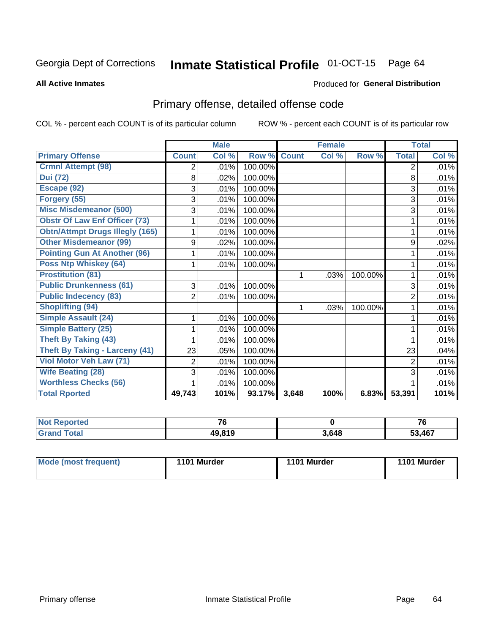# Inmate Statistical Profile 01-OCT-15 Page 64

**All Active Inmates** 

## **Produced for General Distribution**

## Primary offense, detailed offense code

COL % - percent each COUNT is of its particular column

|                                        |                | <b>Male</b> |         |              | <b>Female</b> |         |                | <b>Total</b> |
|----------------------------------------|----------------|-------------|---------|--------------|---------------|---------|----------------|--------------|
| <b>Primary Offense</b>                 | <b>Count</b>   | Col %       | Row %   | <b>Count</b> | Col %         | Row %   | <b>Total</b>   | Col %        |
| <b>Crmnl Attempt (98)</b>              | 2              | .01%        | 100.00% |              |               |         | $\overline{2}$ | .01%         |
| <b>Dui (72)</b>                        | 8              | .02%        | 100.00% |              |               |         | 8              | .01%         |
| Escape (92)                            | 3              | .01%        | 100.00% |              |               |         | 3              | .01%         |
| Forgery (55)                           | 3              | .01%        | 100.00% |              |               |         | 3              | .01%         |
| <b>Misc Misdemeanor (500)</b>          | 3              | .01%        | 100.00% |              |               |         | 3              | .01%         |
| <b>Obstr Of Law Enf Officer (73)</b>   |                | .01%        | 100.00% |              |               |         |                | .01%         |
| <b>Obtn/Attmpt Drugs Illegly (165)</b> |                | .01%        | 100.00% |              |               |         | 1              | .01%         |
| <b>Other Misdemeanor (99)</b>          | 9              | .02%        | 100.00% |              |               |         | 9              | .02%         |
| <b>Pointing Gun At Another (96)</b>    |                | .01%        | 100.00% |              |               |         | 1              | .01%         |
| <b>Poss Ntp Whiskey (64)</b>           |                | .01%        | 100.00% |              |               |         | 1              | .01%         |
| <b>Prostitution (81)</b>               |                |             |         | 1            | .03%          | 100.00% | 1              | .01%         |
| <b>Public Drunkenness (61)</b>         | 3              | .01%        | 100.00% |              |               |         | 3              | .01%         |
| <b>Public Indecency (83)</b>           | $\overline{2}$ | .01%        | 100.00% |              |               |         | $\overline{2}$ | .01%         |
| <b>Shoplifting (94)</b>                |                |             |         | 1            | .03%          | 100.00% | 1              | .01%         |
| <b>Simple Assault (24)</b>             |                | .01%        | 100.00% |              |               |         |                | .01%         |
| Simple Battery (25)                    |                | .01%        | 100.00% |              |               |         | 1              | .01%         |
| <b>Theft By Taking (43)</b>            |                | .01%        | 100.00% |              |               |         |                | .01%         |
| <b>Theft By Taking - Larceny (41)</b>  | 23             | .05%        | 100.00% |              |               |         | 23             | .04%         |
| Viol Motor Veh Law (71)                | $\overline{2}$ | .01%        | 100.00% |              |               |         | 2              | .01%         |
| <b>Wife Beating (28)</b>               | 3              | .01%        | 100.00% |              |               |         | 3              | .01%         |
| <b>Worthless Checks (56)</b>           |                | .01%        | 100.00% |              |               |         |                | .01%         |
| <b>Total Rported</b>                   | 49,743         | 101%        | 93.17%  | 3,648        | 100%          | 6.83%   | 53,391         | 101%         |

| $\cdots$ | $\rightarrow$       |      | 76     |
|----------|---------------------|------|--------|
|          | $\overline{10.010}$ | 3648 | 53 167 |

| Mode (most frequent)<br>1101 Murder | 1101 Murder | 1101 Murder |
|-------------------------------------|-------------|-------------|
|-------------------------------------|-------------|-------------|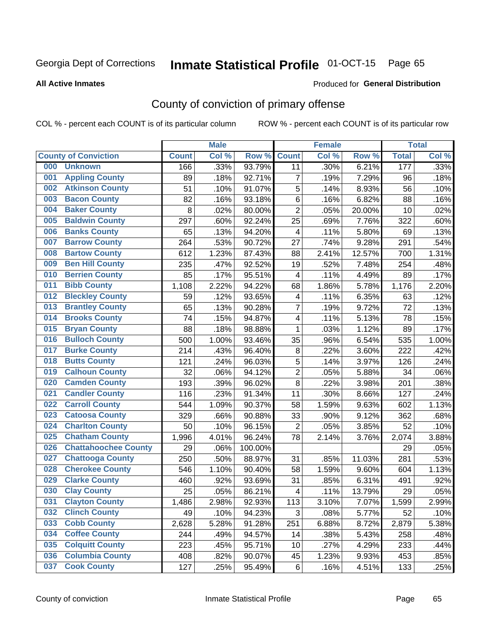# Inmate Statistical Profile 01-OCT-15 Page 65

### **All Active Inmates**

### Produced for General Distribution

## County of conviction of primary offense

COL % - percent each COUNT is of its particular column

|     |                             |              | <b>Male</b> |         |                          | <b>Female</b> |        |              | <b>Total</b> |
|-----|-----------------------------|--------------|-------------|---------|--------------------------|---------------|--------|--------------|--------------|
|     | <b>County of Conviction</b> | <b>Count</b> | Col %       | Row %   | <b>Count</b>             | Col %         | Row %  | <b>Total</b> | Col %        |
| 000 | <b>Unknown</b>              | 166          | .33%        | 93.79%  | 11                       | .30%          | 6.21%  | 177          | .33%         |
| 001 | <b>Appling County</b>       | 89           | .18%        | 92.71%  | $\overline{7}$           | .19%          | 7.29%  | 96           | .18%         |
| 002 | <b>Atkinson County</b>      | 51           | .10%        | 91.07%  | $\mathbf 5$              | .14%          | 8.93%  | 56           | .10%         |
| 003 | <b>Bacon County</b>         | 82           | .16%        | 93.18%  | 6                        | .16%          | 6.82%  | 88           | .16%         |
| 004 | <b>Baker County</b>         | 8            | .02%        | 80.00%  | $\overline{2}$           | .05%          | 20.00% | 10           | .02%         |
| 005 | <b>Baldwin County</b>       | 297          | .60%        | 92.24%  | 25                       | .69%          | 7.76%  | 322          | .60%         |
| 006 | <b>Banks County</b>         | 65           | .13%        | 94.20%  | $\overline{4}$           | .11%          | 5.80%  | 69           | .13%         |
| 007 | <b>Barrow County</b>        | 264          | .53%        | 90.72%  | 27                       | .74%          | 9.28%  | 291          | .54%         |
| 008 | <b>Bartow County</b>        | 612          | 1.23%       | 87.43%  | 88                       | 2.41%         | 12.57% | 700          | 1.31%        |
| 009 | <b>Ben Hill County</b>      | 235          | .47%        | 92.52%  | 19                       | .52%          | 7.48%  | 254          | .48%         |
| 010 | <b>Berrien County</b>       | 85           | .17%        | 95.51%  | $\overline{\mathbf{4}}$  | .11%          | 4.49%  | 89           | .17%         |
| 011 | <b>Bibb County</b>          | 1,108        | 2.22%       | 94.22%  | 68                       | 1.86%         | 5.78%  | 1,176        | 2.20%        |
| 012 | <b>Bleckley County</b>      | 59           | .12%        | 93.65%  | 4                        | .11%          | 6.35%  | 63           | .12%         |
| 013 | <b>Brantley County</b>      | 65           | .13%        | 90.28%  | $\overline{7}$           | .19%          | 9.72%  | 72           | .13%         |
| 014 | <b>Brooks County</b>        | 74           | .15%        | 94.87%  | $\overline{\mathbf{4}}$  | .11%          | 5.13%  | 78           | .15%         |
| 015 | <b>Bryan County</b>         | 88           | .18%        | 98.88%  | 1                        | .03%          | 1.12%  | 89           | .17%         |
| 016 | <b>Bulloch County</b>       | 500          | 1.00%       | 93.46%  | 35                       | .96%          | 6.54%  | 535          | 1.00%        |
| 017 | <b>Burke County</b>         | 214          | .43%        | 96.40%  | 8                        | .22%          | 3.60%  | 222          | .42%         |
| 018 | <b>Butts County</b>         | 121          | .24%        | 96.03%  | $\sqrt{5}$               | .14%          | 3.97%  | 126          | .24%         |
| 019 | <b>Calhoun County</b>       | 32           | .06%        | 94.12%  | $\overline{2}$           | .05%          | 5.88%  | 34           | .06%         |
| 020 | <b>Camden County</b>        | 193          | .39%        | 96.02%  | 8                        | .22%          | 3.98%  | 201          | .38%         |
| 021 | <b>Candler County</b>       | 116          | .23%        | 91.34%  | 11                       | .30%          | 8.66%  | 127          | .24%         |
| 022 | <b>Carroll County</b>       | 544          | 1.09%       | 90.37%  | 58                       | 1.59%         | 9.63%  | 602          | 1.13%        |
| 023 | <b>Catoosa County</b>       | 329          | .66%        | 90.88%  | 33                       | .90%          | 9.12%  | 362          | .68%         |
| 024 | <b>Charlton County</b>      | 50           | .10%        | 96.15%  | $\overline{2}$           | .05%          | 3.85%  | 52           | .10%         |
| 025 | <b>Chatham County</b>       | 1,996        | 4.01%       | 96.24%  | 78                       | 2.14%         | 3.76%  | 2,074        | 3.88%        |
| 026 | <b>Chattahoochee County</b> | 29           | .06%        | 100.00% |                          |               |        | 29           | .05%         |
| 027 | <b>Chattooga County</b>     | 250          | .50%        | 88.97%  | 31                       | .85%          | 11.03% | 281          | .53%         |
| 028 | <b>Cherokee County</b>      | 546          | 1.10%       | 90.40%  | 58                       | 1.59%         | 9.60%  | 604          | 1.13%        |
| 029 | <b>Clarke County</b>        | 460          | .92%        | 93.69%  | 31                       | .85%          | 6.31%  | 491          | .92%         |
| 030 | <b>Clay County</b>          | 25           | .05%        | 86.21%  | $\overline{\mathcal{A}}$ | .11%          | 13.79% | 29           | .05%         |
| 031 | <b>Clayton County</b>       | 1,486        | 2.98%       | 92.93%  | 113                      | 3.10%         | 7.07%  | 1,599        | 2.99%        |
| 032 | <b>Clinch County</b>        | 49           | .10%        | 94.23%  | 3                        | .08%          | 5.77%  | 52           | .10%         |
| 033 | <b>Cobb County</b>          | 2,628        | 5.28%       | 91.28%  | 251                      | 6.88%         | 8.72%  | 2,879        | 5.38%        |
| 034 | <b>Coffee County</b>        | 244          | .49%        | 94.57%  | 14                       | .38%          | 5.43%  | 258          | .48%         |
| 035 | <b>Colquitt County</b>      | 223          | .45%        | 95.71%  | 10                       | .27%          | 4.29%  | 233          | .44%         |
| 036 | <b>Columbia County</b>      | 408          | .82%        | 90.07%  | 45                       | 1.23%         | 9.93%  | 453          | .85%         |
| 037 | <b>Cook County</b>          | 127          | .25%        | 95.49%  | 6                        | .16%          | 4.51%  | 133          | .25%         |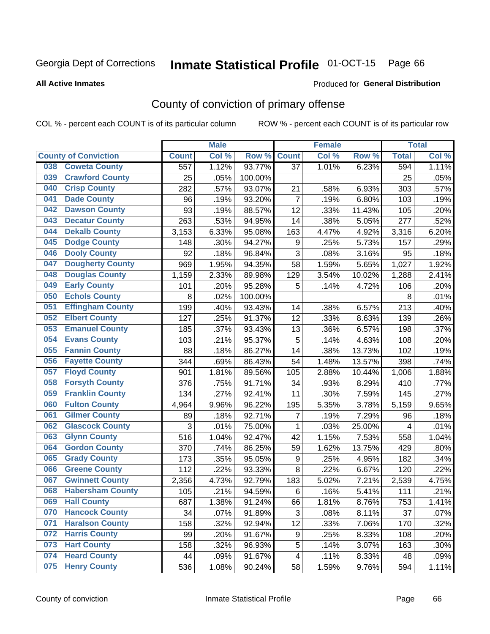# Inmate Statistical Profile 01-OCT-15 Page 66

### **All Active Inmates**

## **Produced for General Distribution**

## County of conviction of primary offense

COL % - percent each COUNT is of its particular column

|                                |              | <b>Male</b> |         |                | <b>Female</b> |        |              | <b>Total</b> |
|--------------------------------|--------------|-------------|---------|----------------|---------------|--------|--------------|--------------|
| <b>County of Conviction</b>    | <b>Count</b> | Col %       | Row %   | <b>Count</b>   | Col %         | Row %  | <b>Total</b> | Col %        |
| <b>Coweta County</b><br>038    | 557          | 1.12%       | 93.77%  | 37             | 1.01%         | 6.23%  | 594          | 1.11%        |
| <b>Crawford County</b><br>039  | 25           | .05%        | 100.00% |                |               |        | 25           | .05%         |
| <b>Crisp County</b><br>040     | 282          | .57%        | 93.07%  | 21             | .58%          | 6.93%  | 303          | .57%         |
| <b>Dade County</b><br>041      | 96           | .19%        | 93.20%  | $\overline{7}$ | .19%          | 6.80%  | 103          | .19%         |
| <b>Dawson County</b><br>042    | 93           | .19%        | 88.57%  | 12             | .33%          | 11.43% | 105          | .20%         |
| 043<br><b>Decatur County</b>   | 263          | .53%        | 94.95%  | 14             | .38%          | 5.05%  | 277          | .52%         |
| <b>Dekalb County</b><br>044    | 3,153        | 6.33%       | 95.08%  | 163            | 4.47%         | 4.92%  | 3,316        | 6.20%        |
| <b>Dodge County</b><br>045     | 148          | .30%        | 94.27%  | 9              | .25%          | 5.73%  | 157          | .29%         |
| <b>Dooly County</b><br>046     | 92           | .18%        | 96.84%  | 3              | .08%          | 3.16%  | 95           | .18%         |
| <b>Dougherty County</b><br>047 | 969          | 1.95%       | 94.35%  | 58             | 1.59%         | 5.65%  | 1,027        | 1.92%        |
| <b>Douglas County</b><br>048   | 1,159        | 2.33%       | 89.98%  | 129            | 3.54%         | 10.02% | 1,288        | 2.41%        |
| <b>Early County</b><br>049     | 101          | .20%        | 95.28%  | 5              | .14%          | 4.72%  | 106          | .20%         |
| <b>Echols County</b><br>050    | 8            | .02%        | 100.00% |                |               |        | 8            | .01%         |
| <b>Effingham County</b><br>051 | 199          | .40%        | 93.43%  | 14             | .38%          | 6.57%  | 213          | .40%         |
| <b>Elbert County</b><br>052    | 127          | .25%        | 91.37%  | 12             | .33%          | 8.63%  | 139          | .26%         |
| <b>Emanuel County</b><br>053   | 185          | .37%        | 93.43%  | 13             | .36%          | 6.57%  | 198          | .37%         |
| <b>Evans County</b><br>054     | 103          | .21%        | 95.37%  | 5              | .14%          | 4.63%  | 108          | .20%         |
| <b>Fannin County</b><br>055    | 88           | .18%        | 86.27%  | 14             | .38%          | 13.73% | 102          | .19%         |
| <b>Fayette County</b><br>056   | 344          | .69%        | 86.43%  | 54             | 1.48%         | 13.57% | 398          | .74%         |
| <b>Floyd County</b><br>057     | 901          | 1.81%       | 89.56%  | 105            | 2.88%         | 10.44% | 1,006        | 1.88%        |
| <b>Forsyth County</b><br>058   | 376          | .75%        | 91.71%  | 34             | .93%          | 8.29%  | 410          | .77%         |
| <b>Franklin County</b><br>059  | 134          | .27%        | 92.41%  | 11             | .30%          | 7.59%  | 145          | .27%         |
| <b>Fulton County</b><br>060    | 4,964        | 9.96%       | 96.22%  | 195            | 5.35%         | 3.78%  | 5,159        | 9.65%        |
| <b>Gilmer County</b><br>061    | 89           | .18%        | 92.71%  | $\overline{7}$ | .19%          | 7.29%  | 96           | .18%         |
| <b>Glascock County</b><br>062  | 3            | .01%        | 75.00%  | 1              | .03%          | 25.00% | 4            | .01%         |
| 063<br><b>Glynn County</b>     | 516          | 1.04%       | 92.47%  | 42             | 1.15%         | 7.53%  | 558          | 1.04%        |
| <b>Gordon County</b><br>064    | 370          | .74%        | 86.25%  | 59             | 1.62%         | 13.75% | 429          | .80%         |
| 065<br><b>Grady County</b>     | 173          | .35%        | 95.05%  | 9              | .25%          | 4.95%  | 182          | .34%         |
| <b>Greene County</b><br>066    | 112          | .22%        | 93.33%  | 8              | .22%          | 6.67%  | 120          | .22%         |
| <b>Gwinnett County</b><br>067  | 2,356        | 4.73%       | 92.79%  | 183            | 5.02%         | 7.21%  | 2,539        | 4.75%        |
| <b>Habersham County</b><br>068 | 105          | .21%        | 94.59%  | 6              | .16%          | 5.41%  | 111          | .21%         |
| 069<br><b>Hall County</b>      | 687          | 1.38%       | 91.24%  | 66             | 1.81%         | 8.76%  | 753          | 1.41%        |
| <b>Hancock County</b><br>070   | 34           | .07%        | 91.89%  | 3              | .08%          | 8.11%  | 37           | .07%         |
| <b>Haralson County</b><br>071  | 158          | .32%        | 92.94%  | 12             | .33%          | 7.06%  | 170          | .32%         |
| <b>Harris County</b><br>072    | 99           | .20%        | 91.67%  | 9              | .25%          | 8.33%  | 108          | .20%         |
| <b>Hart County</b><br>073      | 158          | .32%        | 96.93%  | 5              | .14%          | 3.07%  | 163          | .30%         |
| <b>Heard County</b><br>074     | 44           | .09%        | 91.67%  | 4              | .11%          | 8.33%  | 48           | .09%         |
| <b>Henry County</b><br>075     | 536          | 1.08%       | 90.24%  | 58             | 1.59%         | 9.76%  | 594          | 1.11%        |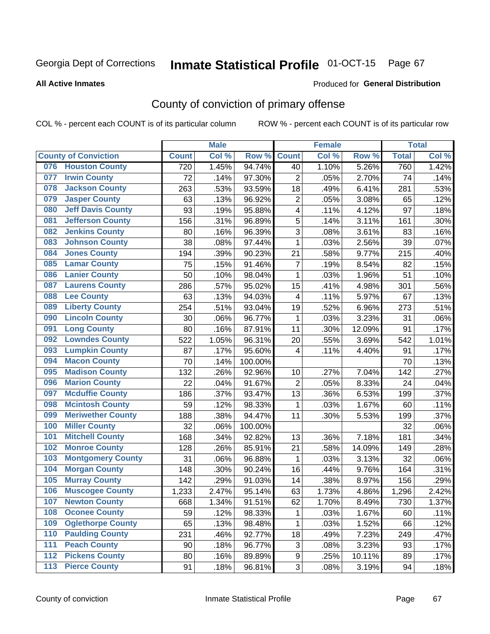# Inmate Statistical Profile 01-OCT-15 Page 67

### **All Active Inmates**

### Produced for General Distribution

## County of conviction of primary offense

COL % - percent each COUNT is of its particular column

|                  |                             |              | <b>Male</b> |         |                | <b>Female</b> |        |              | <b>Total</b> |
|------------------|-----------------------------|--------------|-------------|---------|----------------|---------------|--------|--------------|--------------|
|                  | <b>County of Conviction</b> | <b>Count</b> | Col %       | Row %   | <b>Count</b>   | Col %         | Row %  | <b>Total</b> | Col %        |
|                  | 076 Houston County          | 720          | 1.45%       | 94.74%  | 40             | 1.10%         | 5.26%  | 760          | 1.42%        |
| 077              | <b>Irwin County</b>         | 72           | .14%        | 97.30%  | $\overline{2}$ | .05%          | 2.70%  | 74           | .14%         |
| 078              | <b>Jackson County</b>       | 263          | .53%        | 93.59%  | 18             | .49%          | 6.41%  | 281          | .53%         |
| 079              | <b>Jasper County</b>        | 63           | .13%        | 96.92%  | $\overline{c}$ | .05%          | 3.08%  | 65           | .12%         |
| 080              | <b>Jeff Davis County</b>    | 93           | .19%        | 95.88%  | 4              | .11%          | 4.12%  | 97           | .18%         |
| 081              | <b>Jefferson County</b>     | 156          | .31%        | 96.89%  | 5              | .14%          | 3.11%  | 161          | .30%         |
| 082              | <b>Jenkins County</b>       | 80           | .16%        | 96.39%  | 3              | .08%          | 3.61%  | 83           | .16%         |
| 083              | <b>Johnson County</b>       | 38           | .08%        | 97.44%  | $\mathbf{1}$   | .03%          | 2.56%  | 39           | .07%         |
| 084              | <b>Jones County</b>         | 194          | .39%        | 90.23%  | 21             | .58%          | 9.77%  | 215          | .40%         |
| 085              | <b>Lamar County</b>         | 75           | .15%        | 91.46%  | $\overline{7}$ | .19%          | 8.54%  | 82           | .15%         |
| 086              | <b>Lanier County</b>        | 50           | .10%        | 98.04%  | 1              | .03%          | 1.96%  | 51           | .10%         |
| 087              | <b>Laurens County</b>       | 286          | .57%        | 95.02%  | 15             | .41%          | 4.98%  | 301          | .56%         |
| 088              | <b>Lee County</b>           | 63           | .13%        | 94.03%  | 4              | .11%          | 5.97%  | 67           | .13%         |
| 089              | <b>Liberty County</b>       | 254          | .51%        | 93.04%  | 19             | .52%          | 6.96%  | 273          | .51%         |
| 090              | <b>Lincoln County</b>       | 30           | .06%        | 96.77%  | 1              | .03%          | 3.23%  | 31           | .06%         |
| 091              | <b>Long County</b>          | 80           | .16%        | 87.91%  | 11             | .30%          | 12.09% | 91           | .17%         |
| 092              | <b>Lowndes County</b>       | 522          | 1.05%       | 96.31%  | 20             | .55%          | 3.69%  | 542          | 1.01%        |
| 093              | <b>Lumpkin County</b>       | 87           | .17%        | 95.60%  | 4              | .11%          | 4.40%  | 91           | .17%         |
| 094              | <b>Macon County</b>         | 70           | .14%        | 100.00% |                |               |        | 70           | .13%         |
| 095              | <b>Madison County</b>       | 132          | .26%        | 92.96%  | 10             | .27%          | 7.04%  | 142          | .27%         |
| 096              | <b>Marion County</b>        | 22           | .04%        | 91.67%  | $\overline{2}$ | .05%          | 8.33%  | 24           | .04%         |
| 097              | <b>Mcduffie County</b>      | 186          | .37%        | 93.47%  | 13             | .36%          | 6.53%  | 199          | .37%         |
| 098              | <b>Mcintosh County</b>      | 59           | .12%        | 98.33%  | 1              | .03%          | 1.67%  | 60           | .11%         |
| 099              | <b>Meriwether County</b>    | 188          | .38%        | 94.47%  | 11             | .30%          | 5.53%  | 199          | .37%         |
| 100              | <b>Miller County</b>        | 32           | .06%        | 100.00% |                |               |        | 32           | .06%         |
| 101              | <b>Mitchell County</b>      | 168          | .34%        | 92.82%  | 13             | .36%          | 7.18%  | 181          | .34%         |
| 102              | <b>Monroe County</b>        | 128          | .26%        | 85.91%  | 21             | .58%          | 14.09% | 149          | .28%         |
| 103              | <b>Montgomery County</b>    | 31           | .06%        | 96.88%  | $\mathbf{1}$   | .03%          | 3.13%  | 32           | .06%         |
| 104              | <b>Morgan County</b>        | 148          | .30%        | 90.24%  | 16             | .44%          | 9.76%  | 164          | .31%         |
| 105              | <b>Murray County</b>        | 142          | .29%        | 91.03%  | 14             | .38%          | 8.97%  | 156          | .29%         |
| 106              | <b>Muscogee County</b>      | 1,233        | 2.47%       | 95.14%  | 63             | 1.73%         | 4.86%  | 1,296        | 2.42%        |
| 107              | <b>Newton County</b>        | 668          | 1.34%       | 91.51%  | 62             | 1.70%         | 8.49%  | 730          | 1.37%        |
| 108              | <b>Oconee County</b>        | 59           | .12%        | 98.33%  | 1              | .03%          | 1.67%  | 60           | .11%         |
| 109              | <b>Oglethorpe County</b>    | 65           | .13%        | 98.48%  | 1              | .03%          | 1.52%  | 66           | .12%         |
| 110              | <b>Paulding County</b>      | 231          | .46%        | 92.77%  | 18             | .49%          | 7.23%  | 249          | .47%         |
| 111              | <b>Peach County</b>         | 90           | .18%        | 96.77%  | 3              | .08%          | 3.23%  | 93           | .17%         |
| $\overline{112}$ | <b>Pickens County</b>       | 80           | .16%        | 89.89%  | 9              | .25%          | 10.11% | 89           | .17%         |
| 113              | <b>Pierce County</b>        | 91           | .18%        | 96.81%  | 3              | .08%          | 3.19%  | 94           | .18%         |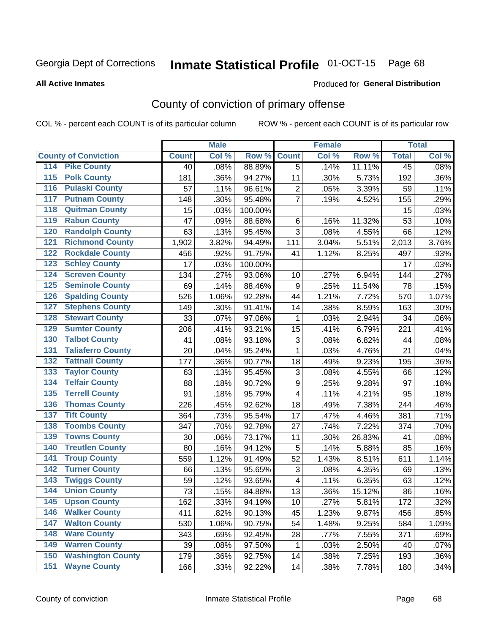# Inmate Statistical Profile 01-OCT-15 Page 68

### **All Active Inmates**

### Produced for General Distribution

## County of conviction of primary offense

COL % - percent each COUNT is of its particular column

|                                        |              | <b>Male</b> |         |                           | <b>Female</b> |        |                 | <b>Total</b> |
|----------------------------------------|--------------|-------------|---------|---------------------------|---------------|--------|-----------------|--------------|
| <b>County of Conviction</b>            | <b>Count</b> | Col %       | Row %   | <b>Count</b>              | Col %         | Row %  | <b>Total</b>    | Col %        |
| <b>Pike County</b><br>114              | 40           | .08%        | 88.89%  | 5                         | .14%          | 11.11% | $\overline{45}$ | .08%         |
| <b>Polk County</b><br>$\overline{115}$ | 181          | .36%        | 94.27%  | 11                        | .30%          | 5.73%  | 192             | .36%         |
| <b>Pulaski County</b><br>116           | 57           | .11%        | 96.61%  | $\overline{2}$            | .05%          | 3.39%  | 59              | .11%         |
| <b>Putnam County</b><br>117            | 148          | .30%        | 95.48%  | $\overline{7}$            | .19%          | 4.52%  | 155             | .29%         |
| 118<br><b>Quitman County</b>           | 15           | .03%        | 100.00% |                           |               |        | 15              | .03%         |
| <b>Rabun County</b><br>119             | 47           | .09%        | 88.68%  | $\,6$                     | .16%          | 11.32% | 53              | .10%         |
| <b>Randolph County</b><br>120          | 63           | .13%        | 95.45%  | 3                         | .08%          | 4.55%  | 66              | .12%         |
| <b>Richmond County</b><br>121          | 1,902        | 3.82%       | 94.49%  | 111                       | 3.04%         | 5.51%  | 2,013           | 3.76%        |
| <b>Rockdale County</b><br>122          | 456          | .92%        | 91.75%  | 41                        | 1.12%         | 8.25%  | 497             | .93%         |
| <b>Schley County</b><br>123            | 17           | .03%        | 100.00% |                           |               |        | 17              | .03%         |
| <b>Screven County</b><br>124           | 134          | .27%        | 93.06%  | 10                        | .27%          | 6.94%  | 144             | .27%         |
| <b>Seminole County</b><br>125          | 69           | .14%        | 88.46%  | $9\,$                     | .25%          | 11.54% | 78              | .15%         |
| 126<br><b>Spalding County</b>          | 526          | 1.06%       | 92.28%  | 44                        | 1.21%         | 7.72%  | 570             | 1.07%        |
| 127<br><b>Stephens County</b>          | 149          | .30%        | 91.41%  | 14                        | .38%          | 8.59%  | 163             | .30%         |
| <b>Stewart County</b><br>128           | 33           | .07%        | 97.06%  | 1                         | .03%          | 2.94%  | 34              | .06%         |
| <b>Sumter County</b><br>129            | 206          | .41%        | 93.21%  | 15                        | .41%          | 6.79%  | 221             | .41%         |
| <b>Talbot County</b><br>130            | 41           | .08%        | 93.18%  | 3                         | .08%          | 6.82%  | 44              | .08%         |
| <b>Taliaferro County</b><br>131        | 20           | .04%        | 95.24%  | $\mathbf{1}$              | .03%          | 4.76%  | 21              | .04%         |
| <b>Tattnall County</b><br>132          | 177          | .36%        | 90.77%  | 18                        | .49%          | 9.23%  | 195             | .36%         |
| <b>Taylor County</b><br>133            | 63           | .13%        | 95.45%  | $\ensuremath{\mathsf{3}}$ | .08%          | 4.55%  | 66              | .12%         |
| <b>Telfair County</b><br>134           | 88           | .18%        | 90.72%  | $\mathsf g$               | .25%          | 9.28%  | 97              | .18%         |
| <b>Terrell County</b><br>135           | 91           | .18%        | 95.79%  | $\overline{\mathbf{4}}$   | .11%          | 4.21%  | 95              | .18%         |
| <b>Thomas County</b><br>136            | 226          | .45%        | 92.62%  | 18                        | .49%          | 7.38%  | 244             | .46%         |
| <b>Tift County</b><br>137              | 364          | .73%        | 95.54%  | 17                        | .47%          | 4.46%  | 381             | .71%         |
| <b>Toombs County</b><br>138            | 347          | .70%        | 92.78%  | 27                        | .74%          | 7.22%  | 374             | .70%         |
| <b>Towns County</b><br>139             | 30           | .06%        | 73.17%  | 11                        | .30%          | 26.83% | 41              | .08%         |
| <b>Treutlen County</b><br>140          | 80           | .16%        | 94.12%  | 5                         | .14%          | 5.88%  | 85              | .16%         |
| <b>Troup County</b><br>141             | 559          | 1.12%       | 91.49%  | 52                        | 1.43%         | 8.51%  | 611             | 1.14%        |
| <b>Turner County</b><br>142            | 66           | .13%        | 95.65%  | 3                         | .08%          | 4.35%  | 69              | .13%         |
| <b>Twiggs County</b><br>143            | 59           | .12%        | 93.65%  | $\overline{\mathbf{4}}$   | .11%          | 6.35%  | 63              | .12%         |
| <b>Union County</b><br>144             | 73           | .15%        | 84.88%  | 13                        | .36%          | 15.12% | 86              | .16%         |
| 145<br><b>Upson County</b>             | 162          | .33%        | 94.19%  | 10                        | .27%          | 5.81%  | 172             | .32%         |
| <b>Walker County</b><br>146            | 411          | .82%        | 90.13%  | 45                        | 1.23%         | 9.87%  | 456             | .85%         |
| <b>Walton County</b><br>147            | 530          | 1.06%       | 90.75%  | 54                        | 1.48%         | 9.25%  | 584             | 1.09%        |
| <b>Ware County</b><br>148              | 343          | .69%        | 92.45%  | 28                        | .77%          | 7.55%  | 371             | .69%         |
| <b>Warren County</b><br>149            | 39           | .08%        | 97.50%  | 1                         | .03%          | 2.50%  | 40              | .07%         |
| <b>Washington County</b><br>150        | 179          | .36%        | 92.75%  | 14                        | .38%          | 7.25%  | 193             | .36%         |
| <b>Wayne County</b><br>151             | 166          | .33%        | 92.22%  | 14                        | .38%          | 7.78%  | 180             | .34%         |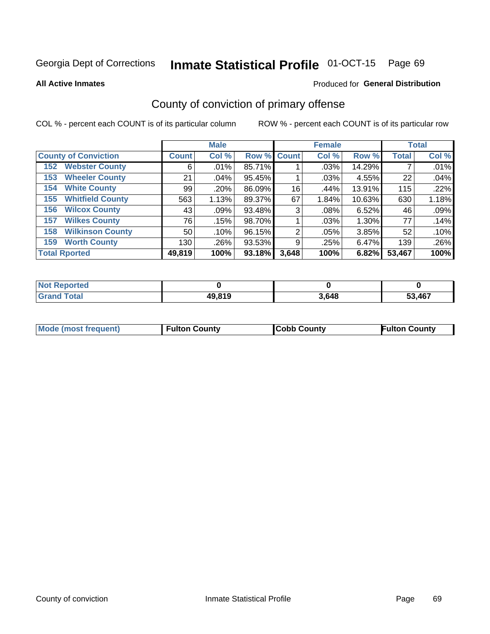# Inmate Statistical Profile 01-OCT-15 Page 69

**All Active Inmates** 

### Produced for General Distribution

## County of conviction of primary offense

COL % - percent each COUNT is of its particular column

|                                |                    | <b>Male</b> |             |       | <b>Female</b> |        |              | <b>Total</b> |
|--------------------------------|--------------------|-------------|-------------|-------|---------------|--------|--------------|--------------|
| <b>County of Conviction</b>    | Count <sup>1</sup> | Col %       | Row % Count |       | Col %         | Row %  | <b>Total</b> | Col %        |
| <b>Webster County</b><br>152   | 6                  | .01%        | 85.71%      |       | $.03\%$       | 14.29% |              | .01%         |
| <b>Wheeler County</b><br>153   | 21                 | .04%        | 95.45%      |       | .03%          | 4.55%  | 22           | .04%         |
| <b>White County</b><br>154     | 99                 | .20%        | 86.09%      | 16    | .44%          | 13.91% | 115          | .22%         |
| <b>Whitfield County</b><br>155 | 563                | 1.13%       | 89.37%      | 67    | 1.84%         | 10.63% | 630          | 1.18%        |
| <b>Wilcox County</b><br>156    | 43                 | .09%        | 93.48%      | 3     | .08%          | 6.52%  | 46           | .09%         |
| <b>Wilkes County</b><br>157    | 76                 | .15%        | 98.70%      |       | .03%          | 1.30%  | 77           | .14%         |
| <b>Wilkinson County</b><br>158 | 50                 | .10%        | 96.15%      | 2     | $.05\%$       | 3.85%  | 52           | .10%         |
| <b>Worth County</b><br>159     | 130                | .26%        | 93.53%      | 9     | .25%          | 6.47%  | 139          | .26%         |
| <b>Total Rported</b>           | 49,819             | 100%        | 93.18%      | 3,648 | 100%          | 6.82%  | 53,467       | 100%         |

| <b>Not Reported</b> |        |       |        |
|---------------------|--------|-------|--------|
| <b>Grand Total</b>  | 49,819 | 3,648 | 53,467 |

| <b>Mode (most frequent)</b> | <b>Fulton County</b> | <b>ICobb County</b> | <b>Fulton County</b> |
|-----------------------------|----------------------|---------------------|----------------------|
|                             |                      |                     |                      |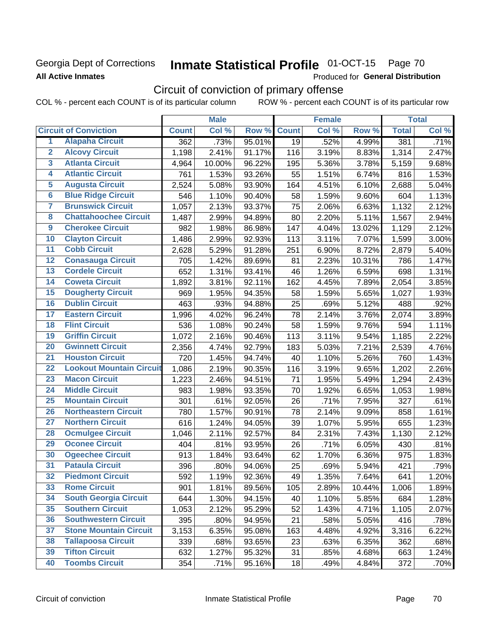## Georgia Dept of Corrections **All Active Inmates**

# Inmate Statistical Profile 01-OCT-15 Page 70

Produced for General Distribution

# Circuit of conviction of primary offense

COL % - percent each COUNT is of its particular column ROW % - percent each COUNT is of its particular row

|                         |                                 |              | <b>Male</b> |        |              | <b>Female</b> |        |              | <b>Total</b> |
|-------------------------|---------------------------------|--------------|-------------|--------|--------------|---------------|--------|--------------|--------------|
|                         | <b>Circuit of Conviction</b>    | <b>Count</b> | Col %       | Row %  | <b>Count</b> | Col %         | Row %  | <b>Total</b> | Col %        |
| 1                       | <b>Alapaha Circuit</b>          | 362          | .73%        | 95.01% | 19           | .52%          | 4.99%  | 381          | .71%         |
| $\overline{2}$          | <b>Alcovy Circuit</b>           | 1,198        | 2.41%       | 91.17% | 116          | 3.19%         | 8.83%  | 1,314        | 2.47%        |
| $\overline{\mathbf{3}}$ | <b>Atlanta Circuit</b>          | 4,964        | 10.00%      | 96.22% | 195          | 5.36%         | 3.78%  | 5,159        | 9.68%        |
| 4                       | <b>Atlantic Circuit</b>         | 761          | 1.53%       | 93.26% | 55           | 1.51%         | 6.74%  | 816          | 1.53%        |
| 5                       | <b>Augusta Circuit</b>          | 2,524        | 5.08%       | 93.90% | 164          | 4.51%         | 6.10%  | 2,688        | 5.04%        |
| $\overline{6}$          | <b>Blue Ridge Circuit</b>       | 546          | 1.10%       | 90.40% | 58           | 1.59%         | 9.60%  | 604          | 1.13%        |
| 7                       | <b>Brunswick Circuit</b>        | 1,057        | 2.13%       | 93.37% | 75           | 2.06%         | 6.63%  | 1,132        | 2.12%        |
| 8                       | <b>Chattahoochee Circuit</b>    | 1,487        | 2.99%       | 94.89% | 80           | 2.20%         | 5.11%  | 1,567        | 2.94%        |
| 9                       | <b>Cherokee Circuit</b>         | 982          | 1.98%       | 86.98% | 147          | 4.04%         | 13.02% | 1,129        | 2.12%        |
| 10                      | <b>Clayton Circuit</b>          | 1,486        | 2.99%       | 92.93% | 113          | 3.11%         | 7.07%  | 1,599        | 3.00%        |
| $\overline{11}$         | <b>Cobb Circuit</b>             | 2,628        | 5.29%       | 91.28% | 251          | 6.90%         | 8.72%  | 2,879        | 5.40%        |
| 12                      | <b>Conasauga Circuit</b>        | 705          | 1.42%       | 89.69% | 81           | 2.23%         | 10.31% | 786          | 1.47%        |
| 13                      | <b>Cordele Circuit</b>          | 652          | 1.31%       | 93.41% | 46           | 1.26%         | 6.59%  | 698          | 1.31%        |
| 14                      | <b>Coweta Circuit</b>           | 1,892        | 3.81%       | 92.11% | 162          | 4.45%         | 7.89%  | 2,054        | 3.85%        |
| 15                      | <b>Dougherty Circuit</b>        | 969          | 1.95%       | 94.35% | 58           | 1.59%         | 5.65%  | 1,027        | 1.93%        |
| 16                      | <b>Dublin Circuit</b>           | 463          | .93%        | 94.88% | 25           | .69%          | 5.12%  | 488          | .92%         |
| 17                      | <b>Eastern Circuit</b>          | 1,996        | 4.02%       | 96.24% | 78           | 2.14%         | 3.76%  | 2,074        | 3.89%        |
| 18                      | <b>Flint Circuit</b>            | 536          | 1.08%       | 90.24% | 58           | 1.59%         | 9.76%  | 594          | 1.11%        |
| 19                      | <b>Griffin Circuit</b>          | 1,072        | 2.16%       | 90.46% | 113          | 3.11%         | 9.54%  | 1,185        | 2.22%        |
| 20                      | <b>Gwinnett Circuit</b>         | 2,356        | 4.74%       | 92.79% | 183          | 5.03%         | 7.21%  | 2,539        | 4.76%        |
| $\overline{21}$         | <b>Houston Circuit</b>          | 720          | 1.45%       | 94.74% | 40           | 1.10%         | 5.26%  | 760          | 1.43%        |
| $\overline{22}$         | <b>Lookout Mountain Circuit</b> | 1,086        | 2.19%       | 90.35% | 116          | 3.19%         | 9.65%  | 1,202        | 2.26%        |
| 23                      | <b>Macon Circuit</b>            | 1,223        | 2.46%       | 94.51% | 71           | 1.95%         | 5.49%  | 1,294        | 2.43%        |
| 24                      | <b>Middle Circuit</b>           | 983          | 1.98%       | 93.35% | 70           | 1.92%         | 6.65%  | 1,053        | 1.98%        |
| $\overline{25}$         | <b>Mountain Circuit</b>         | 301          | .61%        | 92.05% | 26           | .71%          | 7.95%  | 327          | .61%         |
| 26                      | <b>Northeastern Circuit</b>     | 780          | 1.57%       | 90.91% | 78           | 2.14%         | 9.09%  | 858          | 1.61%        |
| $\overline{27}$         | <b>Northern Circuit</b>         | 616          | 1.24%       | 94.05% | 39           | 1.07%         | 5.95%  | 655          | 1.23%        |
| 28                      | <b>Ocmulgee Circuit</b>         | 1,046        | 2.11%       | 92.57% | 84           | 2.31%         | 7.43%  | 1,130        | 2.12%        |
| 29                      | <b>Oconee Circuit</b>           | 404          | .81%        | 93.95% | 26           | .71%          | 6.05%  | 430          | .81%         |
| 30                      | <b>Ogeechee Circuit</b>         | 913          | 1.84%       | 93.64% | 62           | 1.70%         | 6.36%  | 975          | 1.83%        |
| $\overline{31}$         | <b>Pataula Circuit</b>          | 396          | .80%        | 94.06% | 25           | .69%          | 5.94%  | 421          | .79%         |
| 32                      | <b>Piedmont Circuit</b>         | 592          | 1.19%       | 92.36% | 49           | 1.35%         | 7.64%  | 641          | 1.20%        |
| 33                      | <b>Rome Circuit</b>             | 901          | 1.81%       | 89.56% | 105          | 2.89%         | 10.44% | 1,006        | 1.89%        |
| 34                      | <b>South Georgia Circuit</b>    | 644          | 1.30%       | 94.15% | 40           | 1.10%         | 5.85%  | 684          | 1.28%        |
| 35                      | <b>Southern Circuit</b>         | 1,053        | 2.12%       | 95.29% | 52           | 1.43%         | 4.71%  | 1,105        | 2.07%        |
| 36                      | <b>Southwestern Circuit</b>     | 395          | .80%        | 94.95% | 21           | .58%          | 5.05%  | 416          | .78%         |
| 37                      | <b>Stone Mountain Circuit</b>   | 3,153        | 6.35%       | 95.08% | 163          | 4.48%         | 4.92%  | 3,316        | 6.22%        |
| 38                      | <b>Tallapoosa Circuit</b>       | 339          | .68%        | 93.65% | 23           | .63%          | 6.35%  | 362          | .68%         |
| 39                      | <b>Tifton Circuit</b>           | 632          | 1.27%       | 95.32% | 31           | .85%          | 4.68%  | 663          | 1.24%        |
| 40                      | <b>Toombs Circuit</b>           | 354          | .71%        | 95.16% | 18           | .49%          | 4.84%  | 372          | .70%         |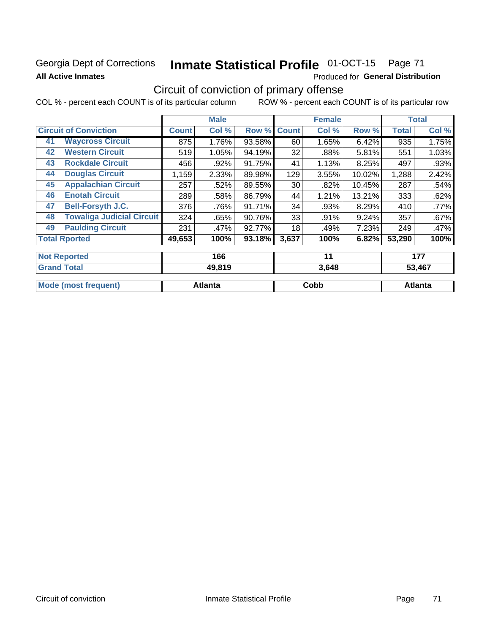## Georgia Dept of Corrections **All Active Inmates**

# Inmate Statistical Profile 01-OCT-15 Page 71

Produced for General Distribution

## Circuit of conviction of primary offense

COL % - percent each COUNT is of its particular column ROW % - percent each COUNT is of its particular row

|                                        |              | <b>Male</b> |        |                 | <b>Female</b> |        |              | <b>Total</b> |
|----------------------------------------|--------------|-------------|--------|-----------------|---------------|--------|--------------|--------------|
| <b>Circuit of Conviction</b>           | <b>Count</b> | Col %       | Row %  | <b>Count</b>    | Col %         | Row %  | <b>Total</b> | Col %        |
| <b>Waycross Circuit</b><br>41          | 875          | 1.76%       | 93.58% | 60              | 1.65%         | 6.42%  | 935          | 1.75%        |
| <b>Western Circuit</b><br>42           | 519          | 1.05%       | 94.19% | 32              | .88%          | 5.81%  | 551          | 1.03%        |
| <b>Rockdale Circuit</b><br>43          | 456          | .92%        | 91.75% | 41              | 1.13%         | 8.25%  | 497          | .93%         |
| <b>Douglas Circuit</b><br>44           | 1,159        | 2.33%       | 89.98% | 129             | 3.55%         | 10.02% | 1,288        | 2.42%        |
| <b>Appalachian Circuit</b><br>45       | 257          | .52%        | 89.55% | 30 <sup>2</sup> | .82%          | 10.45% | 287          | .54%         |
| <b>Enotah Circuit</b><br>46            | 289          | .58%        | 86.79% | 44              | 1.21%         | 13.21% | 333          | .62%         |
| <b>Bell-Forsyth J.C.</b><br>47         | 376          | .76%        | 91.71% | 34              | .93%          | 8.29%  | 410          | $.77\%$      |
| <b>Towaliga Judicial Circuit</b><br>48 | 324          | .65%        | 90.76% | 33              | .91%          | 9.24%  | 357          | $.67\%$      |
| <b>Paulding Circuit</b><br>49          | 231          | .47%        | 92.77% | 18              | .49%          | 7.23%  | 249          | .47%         |
| <b>Total Rported</b>                   | 49,653       | 100%        | 93.18% | 3,637           | 100%          | 6.82%  | 53,290       | 100%         |
| <b>Not Reported</b>                    |              |             |        |                 | 11            |        |              |              |
|                                        |              | 166         |        |                 |               |        |              | 177          |
| <b>Grand Total</b>                     |              | 49 819      |        |                 | 3648          |        |              | 53 467       |

| 'Grano<br>Total             | 49,819         | 3,648 | 53,467  |
|-----------------------------|----------------|-------|---------|
| <b>Mode (most frequent)</b> | <b>Atlanta</b> | Cobb  | Atlanta |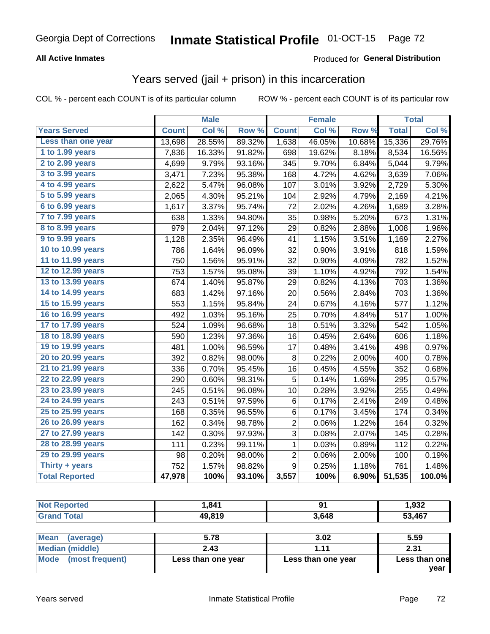# Georgia Dept of Corrections **Inmate Statistical Profile** 01-OCT-15 Page 72

## **All Active Inmates**

## Produced for **General Distribution**

## Years served (jail + prison) in this incarceration

COL % - percent each COUNT is of its particular column ROW % - percent each COUNT is of its particular row

|                              |              | <b>Male</b> |        |                         | <b>Female</b> |        |              | <b>Total</b> |
|------------------------------|--------------|-------------|--------|-------------------------|---------------|--------|--------------|--------------|
| <b>Years Served</b>          | <b>Count</b> | Col %       | Row %  | <b>Count</b>            | Col %         | Row %  | <b>Total</b> | Col %        |
| Less than one year           | 13,698       | 28.55%      | 89.32% | 1,638                   | 46.05%        | 10.68% | 15,336       | 29.76%       |
| 1 to 1.99 years              | 7,836        | 16.33%      | 91.82% | 698                     | 19.62%        | 8.18%  | 8,534        | 16.56%       |
| 2 to 2.99 years              | 4,699        | 9.79%       | 93.16% | 345                     | 9.70%         | 6.84%  | 5,044        | 9.79%        |
| 3 to 3.99 years              | 3,471        | 7.23%       | 95.38% | 168                     | 4.72%         | 4.62%  | 3,639        | 7.06%        |
| 4 to 4.99 years              | 2,622        | 5.47%       | 96.08% | 107                     | 3.01%         | 3.92%  | 2,729        | 5.30%        |
| $\overline{5}$ to 5.99 years | 2,065        | 4.30%       | 95.21% | 104                     | 2.92%         | 4.79%  | 2,169        | 4.21%        |
| 6 to 6.99 years              | 1,617        | 3.37%       | 95.74% | 72                      | 2.02%         | 4.26%  | 1,689        | 3.28%        |
| 7 to 7.99 years              | 638          | 1.33%       | 94.80% | 35                      | 0.98%         | 5.20%  | 673          | 1.31%        |
| <b>8 to 8.99 years</b>       | 979          | 2.04%       | 97.12% | 29                      | 0.82%         | 2.88%  | 1,008        | 1.96%        |
| 9 to 9.99 years              | 1,128        | 2.35%       | 96.49% | 41                      | 1.15%         | 3.51%  | 1,169        | 2.27%        |
| 10 to 10.99 years            | 786          | 1.64%       | 96.09% | 32                      | 0.90%         | 3.91%  | 818          | 1.59%        |
| 11 to 11.99 years            | 750          | 1.56%       | 95.91% | 32                      | 0.90%         | 4.09%  | 782          | 1.52%        |
| 12 to 12.99 years            | 753          | 1.57%       | 95.08% | 39                      | 1.10%         | 4.92%  | 792          | 1.54%        |
| 13 to 13.99 years            | 674          | 1.40%       | 95.87% | 29                      | 0.82%         | 4.13%  | 703          | 1.36%        |
| 14 to 14.99 years            | 683          | 1.42%       | 97.16% | 20                      | 0.56%         | 2.84%  | 703          | 1.36%        |
| 15 to 15.99 years            | 553          | 1.15%       | 95.84% | 24                      | 0.67%         | 4.16%  | 577          | 1.12%        |
| 16 to 16.99 years            | 492          | 1.03%       | 95.16% | 25                      | 0.70%         | 4.84%  | 517          | 1.00%        |
| 17 to 17.99 years            | 524          | 1.09%       | 96.68% | 18                      | 0.51%         | 3.32%  | 542          | 1.05%        |
| 18 to 18.99 years            | 590          | 1.23%       | 97.36% | 16                      | 0.45%         | 2.64%  | 606          | 1.18%        |
| 19 to 19.99 years            | 481          | 1.00%       | 96.59% | 17                      | 0.48%         | 3.41%  | 498          | 0.97%        |
| 20 to 20.99 years            | 392          | 0.82%       | 98.00% | 8                       | 0.22%         | 2.00%  | 400          | 0.78%        |
| 21 to 21.99 years            | 336          | 0.70%       | 95.45% | 16                      | 0.45%         | 4.55%  | 352          | 0.68%        |
| 22 to 22.99 years            | 290          | 0.60%       | 98.31% | $\mathbf 5$             | 0.14%         | 1.69%  | 295          | 0.57%        |
| 23 to 23.99 years            | 245          | 0.51%       | 96.08% | 10                      | 0.28%         | 3.92%  | 255          | 0.49%        |
| 24 to 24.99 years            | 243          | 0.51%       | 97.59% | 6                       | 0.17%         | 2.41%  | 249          | 0.48%        |
| 25 to 25.99 years            | 168          | 0.35%       | 96.55% | 6                       | 0.17%         | 3.45%  | 174          | 0.34%        |
| 26 to 26.99 years            | 162          | 0.34%       | 98.78% | $\overline{\mathbf{c}}$ | 0.06%         | 1.22%  | 164          | 0.32%        |
| 27 to 27.99 years            | 142          | 0.30%       | 97.93% | 3                       | 0.08%         | 2.07%  | 145          | 0.28%        |
| 28 to 28.99 years            | 111          | 0.23%       | 99.11% | 1                       | 0.03%         | 0.89%  | 112          | 0.22%        |
| 29 to 29.99 years            | 98           | 0.20%       | 98.00% | $\overline{2}$          | 0.06%         | 2.00%  | 100          | 0.19%        |
| Thirty + years               | 752          | 1.57%       | 98.82% | 9                       | 0.25%         | 1.18%  | 761          | 1.48%        |
| <b>Total Reported</b>        | 47,978       | 100%        | 93.10% | 3,557                   | 100%          | 6.90%  | 51,535       | 100.0%       |

| <b>Not Reported</b>            | 1.841              | 91                 | 1,932         |  |
|--------------------------------|--------------------|--------------------|---------------|--|
| <b>Grand Total</b>             | 49,819             | 3.648              | 53,467        |  |
|                                |                    |                    |               |  |
| <b>Mean</b><br>(average)       | 5.78               | 3.02               | 5.59          |  |
| Median (middle)                | 2.43               | 1.11               | 2.31          |  |
| <b>Mode</b><br>(most frequent) | Less than one year | Less than one year | Less than one |  |

**year**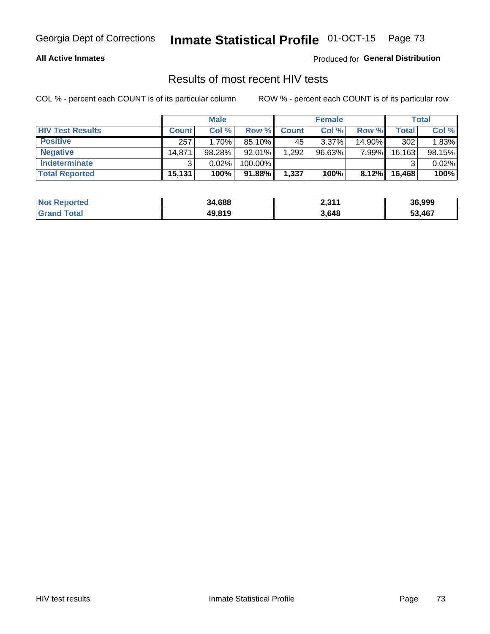#### **All Active Inmates**

Produced for **General Distribution**

## Results of most recent HIV tests

|                         | <b>Male</b>  |        |           | <b>Female</b> |           |        | Total   |        |
|-------------------------|--------------|--------|-----------|---------------|-----------|--------|---------|--------|
| <b>HIV Test Results</b> | <b>Count</b> | Col%   | Row %I    | <b>Count</b>  | Col %     | Row %  | Total   | Col %  |
| <b>Positive</b>         | 257          | 1.70%  | 85.10%    | 45            | $3.37\%$  | 14.90% | 302     | 1.83%  |
| <b>Negative</b>         | 14,871       | 98.28% | $92.01\%$ | .292          | $96.63\%$ | 7.99%  | 16, 163 | 98.15% |
| <b>Indeterminate</b>    | າ            | 0.02%  | 100.00%   |               |           |        |         | 0.02%  |
| <b>Total Reported</b>   | 15,131       | 100%   | $91.88\%$ | 1,337         | 100%      | 8.12%  | 16,468  | 100%   |

| <b>Not Reported</b> | 34,688 | <b>2214</b><br>2,J I I | 36,999 |
|---------------------|--------|------------------------|--------|
| <b>Grand Total</b>  | 49,819 | 3,648                  | 53,467 |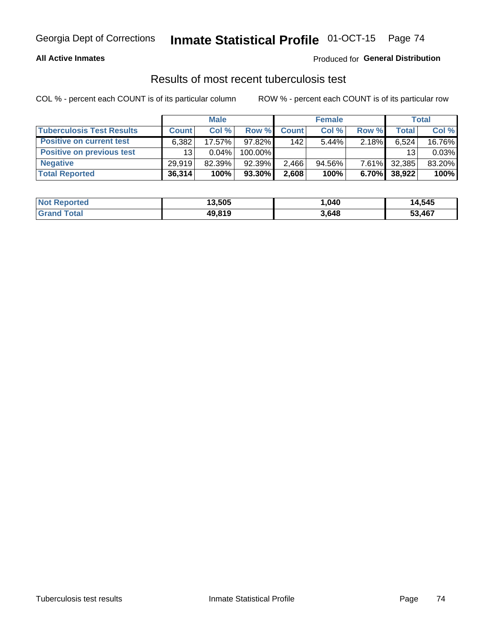#### **All Active Inmates**

### Produced for **General Distribution**

### Results of most recent tuberculosis test

|                                  | <b>Male</b>  |          |         | <b>Female</b> |           |          | Total  |        |
|----------------------------------|--------------|----------|---------|---------------|-----------|----------|--------|--------|
| <b>Tuberculosis Test Results</b> | <b>Count</b> | Col%     | Row %   | <b>Count</b>  | Col %     | Row %    | Total  | Col %  |
| <b>Positive on current test</b>  | 6.382        | 17.57%   | 97.82%  | 142           | $5.44\%$  | 2.18%    | 6,524  | 16.76% |
| <b>Positive on previous test</b> | 13           | $0.04\%$ | 100.00% |               |           |          | 13     | 0.03%  |
| <b>Negative</b>                  | 29.919       | 82.39%   | 92.39%  | 2,466         | $94.56\%$ | $7.61\%$ | 32,385 | 83.20% |
| <b>Total Reported</b>            | 36,314       | 100%     | 93.30%  | 2,608         | 100%      | 6.70%    | 38,922 | 100%   |

| <b>Not Reported</b> | 13,505 | 1,040 | 14,545 |
|---------------------|--------|-------|--------|
| <b>Grand Total</b>  | 49,819 | 3,648 | 53,467 |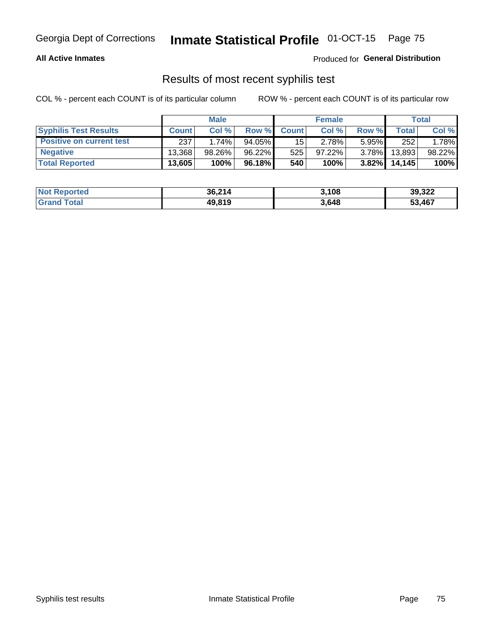#### **All Active Inmates**

Produced for **General Distribution**

### Results of most recent syphilis test

|                                 | <b>Male</b>  |           |           | <b>Female</b>   |           |          | Total   |        |
|---------------------------------|--------------|-----------|-----------|-----------------|-----------|----------|---------|--------|
| <b>Syphilis Test Results</b>    | <b>Count</b> | Col%      | Row %     | <b>Count</b>    | Col %     | Row %    | Total I | Col %  |
| <b>Positive on current test</b> | 237          | 1.74%     | $94.05\%$ | 15 <sup>1</sup> | 2.78%     | $5.95\%$ | 252     | 1.78%  |
| <b>Negative</b>                 | 13.368       | $98.26\%$ | 96.22%    | 525             | $97.22\%$ | $3.78\%$ | 13,893  | 98.22% |
| <b>Total Reported</b>           | 13,605       | 100%      | 96.18%    | 540             | 100%      | $3.82\%$ | 14,145  | 100%   |

| <b>Not Reported</b> | 36,214 | 3,108 | 39,322 |
|---------------------|--------|-------|--------|
| <b>Grand Total</b>  | 49,819 | 3,648 | 53,467 |